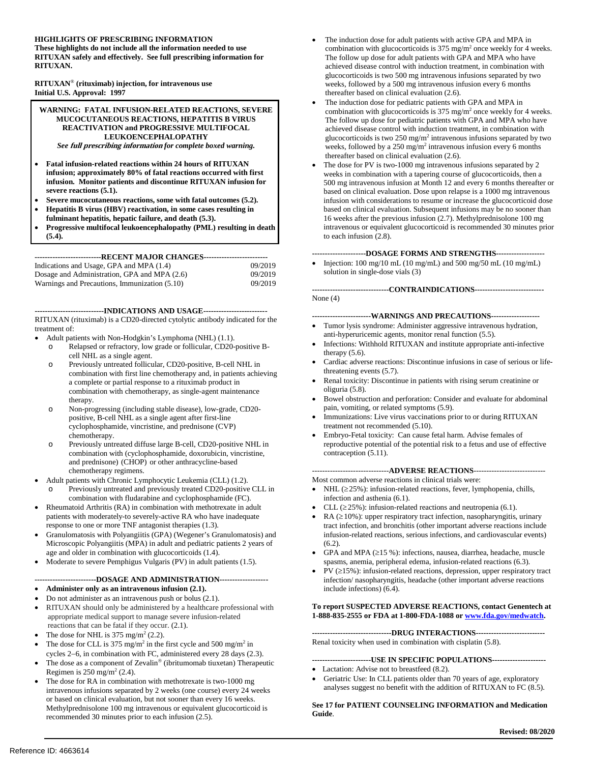#### **HIGHLIGHTS OF PRESCRIBING INFORMATION**

**These highlights do not include all the information needed to use RITUXAN safely and effectively. See full prescribing information for RITUXAN.** 

#### **RITUXAN**® **(rituximab) injection, for intravenous use Initial U.S. Approval: 1997**

#### **WARNING: FATAL INFUSION-RELATED REACTIONS, SEVERE MUCOCUTANEOUS REACTIONS, HEPATITIS B VIRUS REACTIVATION and PROGRESSIVE MULTIFOCAL LEUKOENCEPHALOPATHY**

*See* **full prescribing information** *for complete boxed warning.*

- **Fatal infusion-related reactions within 24 hours of RITUXAN infusion; approximately 80% of fatal reactions occurred with first infusion. Monitor patients and discontinue RITUXAN infusion for severe reactions (5.1).**
- **Severe mucocutaneous reactions, some with fatal outcomes (5.2).**
- **Hepatitis B virus (HBV) reactivation, in some cases resulting in fulminant hepatitis, hepatic failure, and death (5.3).**
- **Progressive multifocal leukoencephalopathy (PML) resulting in death (5.4).**

| --------------------------RECENT                                  MAJOR CHANGES------------------------ |  |
|---------------------------------------------------------------------------------------------------------|--|
|---------------------------------------------------------------------------------------------------------|--|

| Indications and Usage, GPA and MPA (1.4)      | 09/2019 |
|-----------------------------------------------|---------|
| Dosage and Administration, GPA and MPA (2.6)  | 09/2019 |
| Warnings and Precautions, Immunization (5.10) | 09/2019 |

**---------------------------INDICATIONS AND USAGE-------------------------** 

RITUXAN (rituximab) is a CD20-directed cytolytic antibody indicated for the treatment of:

- Adult patients with Non-Hodgkin's Lymphoma (NHL) (1.1).
	- o Relapsed or refractory, low grade or follicular, CD20-positive Bcell NHL as a single agent.
	- o Previously untreated follicular, CD20-positive, B-cell NHL in combination with first line chemotherapy and, in patients achieving a complete or partial response to a rituximab product in combination with chemotherapy, as single-agent maintenance therapy.
	- o Non-progressing (including stable disease), low-grade, CD20 positive, B-cell NHL as a single agent after first-line cyclophosphamide, vincristine, and prednisone (CVP) chemotherapy.
	- o Previously untreated diffuse large B-cell, CD20-positive NHL in combination with (cyclophosphamide, doxorubicin, vincristine, and prednisone) (CHOP) or other anthracycline-based chemotherapy regimens.

• Adult patients with Chronic Lymphocytic Leukemia (CLL) (1.2).

- o Previously untreated and previously treated CD20-positive CLL in combination with fludarabine and cyclophosphamide (FC).
- Rheumatoid Arthritis (RA) in combination with methotrexate in adult patients with moderately-to severely-active RA who have inadequate response to one or more TNF antagonist therapies (1.3).
- Granulomatosis with Polyangiitis (GPA) (Wegener's Granulomatosis) and Microscopic Polyangiitis (MPA) in adult and pediatric patients 2 years of age and older in combination with glucocorticoids (1.4).
- Moderate to severe Pemphigus Vulgaris (PV) in adult patients (1.5).

#### **------------------------DOSAGE AND ADMINISTRATION-------------------**

- **Administer only as an intravenous infusion (2.1).**
- Do not administer as an intravenous push or bolus (2.1).
- RITUXAN should only be administered by a healthcare professional with appropriate medical support to manage severe infusion-related reactions that can be fatal if they occur. (2.1).
- The dose for NHL is 375 mg/m<sup>2</sup> (2.2).
- The dose for CLL is 375 mg/m2 in the first cycle and 500 mg/m2 in cycles 2−6, in combination with FC, administered every 28 days (2.3).
- The dose as a component of Zevalin<sup>®</sup> (ibritumomab tiuxetan) Therapeutic Regimen is  $250$  mg/m<sup>2</sup> (2.4).
- The dose for RA in combination with methotrexate is two-1000 mg intravenous infusions separated by 2 weeks (one course) every 24 weeks or based on clinical evaluation, but not sooner than every 16 weeks. Methylprednisolone 100 mg intravenous or equivalent glucocorticoid is recommended 30 minutes prior to each infusion (2.5).
- The induction dose for adult patients with active GPA and MPA in combination with glucocorticoids is 375 mg/m2 once weekly for 4 weeks. The follow up dose for adult patients with GPA and MPA who have achieved disease control with induction treatment, in combination with glucocorticoids is two 500 mg intravenous infusions separated by two weeks, followed by a 500 mg intravenous infusion every 6 months thereafter based on clinical evaluation (2.6).
- The induction dose for pediatric patients with GPA and MPA in combination with glucocorticoids is 375 mg/m2 once weekly for 4 weeks. The follow up dose for pediatric patients with GPA and MPA who have achieved disease control with induction treatment, in combination with glucocorticoids is two  $250 \text{ mg/m}^2$  intravenous infusions separated by two weeks, followed by a 250 mg/m<sup>2</sup> intravenous infusion every 6 months thereafter based on clinical evaluation (2.6).
- The dose for PV is two-1000 mg intravenous infusions separated by 2 weeks in combination with a tapering course of glucocorticoids, then a 500 mg intravenous infusion at Month 12 and every 6 months thereafter or based on clinical evaluation. Dose upon relapse is a 1000 mg intravenous infusion with considerations to resume or increase the glucocorticoid dose based on clinical evaluation. Subsequent infusions may be no sooner than 16 weeks after the previous infusion (2.7). Methylprednisolone 100 mg intravenous or equivalent glucocorticoid is recommended 30 minutes prior to each infusion (2.8).

#### **---------------------DOSAGE FORMS AND STRENGTHS-------------------**

• Injection: 100 mg/10 mL (10 mg/mL) and 500 mg/50 mL (10 mg/mL) solution in single-dose vials (3)

**------------------------------CONTRAINDICATIONS---------------------------**  None (4)

#### **-----------------------WARNINGS AND PRECAUTIONS-------------------**

- Tumor lysis syndrome: Administer aggressive intravenous hydration, anti-hyperuricemic agents, monitor renal function (5.5).
- Infections: Withhold RITUXAN and institute appropriate anti-infective therapy (5.6).
- Cardiac adverse reactions: Discontinue infusions in case of serious or lifethreatening events (5.7).
- Renal toxicity: Discontinue in patients with rising serum creatinine or oliguria (5.8).
- Bowel obstruction and perforation: Consider and evaluate for abdominal pain, vomiting, or related symptoms (5.9).
- Immunizations: Live virus vaccinations prior to or during RITUXAN treatment not recommended (5.10).
- Embryo-Fetal toxicity: Can cause fetal harm. Advise females of reproductive potential of the potential risk to a fetus and use of effective contraception (5.11).

#### ------------------------------**ADVERSE REACTIONS**----------------------------

Most common adverse reactions in clinical trials were:

- NHL (≥25%): infusion-related reactions, fever, lymphopenia, chills, infection and asthenia (6.1).
- CLL  $(\geq 25\%)$ : infusion-related reactions and neutropenia (6.1).
- $RA \geq 10\%$ ): upper respiratory tract infection, nasopharyngitis, urinary tract infection, and bronchitis (other important adverse reactions include infusion-related reactions, serious infections, and cardiovascular events) (6.2).
- GPA and MPA  $(≥15 %)$ : infections, nausea, diarrhea, headache, muscle spasms, anemia, peripheral edema, infusion-related reactions (6.3).
- PV (≥15%): infusion-related reactions, depression, upper respiratory tract infection/ nasopharyngitis, headache (other important adverse reactions include infections) (6.4).

#### **To report SUSPECTED ADVERSE REACTIONS, contact Genentech at 1-888-835-2555 or FDA at 1-800-FDA-1088 o[r www.fda.gov/medwatch.](http://www.fda.gov/medwatch)**

**-------------------------------DRUG INTERACTIONS---------------------------**  Renal toxicity when used in combination with cisplatin (5.8).

#### **-----------------------USE IN SPECIFIC POPULATIONS---------------------**

- Lactation: Advise not to breastfeed (8.2).
- Geriatric Use: In CLL patients older than 70 years of age, exploratory analyses suggest no benefit with the addition of RITUXAN to FC (8.5).

**See 17 for PATIENT COUNSELING INFORMATION and Medication Guide**.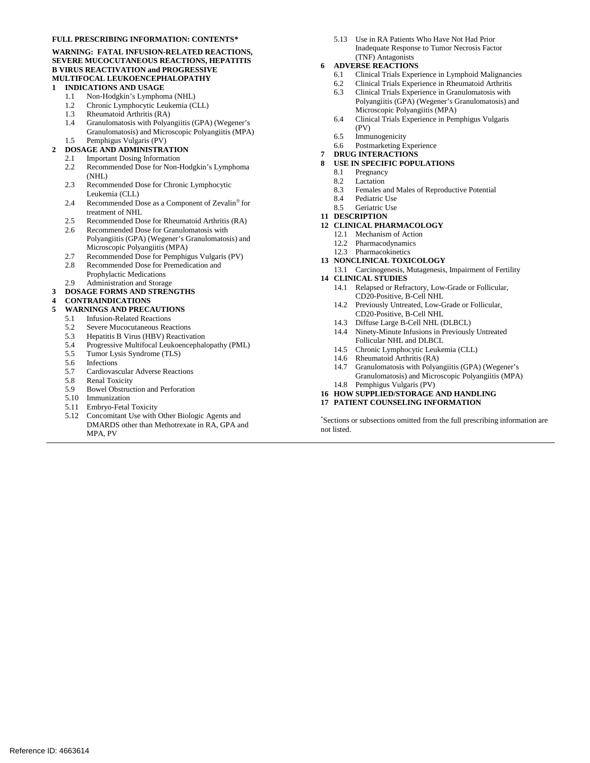#### **FULL PRESCRIBING INFORMATION: CONTENTS***\**

#### **WARNING: FATAL INFUSION-RELATED REACTIONS, SEVERE MUCOCUTANEOUS REACTIONS, HEPATITIS B VIRUS REACTIVATION and PROGRESSIVE MULTIFOCAL LEUKOENCEPHALOPATHY**

- **1 INDICATIONS AND USAGE**
	- 1.1 Non-Hodgkin's Lymphoma (NHL)
	- 1.2 Chronic Lymphocytic Leukemia (CLL)
	- 1.3 Rheumatoid Arthritis (RA)
	- 1.4 Granulomatosis with Polyangiitis (GPA) (Wegener's
	- Granulomatosis) and Microscopic Polyangiitis (MPA) 1.5 Pemphigus Vulgaris (PV)

#### **2 DOSAGE AND ADMINISTRATION**

- 2.1 Important Dosing Information
- 2.2 Recommended Dose for Non-Hodgkin's Lymphoma (NHL)
- 2.3 Recommended Dose for Chronic Lymphocytic Leukemia (CLL)
- 2.4 Recommended Dose as a Component of Zevalin® for treatment of NHL
- 2.5 Recommended Dose for Rheumatoid Arthritis (RA)
- 2.6 Recommended Dose for Granulomatosis with Polyangiitis (GPA) (Wegener's Granulomatosis) and Microscopic Polyangiitis (MPA)
- 2.7 Recommended Dose for Pemphigus Vulgaris (PV)
- 2.8 Recommended Dose for Premedication and
	- Prophylactic Medications

#### 2.9 Administration and Storage

#### **3 DOSAGE FORMS AND STRENGTHS**

#### **4 CONTRAINDICATIONS**

- **5 WARNINGS AND PRECAUTIONS**
	- 5.1 Infusion-Related Reactions
	- 5.2 Severe Mucocutaneous Reactions
	- 5.3 Hepatitis B Virus (HBV) Reactivation
	- 5.4 Progressive Multifocal Leukoencephalopathy (PML)<br>5.5 Tumor Lysis Syndrome (TLS)
	- Tumor Lysis Syndrome (TLS)
	- 5.6 Infections<br>5.7 Cardiovas
	- 5.7 Cardiovascular Adverse Reactions
	- 5.8 Renal Toxicity
	- 5.9 Bowel Obstruction and Perforation
	- 5.10 Immunization
	- 5.11 Embryo-Fetal Toxicity
	- 5.12 Concomitant Use with Other Biologic Agents and DMARDS other than Methotrexate in RA, GPA and MPA, PV

5.13 Use in RA Patients Who Have Not Had Prior Inadequate Response to Tumor Necrosis Factor (TNF) Antagonists

#### **6 ADVERSE REACTIONS**

- 6.1 Clinical Trials Experience in Lymphoid Malignancies
- 6.2 Clinical Trials Experience in Rheumatoid Arthritis
- 6.3 Clinical Trials Experience in Granulomatosis with Polyangiitis (GPA) (Wegener's Granulomatosis) and Microscopic Polyangiitis (MPA)
- 6.4 Clinical Trials Experience in Pemphigus Vulgaris (PV)
- 6.5 Immunogenicity
- 6.6 Postmarketing Experience
- **7 DRUG INTERACTIONS**

#### **8 USE IN SPECIFIC POPULATIONS**

- 8.1 Pregnancy<br>8.2 Lactation
- Lactation
- 8.3 Females and Males of Reproductive Potential
- 8.4 Pediatric Use
- 8.5 Geriatric Use
- **11 DESCRIPTION**

#### **12 CLINICAL PHARMACOLOGY**

- 12.1 Mechanism of Action
- 12.2 Pharmacodynamics
- 12.3 Pharmacokinetics
- **13 NONCLINICAL TOXICOLOGY**
- 13.1 Carcinogenesis, Mutagenesis, Impairment of Fertility **14 CLINICAL STUDIES**
	- 14.1 Relapsed or Refractory, Low-Grade or Follicular, CD20-Positive, B-Cell NHL
	- 14.2 Previously Untreated, Low-Grade or Follicular, CD20-Positive, B-Cell NHL
	- 14.3 Diffuse Large B-Cell NHL (DLBCL)
	- 14.4 Ninety-Minute Infusions in Previously Untreated Follicular NHL and DLBCL
	- 14.5 Chronic Lymphocytic Leukemia (CLL)
	- 14.6 Rheumatoid Arthritis (RA)
	- 14.7 Granulomatosis with Polyangiitis (GPA) (Wegener's Granulomatosis) and Microscopic Polyangiitis (MPA) 14.8 Pemphigus Vulgaris (PV)
- **16 HOW SUPPLIED/STORAGE AND HANDLING**
- **17 PATIENT COUNSELING INFORMATION**

\* Sections or subsections omitted from the full prescribing information are not listed.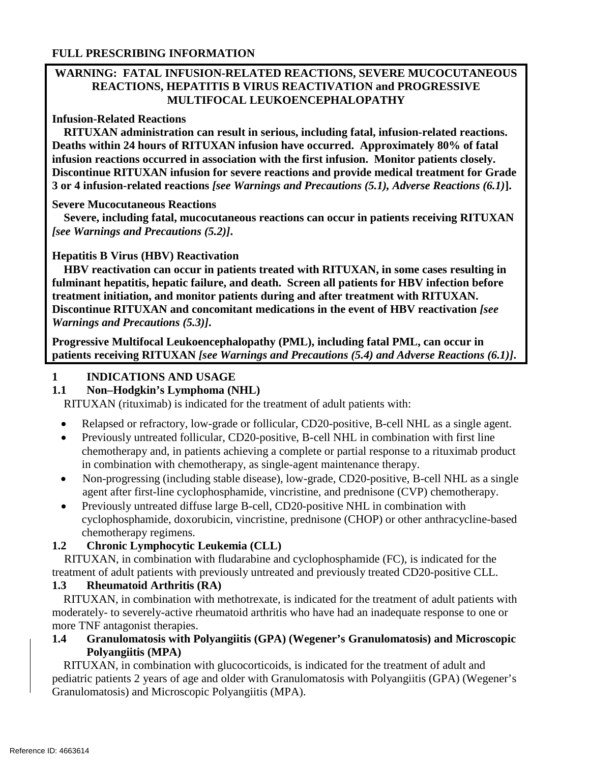## **FULL PRESCRIBING INFORMATION**

## **WARNING: FATAL INFUSION-RELATED REACTIONS, SEVERE MUCOCUTANEOUS REACTIONS, HEPATITIS B VIRUS REACTIVATION and PROGRESSIVE MULTIFOCAL LEUKOENCEPHALOPATHY**

## **Infusion-Related Reactions**

**RITUXAN administration can result in serious, including fatal, infusion-related reactions. Deaths within 24 hours of RITUXAN infusion have occurred. Approximately 80% of fatal infusion reactions occurred in association with the first infusion. Monitor patients closely. Discontinue RITUXAN infusion for severe reactions and provide medical treatment for Grade 3 or 4 infusion-related reactions** *[see Warnings and Precautions (5.1), Adverse Reactions (6.1)***].**

**Severe Mucocutaneous Reactions**

**Severe, including fatal, mucocutaneous reactions can occur in patients receiving RITUXAN** *[see Warnings and Precautions (5.2)]***.**

## **Hepatitis B Virus (HBV) Reactivation**

**HBV reactivation can occur in patients treated with RITUXAN, in some cases resulting in fulminant hepatitis, hepatic failure, and death. Screen all patients for HBV infection before treatment initiation, and monitor patients during and after treatment with RITUXAN. Discontinue RITUXAN and concomitant medications in the event of HBV reactivation** *[see Warnings and Precautions (5.3)]***.**

**Progressive Multifocal Leukoencephalopathy (PML), including fatal PML, can occur in patients receiving RITUXAN** *[see Warnings and Precautions (5.4) and Adverse Reactions (6.1)]***.**

## **1 INDICATIONS AND USAGE**

## **1.1 Non–Hodgkin's Lymphoma (NHL)**

RITUXAN (rituximab) is indicated for the treatment of adult patients with:

- Relapsed or refractory, low-grade or follicular, CD20-positive, B-cell NHL as a single agent.
- Previously untreated follicular, CD20-positive, B-cell NHL in combination with first line chemotherapy and, in patients achieving a complete or partial response to a rituximab product in combination with chemotherapy, as single-agent maintenance therapy.
- Non-progressing (including stable disease), low-grade, CD20-positive, B-cell NHL as a single agent after first-line cyclophosphamide, vincristine, and prednisone (CVP) chemotherapy.
- Previously untreated diffuse large B-cell, CD20-positive NHL in combination with cyclophosphamide, doxorubicin, vincristine, prednisone (CHOP) or other anthracycline-based chemotherapy regimens.

# **1.2 Chronic Lymphocytic Leukemia (CLL)**

RITUXAN, in combination with fludarabine and cyclophosphamide (FC), is indicated for the treatment of adult patients with previously untreated and previously treated CD20-positive CLL.

## **1.3 Rheumatoid Arthritis (RA)**

RITUXAN, in combination with methotrexate, is indicated for the treatment of adult patients with moderately- to severely-active rheumatoid arthritis who have had an inadequate response to one or more TNF antagonist therapies.

## **1.4 Granulomatosis with Polyangiitis (GPA) (Wegener's Granulomatosis) and Microscopic Polyangiitis (MPA)**

RITUXAN, in combination with glucocorticoids, is indicated for the treatment of adult and pediatric patients 2 years of age and older with Granulomatosis with Polyangiitis (GPA) (Wegener's Granulomatosis) and Microscopic Polyangiitis (MPA).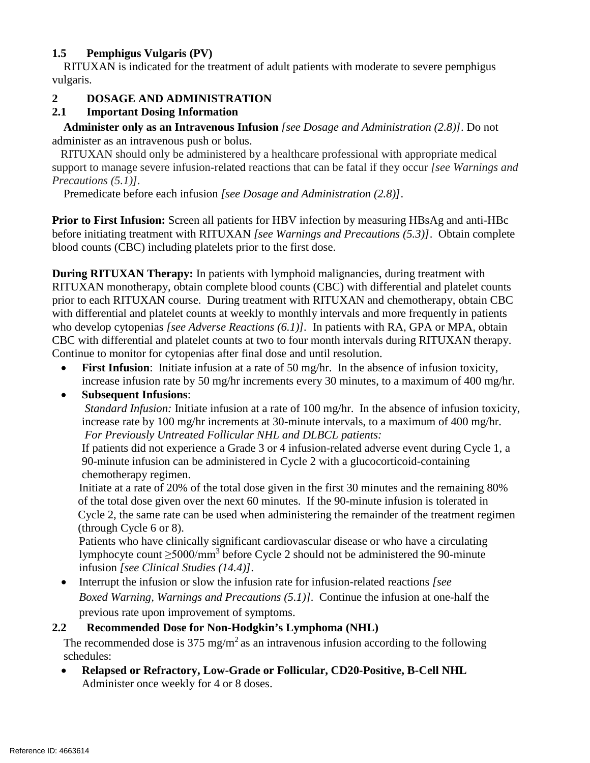## **1.5 Pemphigus Vulgaris (PV)**

RITUXAN is indicated for the treatment of adult patients with moderate to severe pemphigus vulgaris.

## **2 DOSAGE AND ADMINISTRATION**

## **2.1 Important Dosing Information**

**Administer only as an Intravenous Infusion** *[see Dosage and Administration (2.8)]*. Do not administer as an intravenous push or bolus.

 RITUXAN should only be administered by a healthcare professional with appropriate medical support to manage severe infusion-related reactions that can be fatal if they occur *[see Warnings and Precautions (5.1)].*

Premedicate before each infusion *[see Dosage and Administration (2.8)]*.

**Prior to First Infusion:** Screen all patients for HBV infection by measuring HBsAg and anti-HBc before initiating treatment with RITUXAN *[see Warnings and Precautions (5.3)]*. Obtain complete blood counts (CBC) including platelets prior to the first dose.

**During RITUXAN Therapy:** In patients with lymphoid malignancies, during treatment with RITUXAN monotherapy, obtain complete blood counts (CBC) with differential and platelet counts prior to each RITUXAN course. During treatment with RITUXAN and chemotherapy, obtain CBC with differential and platelet counts at weekly to monthly intervals and more frequently in patients who develop cytopenias *[see Adverse Reactions (6.1)].* In patients with RA, GPA or MPA, obtain CBC with differential and platelet counts at two to four month intervals during RITUXAN therapy. Continue to monitor for cytopenias after final dose and until resolution.

• **First Infusion**: Initiate infusion at a rate of 50 mg/hr. In the absence of infusion toxicity, increase infusion rate by 50 mg/hr increments every 30 minutes, to a maximum of 400 mg/hr.

## • **Subsequent Infusions**:

*Standard Infusion:* Initiate infusion at a rate of 100 mg/hr. In the absence of infusion toxicity, increase rate by 100 mg/hr increments at 30-minute intervals, to a maximum of 400 mg/hr. *For Previously Untreated Follicular NHL and DLBCL patients:*

If patients did not experience a Grade 3 or 4 infusion-related adverse event during Cycle 1, a 90-minute infusion can be administered in Cycle 2 with a glucocorticoid-containing chemotherapy regimen.

Initiate at a rate of 20% of the total dose given in the first 30 minutes and the remaining 80% of the total dose given over the next 60 minutes. If the 90-minute infusion is tolerated in Cycle 2, the same rate can be used when administering the remainder of the treatment regimen (through Cycle 6 or 8).

Patients who have clinically significant cardiovascular disease or who have a circulating lymphocyte count  $\geq$ 5000/mm<sup>3</sup> before Cycle 2 should not be administered the 90-minute infusion *[see Clinical Studies (14.4)]*.

• Interrupt the infusion or slow the infusion rate for infusion-related reactions *[see Boxed Warning, Warnings and Precautions (5.1)].* Continue the infusion at one-half the previous rate upon improvement of symptoms.

# **2.2 Recommended Dose for Non-Hodgkin's Lymphoma (NHL)**

The recommended dose is 375 mg/m<sup>2</sup> as an intravenous infusion according to the following schedules:

• **Relapsed or Refractory, Low-Grade or Follicular, CD20-Positive, B-Cell NHL** Administer once weekly for 4 or 8 doses.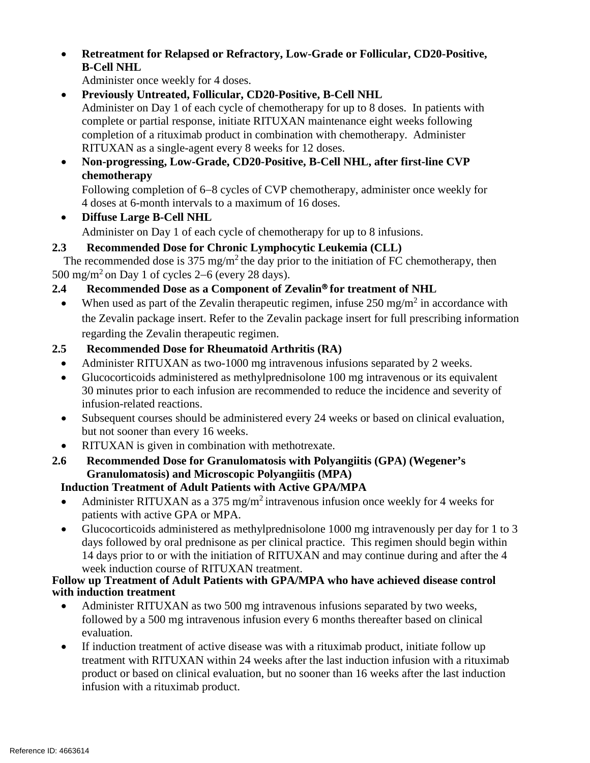• **Retreatment for Relapsed or Refractory, Low-Grade or Follicular, CD20-Positive, B-Cell NHL**

Administer once weekly for 4 doses.

• **Previously Untreated, Follicular, CD20-Positive, B-Cell NHL**

Administer on Day 1 of each cycle of chemotherapy for up to 8 doses. In patients with complete or partial response, initiate RITUXAN maintenance eight weeks following completion of a rituximab product in combination with chemotherapy. Administer RITUXAN as a single-agent every 8 weeks for 12 doses.

• **Non-progressing, Low-Grade, CD20-Positive, B-Cell NHL, after first-line CVP chemotherapy**

Following completion of 6−8 cycles of CVP chemotherapy, administer once weekly for 4 doses at 6-month intervals to a maximum of 16 doses.

• **Diffuse Large B-Cell NHL**

Administer on Day 1 of each cycle of chemotherapy for up to 8 infusions.

## **2.3 Recommended Dose for Chronic Lymphocytic Leukemia (CLL)**

The recommended dose is  $375 \text{ mg/m}^2$  the day prior to the initiation of FC chemotherapy, then 500 mg/m2 on Day 1 of cycles 2−6 (every 28 days).

## **2.4 Recommended Dose as a Component of Zevalin<sup>®</sup> for treatment of NHL**

• When used as part of the Zevalin therapeutic regimen, infuse  $250 \text{ mg/m}^2$  in accordance with the Zevalin package insert. Refer to the Zevalin package insert for full prescribing information regarding the Zevalin therapeutic regimen.

# **2.5 Recommended Dose for Rheumatoid Arthritis (RA)**

- Administer RITUXAN as two-1000 mg intravenous infusions separated by 2 weeks.
- Glucocorticoids administered as methylprednisolone 100 mg intravenous or its equivalent 30 minutes prior to each infusion are recommended to reduce the incidence and severity of infusion-related reactions.
- Subsequent courses should be administered every 24 weeks or based on clinical evaluation, but not sooner than every 16 weeks.
- RITUXAN is given in combination with methotrexate.
- **2.6 Recommended Dose for Granulomatosis with Polyangiitis (GPA) (Wegener's Granulomatosis) and Microscopic Polyangiitis (MPA)**

# **Induction Treatment of Adult Patients with Active GPA/MPA**

- Administer RITUXAN as a 375 mg/m<sup>2</sup> intravenous infusion once weekly for 4 weeks for patients with active GPA or MPA.
- Glucocorticoids administered as methylprednisolone 1000 mg intravenously per day for 1 to 3 days followed by oral prednisone as per clinical practice. This regimen should begin within 14 days prior to or with the initiation of RITUXAN and may continue during and after the 4 week induction course of RITUXAN treatment.

## **Follow up Treatment of Adult Patients with GPA/MPA who have achieved disease control with induction treatment**

- Administer RITUXAN as two 500 mg intravenous infusions separated by two weeks, followed by a 500 mg intravenous infusion every 6 months thereafter based on clinical evaluation.
- If induction treatment of active disease was with a rituximab product, initiate follow up treatment with RITUXAN within 24 weeks after the last induction infusion with a rituximab product or based on clinical evaluation, but no sooner than 16 weeks after the last induction infusion with a rituximab product.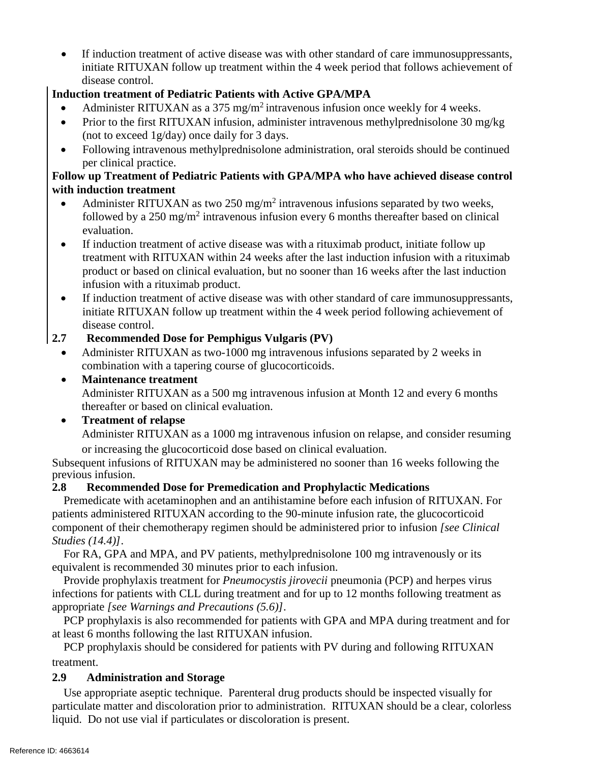• If induction treatment of active disease was with other standard of care immunosuppressants, initiate RITUXAN follow up treatment within the 4 week period that follows achievement of disease control.

# **Induction treatment of Pediatric Patients with Active GPA/MPA**

- Administer RITUXAN as a 375 mg/m<sup>2</sup> intravenous infusion once weekly for 4 weeks.
- Prior to the first RITUXAN infusion, administer intravenous methylprednisolone 30 mg/kg (not to exceed 1g/day) once daily for 3 days.
- Following intravenous methylprednisolone administration, oral steroids should be continued per clinical practice.

## **Follow up Treatment of Pediatric Patients with GPA/MPA who have achieved disease control with induction treatment**

- Administer RITUXAN as two 250 mg/m<sup>2</sup> intravenous infusions separated by two weeks, followed by a 250 mg/m<sup>2</sup> intravenous infusion every 6 months thereafter based on clinical evaluation.
- If induction treatment of active disease was with a rituximab product, initiate follow up treatment with RITUXAN within 24 weeks after the last induction infusion with a rituximab product or based on clinical evaluation, but no sooner than 16 weeks after the last induction infusion with a rituximab product.
- If induction treatment of active disease was with other standard of care immunosuppressants, initiate RITUXAN follow up treatment within the 4 week period following achievement of disease control.

# **2.7 Recommended Dose for Pemphigus Vulgaris (PV)**

• Administer RITUXAN as two-1000 mg intravenous infusions separated by 2 weeks in combination with a tapering course of glucocorticoids.

# • **Maintenance treatment**

Administer RITUXAN as a 500 mg intravenous infusion at Month 12 and every 6 months thereafter or based on clinical evaluation.

# • **Treatment of relapse**

Administer RITUXAN as a 1000 mg intravenous infusion on relapse, and consider resuming or increasing the glucocorticoid dose based on clinical evaluation.

Subsequent infusions of RITUXAN may be administered no sooner than 16 weeks following the previous infusion.

# **2.8 Recommended Dose for Premedication and Prophylactic Medications**

Premedicate with acetaminophen and an antihistamine before each infusion of RITUXAN. For patients administered RITUXAN according to the 90-minute infusion rate, the glucocorticoid component of their chemotherapy regimen should be administered prior to infusion *[see Clinical Studies (14.4)]*.

For RA, GPA and MPA, and PV patients, methylprednisolone 100 mg intravenously or its equivalent is recommended 30 minutes prior to each infusion.

Provide prophylaxis treatment for *Pneumocystis jirovecii* pneumonia (PCP) and herpes virus infections for patients with CLL during treatment and for up to 12 months following treatment as appropriate *[see Warnings and Precautions (5.6)]*.

PCP prophylaxis is also recommended for patients with GPA and MPA during treatment and for at least 6 months following the last RITUXAN infusion.

PCP prophylaxis should be considered for patients with PV during and following RITUXAN treatment.

# **2.9 Administration and Storage**

Use appropriate aseptic technique. Parenteral drug products should be inspected visually for particulate matter and discoloration prior to administration. RITUXAN should be a clear, colorless liquid. Do not use vial if particulates or discoloration is present.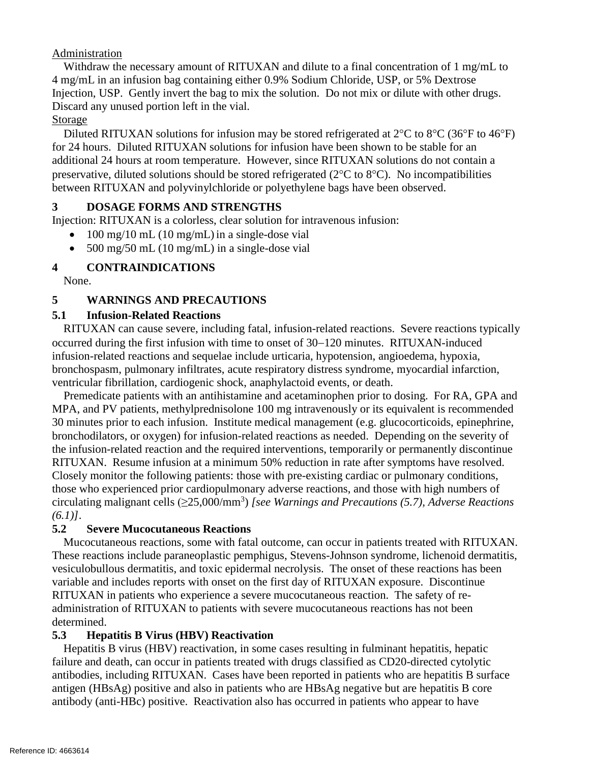## Administration

Withdraw the necessary amount of RITUXAN and dilute to a final concentration of 1 mg/mL to 4 mg/mL in an infusion bag containing either 0.9% Sodium Chloride, USP, or 5% Dextrose Injection, USP. Gently invert the bag to mix the solution. Do not mix or dilute with other drugs. Discard any unused portion left in the vial.

## Storage

Diluted RITUXAN solutions for infusion may be stored refrigerated at  $2^{\circ}C$  to  $8^{\circ}C$  (36°F to 46°F) for 24 hours. Diluted RITUXAN solutions for infusion have been shown to be stable for an additional 24 hours at room temperature. However, since RITUXAN solutions do not contain a preservative, diluted solutions should be stored refrigerated (2°C to 8°C). No incompatibilities between RITUXAN and polyvinylchloride or polyethylene bags have been observed.

## **3 DOSAGE FORMS AND STRENGTHS**

Injection: RITUXAN is a colorless, clear solution for intravenous infusion:

- 100 mg/10 mL (10 mg/mL) in a single-dose vial
- 500 mg/50 mL (10 mg/mL) in a single-dose vial

# **4 CONTRAINDICATIONS**

None.

# **5 WARNINGS AND PRECAUTIONS**

# **5.1 Infusion-Related Reactions**

RITUXAN can cause severe, including fatal, infusion-related reactions. Severe reactions typically occurred during the first infusion with time to onset of 30−120 minutes. RITUXAN-induced infusion-related reactions and sequelae include urticaria, hypotension, angioedema, hypoxia, bronchospasm, pulmonary infiltrates, acute respiratory distress syndrome, myocardial infarction, ventricular fibrillation, cardiogenic shock, anaphylactoid events, or death.

Premedicate patients with an antihistamine and acetaminophen prior to dosing. For RA, GPA and MPA, and PV patients, methylprednisolone 100 mg intravenously or its equivalent is recommended 30 minutes prior to each infusion. Institute medical management (e.g. glucocorticoids, epinephrine, bronchodilators, or oxygen) for infusion-related reactions as needed. Depending on the severity of the infusion-related reaction and the required interventions, temporarily or permanently discontinue RITUXAN. Resume infusion at a minimum 50% reduction in rate after symptoms have resolved. Closely monitor the following patients: those with pre-existing cardiac or pulmonary conditions, those who experienced prior cardiopulmonary adverse reactions, and those with high numbers of circulating malignant cells (≥25,000/mm<sup>3</sup> ) *[see Warnings and Precautions (5.7), Adverse Reactions (6.1)]*.

## **5.2 Severe Mucocutaneous Reactions**

Mucocutaneous reactions, some with fatal outcome, can occur in patients treated with RITUXAN. These reactions include paraneoplastic pemphigus, Stevens-Johnson syndrome, lichenoid dermatitis, vesiculobullous dermatitis, and toxic epidermal necrolysis. The onset of these reactions has been variable and includes reports with onset on the first day of RITUXAN exposure. Discontinue RITUXAN in patients who experience a severe mucocutaneous reaction. The safety of readministration of RITUXAN to patients with severe mucocutaneous reactions has not been determined.

## **5.3 Hepatitis B Virus (HBV) Reactivation**

Hepatitis B virus (HBV) reactivation, in some cases resulting in fulminant hepatitis, hepatic failure and death, can occur in patients treated with drugs classified as CD20-directed cytolytic antibodies, including RITUXAN. Cases have been reported in patients who are hepatitis B surface antigen (HBsAg) positive and also in patients who are HBsAg negative but are hepatitis B core antibody (anti-HBc) positive. Reactivation also has occurred in patients who appear to have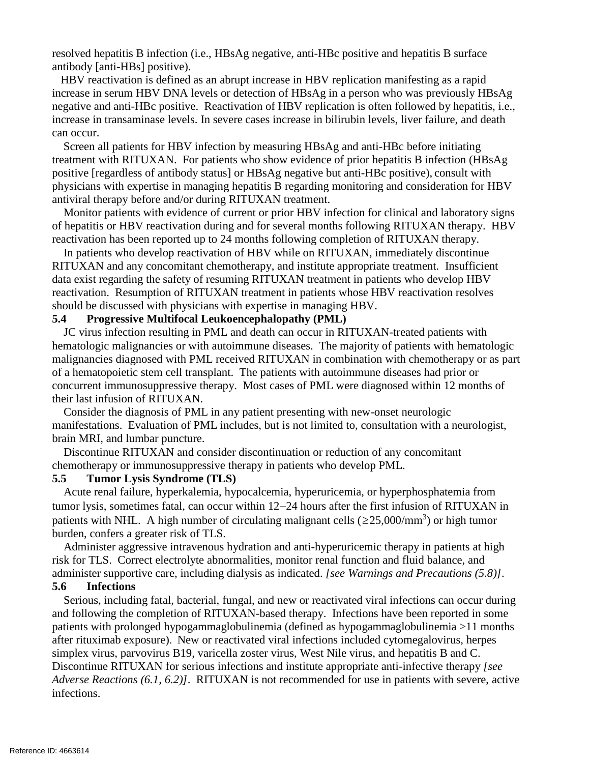resolved hepatitis B infection (i.e., HBsAg negative, anti-HBc positive and hepatitis B surface antibody [anti-HBs] positive).

 HBV reactivation is defined as an abrupt increase in HBV replication manifesting as a rapid increase in serum HBV DNA levels or detection of HBsAg in a person who was previously HBsAg negative and anti-HBc positive. Reactivation of HBV replication is often followed by hepatitis, i.e., increase in transaminase levels. In severe cases increase in bilirubin levels, liver failure, and death can occur.

Screen all patients for HBV infection by measuring HBsAg and anti-HBc before initiating treatment with RITUXAN. For patients who show evidence of prior hepatitis B infection (HBsAg positive [regardless of antibody status] or HBsAg negative but anti-HBc positive), consult with physicians with expertise in managing hepatitis B regarding monitoring and consideration for HBV antiviral therapy before and/or during RITUXAN treatment.

Monitor patients with evidence of current or prior HBV infection for clinical and laboratory signs of hepatitis or HBV reactivation during and for several months following RITUXAN therapy. HBV reactivation has been reported up to 24 months following completion of RITUXAN therapy.

In patients who develop reactivation of HBV while on RITUXAN, immediately discontinue RITUXAN and any concomitant chemotherapy, and institute appropriate treatment. Insufficient data exist regarding the safety of resuming RITUXAN treatment in patients who develop HBV reactivation. Resumption of RITUXAN treatment in patients whose HBV reactivation resolves should be discussed with physicians with expertise in managing HBV.

#### **5.4 Progressive Multifocal Leukoencephalopathy (PML)**

JC virus infection resulting in PML and death can occur in RITUXAN-treated patients with hematologic malignancies or with autoimmune diseases. The majority of patients with hematologic malignancies diagnosed with PML received RITUXAN in combination with chemotherapy or as part of a hematopoietic stem cell transplant. The patients with autoimmune diseases had prior or concurrent immunosuppressive therapy. Most cases of PML were diagnosed within 12 months of their last infusion of RITUXAN.

Consider the diagnosis of PML in any patient presenting with new-onset neurologic manifestations. Evaluation of PML includes, but is not limited to, consultation with a neurologist, brain MRI, and lumbar puncture.

Discontinue RITUXAN and consider discontinuation or reduction of any concomitant chemotherapy or immunosuppressive therapy in patients who develop PML.

#### **5.5 Tumor Lysis Syndrome (TLS)**

Acute renal failure, hyperkalemia, hypocalcemia, hyperuricemia, or hyperphosphatemia from tumor lysis, sometimes fatal, can occur within 12−24 hours after the first infusion of RITUXAN in patients with NHL. A high number of circulating malignant cells ( $\geq$ 25,000/mm<sup>3</sup>) or high tumor burden, confers a greater risk of TLS.

Administer aggressive intravenous hydration and anti-hyperuricemic therapy in patients at high risk for TLS. Correct electrolyte abnormalities, monitor renal function and fluid balance, and administer supportive care, including dialysis as indicated. *[see Warnings and Precautions (5.8)]*. **5.6 Infections**

Serious, including fatal, bacterial, fungal, and new or reactivated viral infections can occur during and following the completion of RITUXAN-based therapy. Infections have been reported in some patients with prolonged hypogammaglobulinemia (defined as hypogammaglobulinemia >11 months after rituximab exposure). New or reactivated viral infections included cytomegalovirus, herpes simplex virus, parvovirus B19, varicella zoster virus, West Nile virus, and hepatitis B and C. Discontinue RITUXAN for serious infections and institute appropriate anti-infective therapy *[see Adverse Reactions (6.1, 6.2)]*. RITUXAN is not recommended for use in patients with severe, active infections.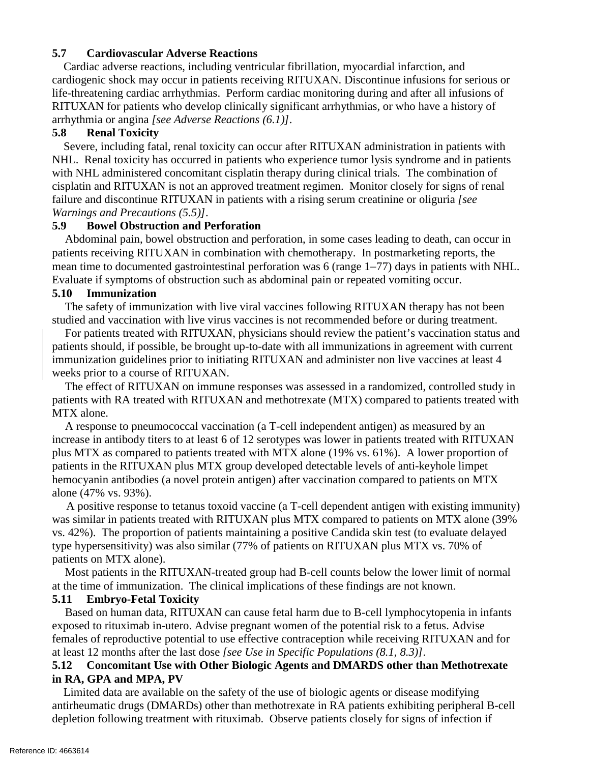## **5.7 Cardiovascular Adverse Reactions**

Cardiac adverse reactions, including ventricular fibrillation, myocardial infarction, and cardiogenic shock may occur in patients receiving RITUXAN. Discontinue infusions for serious or life-threatening cardiac arrhythmias. Perform cardiac monitoring during and after all infusions of RITUXAN for patients who develop clinically significant arrhythmias, or who have a history of arrhythmia or angina *[see Adverse Reactions (6.1)]*.

## **5.8 Renal Toxicity**

Severe, including fatal, renal toxicity can occur after RITUXAN administration in patients with NHL. Renal toxicity has occurred in patients who experience tumor lysis syndrome and in patients with NHL administered concomitant cisplatin therapy during clinical trials. The combination of cisplatin and RITUXAN is not an approved treatment regimen. Monitor closely for signs of renal failure and discontinue RITUXAN in patients with a rising serum creatinine or oliguria *[see Warnings and Precautions (5.5)]*.

## **5.9 Bowel Obstruction and Perforation**

Abdominal pain, bowel obstruction and perforation, in some cases leading to death, can occur in patients receiving RITUXAN in combination with chemotherapy. In postmarketing reports, the mean time to documented gastrointestinal perforation was 6 (range 1−77) days in patients with NHL. Evaluate if symptoms of obstruction such as abdominal pain or repeated vomiting occur.

## **5.10 Immunization**

The safety of immunization with live viral vaccines following RITUXAN therapy has not been studied and vaccination with live virus vaccines is not recommended before or during treatment.

For patients treated with RITUXAN, physicians should review the patient's vaccination status and patients should, if possible, be brought up-to-date with all immunizations in agreement with current immunization guidelines prior to initiating RITUXAN and administer non live vaccines at least 4 weeks prior to a course of RITUXAN.

The effect of RITUXAN on immune responses was assessed in a randomized, controlled study in patients with RA treated with RITUXAN and methotrexate (MTX) compared to patients treated with MTX alone.

A response to pneumococcal vaccination (a T-cell independent antigen) as measured by an increase in antibody titers to at least 6 of 12 serotypes was lower in patients treated with RITUXAN plus MTX as compared to patients treated with MTX alone (19% vs. 61%). A lower proportion of patients in the RITUXAN plus MTX group developed detectable levels of anti-keyhole limpet hemocyanin antibodies (a novel protein antigen) after vaccination compared to patients on MTX alone (47% vs. 93%).

A positive response to tetanus toxoid vaccine (a T-cell dependent antigen with existing immunity) was similar in patients treated with RITUXAN plus MTX compared to patients on MTX alone (39% vs. 42%). The proportion of patients maintaining a positive Candida skin test (to evaluate delayed type hypersensitivity) was also similar (77% of patients on RITUXAN plus MTX vs. 70% of patients on MTX alone).

Most patients in the RITUXAN-treated group had B-cell counts below the lower limit of normal at the time of immunization. The clinical implications of these findings are not known.

## **5.11 Embryo-Fetal Toxicity**

Based on human data, RITUXAN can cause fetal harm due to B-cell lymphocytopenia in infants exposed to rituximab in-utero. Advise pregnant women of the potential risk to a fetus. Advise females of reproductive potential to use effective contraception while receiving RITUXAN and for at least 12 months after the last dose *[see Use in Specific Populations (8.1, 8.3)]*.

## **5.12 Concomitant Use with Other Biologic Agents and DMARDS other than Methotrexate in RA, GPA and MPA, PV**

Limited data are available on the safety of the use of biologic agents or disease modifying antirheumatic drugs (DMARDs) other than methotrexate in RA patients exhibiting peripheral B-cell depletion following treatment with rituximab. Observe patients closely for signs of infection if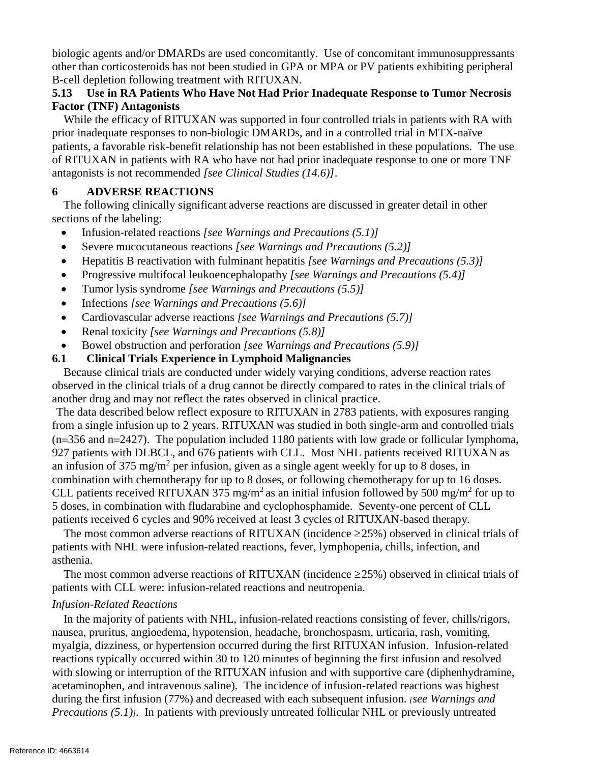biologic agents and/or DMARDs are used concomitantly. Use of concomitant immunosuppressants other than corticosteroids has not been studied in GPA or MPA or PV patients exhibiting peripheral B-cell depletion following treatment with RITUXAN.

## **5.13 Use in RA Patients Who Have Not Had Prior Inadequate Response to Tumor Necrosis Factor (TNF) Antagonists**

While the efficacy of RITUXAN was supported in four controlled trials in patients with RA with prior inadequate responses to non-biologic DMARDs, and in a controlled trial in MTX-naïve patients, a favorable risk-benefit relationship has not been established in these populations. The use of RITUXAN in patients with RA who have not had prior inadequate response to one or more TNF antagonists is not recommended *[see Clinical Studies (14.6)]*.

## **6 ADVERSE REACTIONS**

The following clinically significant adverse reactions are discussed in greater detail in other sections of the labeling:

- Infusion-related reactions *[see Warnings and Precautions (5.1)]*
- Severe mucocutaneous reactions *[see Warnings and Precautions (5.2)]*
- Hepatitis B reactivation with fulminant hepatitis *[see Warnings and Precautions (5.3)]*
- Progressive multifocal leukoencephalopathy *[see Warnings and Precautions (5.4)]*
- Tumor lysis syndrome *[see Warnings and Precautions (5.5)]*
- Infections *[see Warnings and Precautions (5.6)]*
- Cardiovascular adverse reactions *[see Warnings and Precautions (5.7)]*
- Renal toxicity *[see Warnings and Precautions (5.8)]*
- Bowel obstruction and perforation *[see Warnings and Precautions (5.9)]*

## **6.1 Clinical Trials Experience in Lymphoid Malignancies**

Because clinical trials are conducted under widely varying conditions, adverse reaction rates observed in the clinical trials of a drug cannot be directly compared to rates in the clinical trials of another drug and may not reflect the rates observed in clinical practice.

The data described below reflect exposure to RITUXAN in 2783 patients, with exposures ranging from a single infusion up to 2 years. RITUXAN was studied in both single-arm and controlled trials (n=356 and n=2427). The population included 1180 patients with low grade or follicular lymphoma, 927 patients with DLBCL, and 676 patients with CLL. Most NHL patients received RITUXAN as an infusion of 375 mg/m<sup>2</sup> per infusion, given as a single agent weekly for up to 8 doses, in combination with chemotherapy for up to 8 doses, or following chemotherapy for up to 16 doses. CLL patients received RITUXAN 375 mg/m<sup>2</sup> as an initial infusion followed by 500 mg/m<sup>2</sup> for up to 5 doses, in combination with fludarabine and cyclophosphamide. Seventy-one percent of CLL patients received 6 cycles and 90% received at least 3 cycles of RITUXAN-based therapy.

The most common adverse reactions of RITUXAN (incidence  $\geq$  25%) observed in clinical trials of patients with NHL were infusion-related reactions, fever, lymphopenia, chills, infection, and asthenia.

The most common adverse reactions of RITUXAN (incidence  $\geq$  25%) observed in clinical trials of patients with CLL were: infusion-related reactions and neutropenia.

## *Infusion-Related Reactions*

In the majority of patients with NHL, infusion-related reactions consisting of fever, chills/rigors, nausea, pruritus, angioedema, hypotension, headache, bronchospasm, urticaria, rash, vomiting, myalgia, dizziness, or hypertension occurred during the first RITUXAN infusion. Infusion-related reactions typically occurred within 30 to 120 minutes of beginning the first infusion and resolved with slowing or interruption of the RITUXAN infusion and with supportive care (diphenhydramine, acetaminophen, and intravenous saline). The incidence of infusion-related reactions was highest during the first infusion (77%) and decreased with each subsequent infusion. *[see Warnings and Precautions (5.1)]*. In patients with previously untreated follicular NHL or previously untreated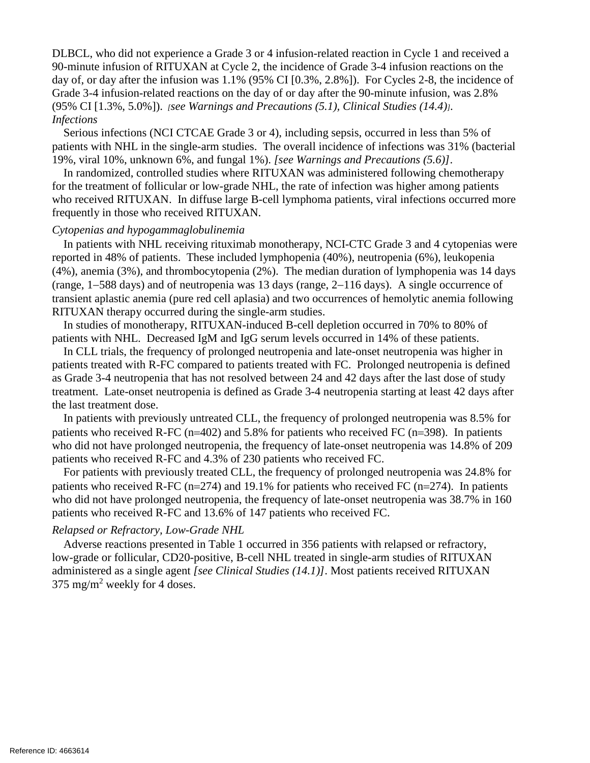DLBCL, who did not experience a Grade 3 or 4 infusion-related reaction in Cycle 1 and received a 90-minute infusion of RITUXAN at Cycle 2, the incidence of Grade 3-4 infusion reactions on the day of, or day after the infusion was 1.1% (95% CI [0.3%, 2.8%]). For Cycles 2-8, the incidence of Grade 3-4 infusion-related reactions on the day of or day after the 90-minute infusion, was 2.8% (95% CI [1.3%, 5.0%]). *[see Warnings and Precautions (5.1), Clinical Studies (14.4)]*. *Infections*

Serious infections (NCI CTCAE Grade 3 or 4), including sepsis, occurred in less than 5% of patients with NHL in the single-arm studies. The overall incidence of infections was 31% (bacterial 19%, viral 10%, unknown 6%, and fungal 1%). *[see Warnings and Precautions (5.6)]*.

In randomized, controlled studies where RITUXAN was administered following chemotherapy for the treatment of follicular or low-grade NHL, the rate of infection was higher among patients who received RITUXAN. In diffuse large B-cell lymphoma patients, viral infections occurred more frequently in those who received RITUXAN.

#### *Cytopenias and hypogammaglobulinemia*

In patients with NHL receiving rituximab monotherapy, NCI-CTC Grade 3 and 4 cytopenias were reported in 48% of patients. These included lymphopenia (40%), neutropenia (6%), leukopenia (4%), anemia (3%), and thrombocytopenia (2%). The median duration of lymphopenia was 14 days (range, 1−588 days) and of neutropenia was 13 days (range, 2−116 days). A single occurrence of transient aplastic anemia (pure red cell aplasia) and two occurrences of hemolytic anemia following RITUXAN therapy occurred during the single-arm studies.

In studies of monotherapy, RITUXAN-induced B-cell depletion occurred in 70% to 80% of patients with NHL. Decreased IgM and IgG serum levels occurred in 14% of these patients.

In CLL trials, the frequency of prolonged neutropenia and late-onset neutropenia was higher in patients treated with R-FC compared to patients treated with FC. Prolonged neutropenia is defined as Grade 3-4 neutropenia that has not resolved between 24 and 42 days after the last dose of study treatment. Late-onset neutropenia is defined as Grade 3-4 neutropenia starting at least 42 days after the last treatment dose.

In patients with previously untreated CLL, the frequency of prolonged neutropenia was 8.5% for patients who received R-FC ( $n=402$ ) and 5.8% for patients who received FC ( $n=398$ ). In patients who did not have prolonged neutropenia, the frequency of late-onset neutropenia was 14.8% of 209 patients who received R-FC and 4.3% of 230 patients who received FC.

For patients with previously treated CLL, the frequency of prolonged neutropenia was 24.8% for patients who received R-FC ( $n=274$ ) and 19.1% for patients who received FC ( $n=274$ ). In patients who did not have prolonged neutropenia, the frequency of late-onset neutropenia was 38.7% in 160 patients who received R-FC and 13.6% of 147 patients who received FC.

## *Relapsed or Refractory, Low-Grade NHL*

Adverse reactions presented in Table 1 occurred in 356 patients with relapsed or refractory, low-grade or follicular, CD20-positive, B-cell NHL treated in single-arm studies of RITUXAN administered as a single agent *[see Clinical Studies (14.1)]*. Most patients received RITUXAN 375 mg/m<sup>2</sup> weekly for 4 doses.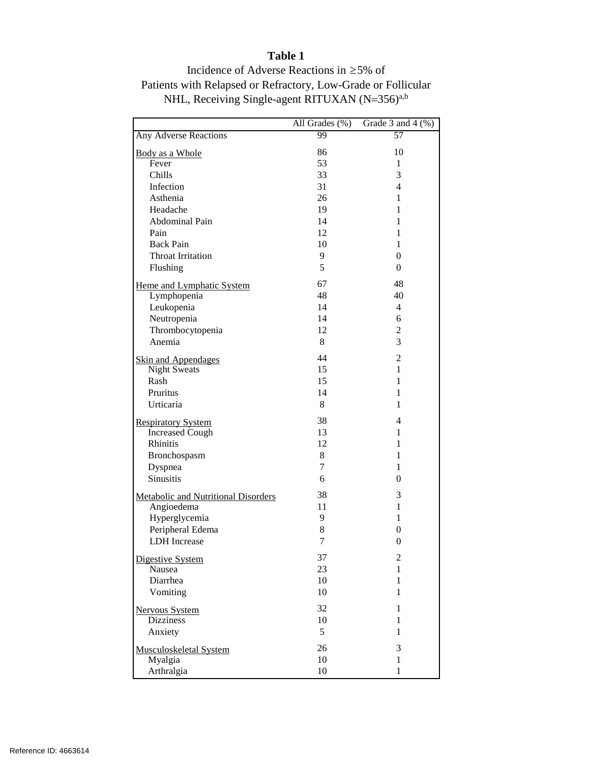# **Table 1**

Incidence of Adverse Reactions in ≥5% of Patients with Relapsed or Refractory, Low-Grade or Follicular NHL, Receiving Single-agent RITUXAN (N=356)<sup>a,b</sup>

|                                       | All Grades (%) | Grade $3$ and $4$ (%) |
|---------------------------------------|----------------|-----------------------|
| <b>Any Adverse Reactions</b>          | 99             | 57                    |
| Body as a Whole                       | 86             | 10                    |
| Fever                                 | 53             | $\mathbf{1}$          |
| Chills                                | 33             | 3                     |
| Infection                             | 31             | $\overline{4}$        |
| Asthenia                              | 26             | $\mathbf 1$           |
| Headache                              | 19             | $\mathbf{1}$          |
| Abdominal Pain                        | 14             | $\mathbf{1}$          |
| Pain                                  | 12             | $\mathbf{1}$          |
| <b>Back Pain</b>                      | 10             | $\mathbf{1}$          |
| <b>Throat Irritation</b>              | 9              | $\boldsymbol{0}$      |
| Flushing                              | 5              | $\boldsymbol{0}$      |
| Heme and Lymphatic System             | 67             | 48                    |
| Lymphopenia                           | 48             | 40                    |
| Leukopenia                            | 14             | $\overline{4}$        |
| Neutropenia                           | 14             | 6                     |
| Thrombocytopenia                      | 12             | $\overline{c}$        |
| Anemia                                | 8              | 3                     |
| Skin and Appendages                   | 44             | $\overline{c}$        |
| <b>Night Sweats</b>                   | 15             | $\mathbf{1}$          |
| Rash                                  | 15             | 1                     |
| Pruritus                              | 14             | 1                     |
| Urticaria                             | 8              | 1                     |
|                                       | 38             | $\overline{4}$        |
| Respiratory System<br>Increased Cough | 13             | $\mathbf{1}$          |
| Rhinitis                              | 12             | $\mathbf 1$           |
| Bronchospasm                          | 8              | $\mathbf 1$           |
| Dyspnea                               | 7              | $\mathbf 1$           |
| Sinusitis                             | 6              | $\overline{0}$        |
| Metabolic and Nutritional Disorders   | 38             | 3                     |
| Angioedema                            | 11             | $\mathbf 1$           |
| Hyperglycemia                         | 9              | 1                     |
| Peripheral Edema                      | 8              | $\boldsymbol{0}$      |
| <b>LDH</b> Increase                   | 7              | $\boldsymbol{0}$      |
| Digestive System                      | 37             | $\overline{c}$        |
| Nausea                                | 23             | 1                     |
| Diarrhea                              | 10             | 1                     |
| Vomiting                              | 10             | 1                     |
| <b>Nervous System</b>                 | 32             | 1                     |
| <b>Dizziness</b>                      | 10             | 1                     |
| Anxiety                               | 5              | 1                     |
| Musculoskeletal System                | 26             | 3                     |
| Myalgia                               | 10             | $\mathbf{1}$          |
| Arthralgia                            | 10             | 1                     |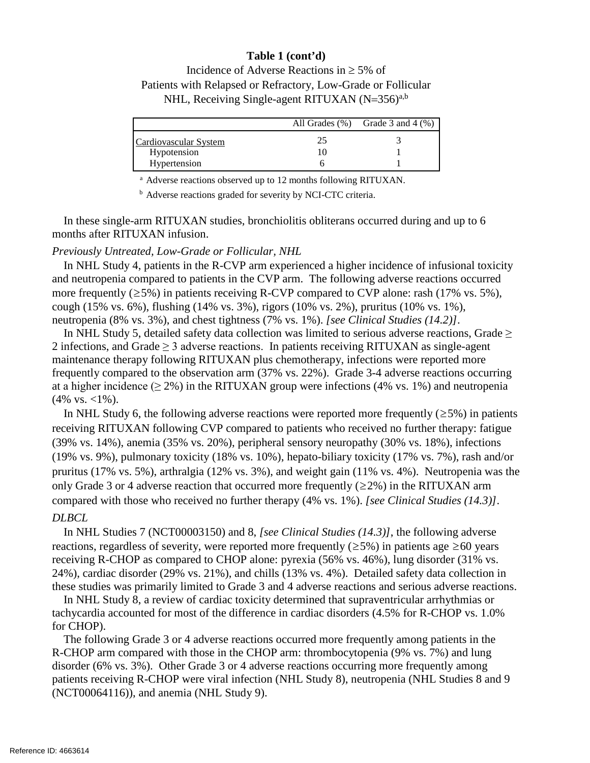## **Table 1 (cont'd)**

Incidence of Adverse Reactions in  $\geq$  5% of Patients with Relapsed or Refractory, Low-Grade or Follicular NHL, Receiving Single-agent RITUXAN (N=356)<sup>a,b</sup>

|                       |    | All Grades $(\%)$ Grade 3 and 4 $(\%)$ |
|-----------------------|----|----------------------------------------|
| Cardiovascular System | 25 |                                        |
| Hypotension           |    |                                        |
| Hypertension          |    |                                        |

<sup>a</sup> Adverse reactions observed up to 12 months following RITUXAN.

<sup>b</sup> Adverse reactions graded for severity by NCI-CTC criteria.

In these single-arm RITUXAN studies, bronchiolitis obliterans occurred during and up to 6 months after RITUXAN infusion.

#### *Previously Untreated, Low-Grade or Follicular, NHL*

In NHL Study 4, patients in the R-CVP arm experienced a higher incidence of infusional toxicity and neutropenia compared to patients in the CVP arm. The following adverse reactions occurred more frequently ( $\geq$ 5%) in patients receiving R-CVP compared to CVP alone: rash (17% vs. 5%), cough (15% vs. 6%), flushing (14% vs. 3%), rigors (10% vs. 2%), pruritus (10% vs. 1%), neutropenia (8% vs. 3%), and chest tightness (7% vs. 1%). *[see Clinical Studies (14.2)]*.

In NHL Study 5, detailed safety data collection was limited to serious adverse reactions, Grade  $\geq$ 2 infections, and Grade  $\geq$  3 adverse reactions. In patients receiving RITUXAN as single-agent maintenance therapy following RITUXAN plus chemotherapy, infections were reported more frequently compared to the observation arm (37% vs. 22%). Grade 3-4 adverse reactions occurring at a higher incidence  $(\geq 2\%)$  in the RITUXAN group were infections (4% vs. 1%) and neutropenia  $(4\% \text{ vs. } <1\%)$ .

In NHL Study 6, the following adverse reactions were reported more frequently ( $\geq$ 5%) in patients receiving RITUXAN following CVP compared to patients who received no further therapy: fatigue (39% vs. 14%), anemia (35% vs. 20%), peripheral sensory neuropathy (30% vs. 18%), infections (19% vs. 9%), pulmonary toxicity (18% vs. 10%), hepato-biliary toxicity (17% vs. 7%), rash and/or pruritus (17% vs. 5%), arthralgia (12% vs. 3%), and weight gain (11% vs. 4%). Neutropenia was the only Grade 3 or 4 adverse reaction that occurred more frequently ( $\geq$ 2%) in the RITUXAN arm compared with those who received no further therapy (4% vs. 1%). *[see Clinical Studies (14.3)]*. *DLBCL*

In NHL Studies 7 (NCT00003150) and 8, *[see Clinical Studies (14.3)]*, the following adverse reactions, regardless of severity, were reported more frequently ( $\geq$ 5%) in patients age  $\geq$ 60 years receiving R-CHOP as compared to CHOP alone: pyrexia (56% vs. 46%), lung disorder (31% vs. 24%), cardiac disorder (29% vs. 21%), and chills (13% vs. 4%). Detailed safety data collection in these studies was primarily limited to Grade 3 and 4 adverse reactions and serious adverse reactions.

In NHL Study 8, a review of cardiac toxicity determined that supraventricular arrhythmias or tachycardia accounted for most of the difference in cardiac disorders (4.5% for R-CHOP vs. 1.0% for CHOP).

The following Grade 3 or 4 adverse reactions occurred more frequently among patients in the R-CHOP arm compared with those in the CHOP arm: thrombocytopenia (9% vs. 7%) and lung disorder (6% vs. 3%). Other Grade 3 or 4 adverse reactions occurring more frequently among patients receiving R-CHOP were viral infection (NHL Study 8), neutropenia (NHL Studies 8 and 9 (NCT00064116)), and anemia (NHL Study 9).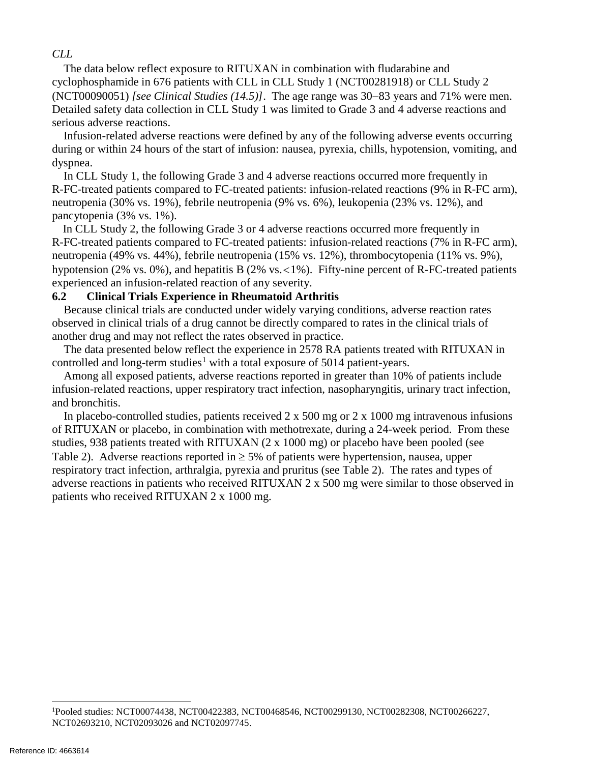*CLL*

The data below reflect exposure to RITUXAN in combination with fludarabine and cyclophosphamide in 676 patients with CLL in CLL Study 1 (NCT00281918) or CLL Study 2 (NCT00090051) *[see Clinical Studies (14.5)]*. The age range was 30−83 years and 71% were men. Detailed safety data collection in CLL Study 1 was limited to Grade 3 and 4 adverse reactions and serious adverse reactions.

Infusion-related adverse reactions were defined by any of the following adverse events occurring during or within 24 hours of the start of infusion: nausea, pyrexia, chills, hypotension, vomiting, and dyspnea.

In CLL Study 1, the following Grade 3 and 4 adverse reactions occurred more frequently in R-FC-treated patients compared to FC-treated patients: infusion-related reactions (9% in R-FC arm), neutropenia (30% vs. 19%), febrile neutropenia (9% vs. 6%), leukopenia (23% vs. 12%), and pancytopenia (3% vs. 1%).

In CLL Study 2, the following Grade 3 or 4 adverse reactions occurred more frequently in R-FC-treated patients compared to FC-treated patients: infusion-related reactions (7% in R-FC arm), neutropenia (49% vs. 44%), febrile neutropenia (15% vs. 12%), thrombocytopenia (11% vs. 9%), hypotension (2% vs. 0%), and hepatitis B (2% vs. < 1%). Fifty-nine percent of R-FC-treated patients experienced an infusion-related reaction of any severity.

## **6.2 Clinical Trials Experience in Rheumatoid Arthritis**

Because clinical trials are conducted under widely varying conditions, adverse reaction rates observed in clinical trials of a drug cannot be directly compared to rates in the clinical trials of another drug and may not reflect the rates observed in practice.

The data presented below reflect the experience in 2578 RA patients treated with RITUXAN in controlled and long-term studies<sup>[1](#page-13-0)</sup> with a total exposure of 5014 patient-years.

Among all exposed patients, adverse reactions reported in greater than 10% of patients include infusion-related reactions, upper respiratory tract infection, nasopharyngitis, urinary tract infection, and bronchitis.

In placebo-controlled studies, patients received  $2 \times 500$  mg or  $2 \times 1000$  mg intravenous infusions of RITUXAN or placebo, in combination with methotrexate, during a 24-week period. From these studies, 938 patients treated with RITUXAN (2 x 1000 mg) or placebo have been pooled (see Table 2). Adverse reactions reported in  $\geq$  5% of patients were hypertension, nausea, upper respiratory tract infection, arthralgia, pyrexia and pruritus (see Table 2). The rates and types of adverse reactions in patients who received RITUXAN 2 x 500 mg were similar to those observed in patients who received RITUXAN 2 x 1000 mg.

<span id="page-13-0"></span> $\frac{1}{1}$ Pooled studies: NCT00074438, NCT00422383, NCT00468546, NCT00299130, NCT00282308, NCT00266227, NCT02693210, NCT02093026 and NCT02097745.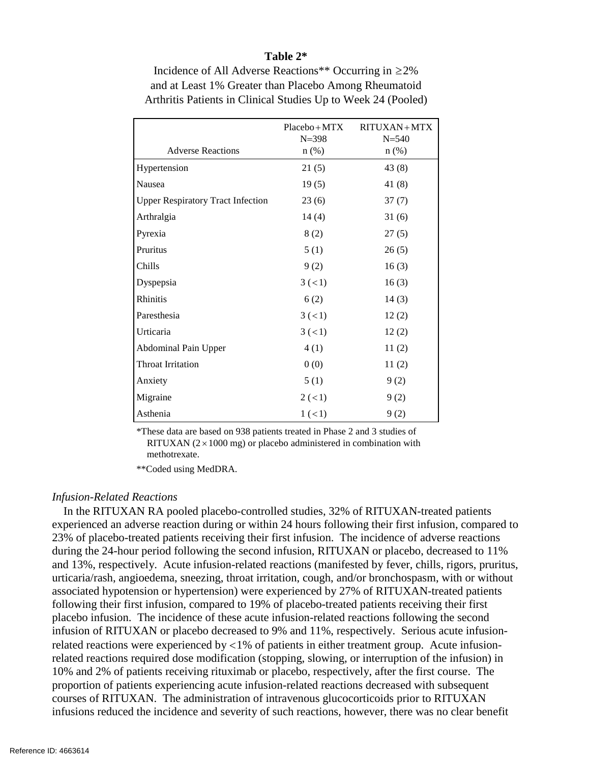#### **Table 2\***

| Incidence of All Adverse Reactions** Occurring in $\geq 2\%$  |
|---------------------------------------------------------------|
| and at Least 1% Greater than Placebo Among Rheumatoid         |
| Arthritis Patients in Clinical Studies Up to Week 24 (Pooled) |

|                                          | $Placebo + MTX$<br>$N = 398$ | RITUXAN+MTX<br>$N = 540$ |
|------------------------------------------|------------------------------|--------------------------|
| <b>Adverse Reactions</b>                 | $n$ (%)                      | $n$ (%)                  |
| Hypertension                             | 21(5)                        | 43(8)                    |
| Nausea                                   | 19(5)                        | 41(8)                    |
| <b>Upper Respiratory Tract Infection</b> | 23(6)                        | 37(7)                    |
| Arthralgia                               | 14(4)                        | 31(6)                    |
| Pyrexia                                  | 8(2)                         | 27(5)                    |
| Pruritus                                 | 5(1)                         | 26(5)                    |
| Chills                                   | 9(2)                         | 16(3)                    |
| Dyspepsia                                | 3(<1)                        | 16(3)                    |
| <b>Rhinitis</b>                          | 6(2)                         | 14(3)                    |
| Paresthesia                              | 3 (< 1)                      | 12(2)                    |
| Urticaria                                | 3(<1)                        | 12(2)                    |
| <b>Abdominal Pain Upper</b>              | 4(1)                         | 11(2)                    |
| <b>Throat Irritation</b>                 | 0(0)                         | 11(2)                    |
| Anxiety                                  | 5(1)                         | 9(2)                     |
| Migraine                                 | 2(<1)                        | 9(2)                     |
| Asthenia                                 | 1 (< 1)                      | 9(2)                     |

\*These data are based on 938 patients treated in Phase 2 and 3 studies of RITUXAN  $(2 \times 1000 \text{ mg})$  or placebo administered in combination with methotrexate.

\*\*Coded using MedDRA.

#### *Infusion-Related Reactions*

In the RITUXAN RA pooled placebo-controlled studies, 32% of RITUXAN-treated patients experienced an adverse reaction during or within 24 hours following their first infusion, compared to 23% of placebo-treated patients receiving their first infusion. The incidence of adverse reactions during the 24-hour period following the second infusion, RITUXAN or placebo, decreased to 11% and 13%, respectively. Acute infusion-related reactions (manifested by fever, chills, rigors, pruritus, urticaria/rash, angioedema, sneezing, throat irritation, cough, and/or bronchospasm, with or without associated hypotension or hypertension) were experienced by 27% of RITUXAN-treated patients following their first infusion, compared to 19% of placebo-treated patients receiving their first placebo infusion. The incidence of these acute infusion-related reactions following the second infusion of RITUXAN or placebo decreased to 9% and 11%, respectively. Serious acute infusionrelated reactions were experienced by  $\langle 1\%$  of patients in either treatment group. Acute infusionrelated reactions required dose modification (stopping, slowing, or interruption of the infusion) in 10% and 2% of patients receiving rituximab or placebo, respectively, after the first course. The proportion of patients experiencing acute infusion-related reactions decreased with subsequent courses of RITUXAN. The administration of intravenous glucocorticoids prior to RITUXAN infusions reduced the incidence and severity of such reactions, however, there was no clear benefit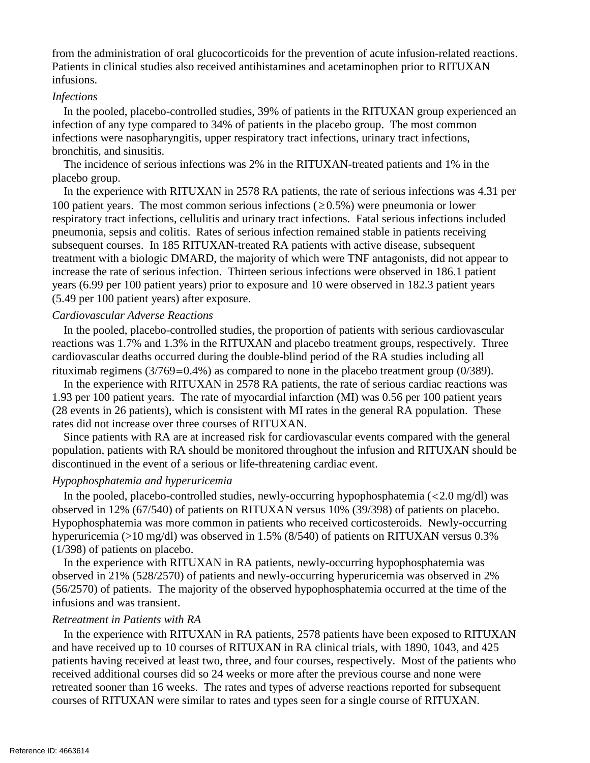from the administration of oral glucocorticoids for the prevention of acute infusion-related reactions. Patients in clinical studies also received antihistamines and acetaminophen prior to RITUXAN infusions.

#### *Infections*

In the pooled, placebo-controlled studies, 39% of patients in the RITUXAN group experienced an infection of any type compared to 34% of patients in the placebo group. The most common infections were nasopharyngitis, upper respiratory tract infections, urinary tract infections, bronchitis, and sinusitis.

The incidence of serious infections was 2% in the RITUXAN-treated patients and 1% in the placebo group.

In the experience with RITUXAN in 2578 RA patients, the rate of serious infections was 4.31 per 100 patient years. The most common serious infections ( $\geq$ 0.5%) were pneumonia or lower respiratory tract infections, cellulitis and urinary tract infections. Fatal serious infections included pneumonia, sepsis and colitis. Rates of serious infection remained stable in patients receiving subsequent courses. In 185 RITUXAN-treated RA patients with active disease, subsequent treatment with a biologic DMARD, the majority of which were TNF antagonists, did not appear to increase the rate of serious infection. Thirteen serious infections were observed in 186.1 patient years (6.99 per 100 patient years) prior to exposure and 10 were observed in 182.3 patient years (5.49 per 100 patient years) after exposure.

## *Cardiovascular Adverse Reactions*

In the pooled, placebo-controlled studies, the proportion of patients with serious cardiovascular reactions was 1.7% and 1.3% in the RITUXAN and placebo treatment groups, respectively. Three cardiovascular deaths occurred during the double-blind period of the RA studies including all rituximab regimens  $(3/769=0.4\%)$  as compared to none in the placebo treatment group  $(0/389)$ .

In the experience with RITUXAN in 2578 RA patients, the rate of serious cardiac reactions was 1.93 per 100 patient years. The rate of myocardial infarction (MI) was 0.56 per 100 patient years (28 events in 26 patients), which is consistent with MI rates in the general RA population. These rates did not increase over three courses of RITUXAN.

Since patients with RA are at increased risk for cardiovascular events compared with the general population, patients with RA should be monitored throughout the infusion and RITUXAN should be discontinued in the event of a serious or life-threatening cardiac event.

## *Hypophosphatemia and hyperuricemia*

In the pooled, placebo-controlled studies, newly-occurring hypophosphatemia  $\langle$  <2.0 mg/dl) was observed in 12% (67/540) of patients on RITUXAN versus 10% (39/398) of patients on placebo. Hypophosphatemia was more common in patients who received corticosteroids. Newly-occurring hyperuricemia (>10 mg/dl) was observed in 1.5% (8/540) of patients on RITUXAN versus 0.3% (1/398) of patients on placebo.

In the experience with RITUXAN in RA patients, newly-occurring hypophosphatemia was observed in 21% (528/2570) of patients and newly-occurring hyperuricemia was observed in 2% (56/2570) of patients. The majority of the observed hypophosphatemia occurred at the time of the infusions and was transient.

## *Retreatment in Patients with RA*

In the experience with RITUXAN in RA patients, 2578 patients have been exposed to RITUXAN and have received up to 10 courses of RITUXAN in RA clinical trials, with 1890, 1043, and 425 patients having received at least two, three, and four courses, respectively. Most of the patients who received additional courses did so 24 weeks or more after the previous course and none were retreated sooner than 16 weeks. The rates and types of adverse reactions reported for subsequent courses of RITUXAN were similar to rates and types seen for a single course of RITUXAN.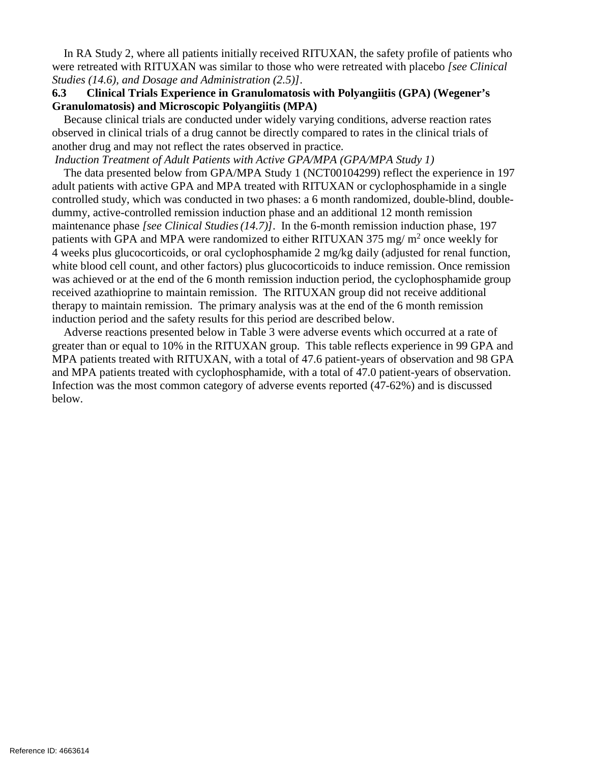In RA Study 2, where all patients initially received RITUXAN, the safety profile of patients who were retreated with RITUXAN was similar to those who were retreated with placebo *[see Clinical Studies (14.6), and Dosage and Administration (2.5)]*.

## **6.3 Clinical Trials Experience in Granulomatosis with Polyangiitis (GPA) (Wegener's Granulomatosis) and Microscopic Polyangiitis (MPA)**

Because clinical trials are conducted under widely varying conditions, adverse reaction rates observed in clinical trials of a drug cannot be directly compared to rates in the clinical trials of another drug and may not reflect the rates observed in practice.

*Induction Treatment of Adult Patients with Active GPA/MPA (GPA/MPA Study 1)*

The data presented below from GPA/MPA Study 1 (NCT00104299) reflect the experience in 197 adult patients with active GPA and MPA treated with RITUXAN or cyclophosphamide in a single controlled study, which was conducted in two phases: a 6 month randomized, double-blind, doubledummy, active-controlled remission induction phase and an additional 12 month remission maintenance phase *[see Clinical Studies (14.7)]*. In the 6-month remission induction phase, 197 patients with GPA and MPA were randomized to either RITUXAN 375 mg/ $m<sup>2</sup>$  once weekly for 4 weeks plus glucocorticoids, or oral cyclophosphamide 2 mg/kg daily (adjusted for renal function, white blood cell count, and other factors) plus glucocorticoids to induce remission. Once remission was achieved or at the end of the 6 month remission induction period, the cyclophosphamide group received azathioprine to maintain remission. The RITUXAN group did not receive additional therapy to maintain remission. The primary analysis was at the end of the 6 month remission induction period and the safety results for this period are described below.

Adverse reactions presented below in Table 3 were adverse events which occurred at a rate of greater than or equal to 10% in the RITUXAN group. This table reflects experience in 99 GPA and MPA patients treated with RITUXAN, with a total of 47.6 patient-years of observation and 98 GPA and MPA patients treated with cyclophosphamide, with a total of 47.0 patient-years of observation. Infection was the most common category of adverse events reported (47-62%) and is discussed below.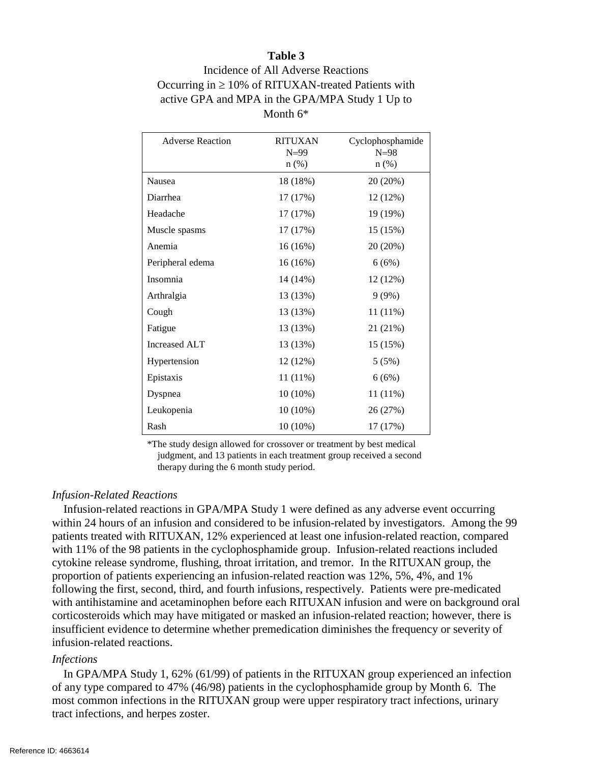#### **Table 3**

## Incidence of All Adverse Reactions Occurring in  $\geq 10\%$  of RITUXAN-treated Patients with active GPA and MPA in the GPA/MPA Study 1 Up to Month 6\*

| <b>Adverse Reaction</b> | <b>RITUXAN</b><br>$N=99$<br>$n$ (%) | Cyclophosphamide<br>$N=98$<br>$n(\%)$ |
|-------------------------|-------------------------------------|---------------------------------------|
| <b>Nausea</b>           | 18 (18%)                            | 20 (20%)                              |
| Diarrhea                | 17 (17%)                            | 12 (12%)                              |
| Headache                | 17 (17%)                            | 19 (19%)                              |
| Muscle spasms           | 17 (17%)                            | 15 (15%)                              |
| Anemia                  | 16 (16%)                            | 20 (20%)                              |
| Peripheral edema        | 16 (16%)                            | 6(6%)                                 |
| Insomnia                | 14 (14%)                            | 12 (12%)                              |
| Arthralgia              | 13 (13%)                            | 9(9%)                                 |
| Cough                   | 13 (13%)                            | $11(11\%)$                            |
| Fatigue                 | 13 (13%)                            | 21 (21%)                              |
| <b>Increased ALT</b>    | 13 (13%)                            | 15 (15%)                              |
| Hypertension            | 12 (12%)                            | 5(5%)                                 |
| Epistaxis               | 11 (11%)                            | 6(6%)                                 |
| Dyspnea                 | $10(10\%)$                          | $11(11\%)$                            |
| Leukopenia              | $10(10\%)$                          | 26 (27%)                              |
| Rash                    | 10 (10%)                            | 17 (17%)                              |

\*The study design allowed for crossover or treatment by best medical judgment, and 13 patients in each treatment group received a second therapy during the 6 month study period.

#### *Infusion-Related Reactions*

Infusion-related reactions in GPA/MPA Study 1 were defined as any adverse event occurring within 24 hours of an infusion and considered to be infusion-related by investigators. Among the 99 patients treated with RITUXAN, 12% experienced at least one infusion-related reaction, compared with 11% of the 98 patients in the cyclophosphamide group. Infusion-related reactions included cytokine release syndrome, flushing, throat irritation, and tremor. In the RITUXAN group, the proportion of patients experiencing an infusion-related reaction was 12%, 5%, 4%, and 1% following the first, second, third, and fourth infusions, respectively. Patients were pre-medicated with antihistamine and acetaminophen before each RITUXAN infusion and were on background oral corticosteroids which may have mitigated or masked an infusion-related reaction; however, there is insufficient evidence to determine whether premedication diminishes the frequency or severity of infusion-related reactions.

#### *Infections*

In GPA/MPA Study 1, 62% (61/99) of patients in the RITUXAN group experienced an infection of any type compared to 47% (46/98) patients in the cyclophosphamide group by Month 6. The most common infections in the RITUXAN group were upper respiratory tract infections, urinary tract infections, and herpes zoster.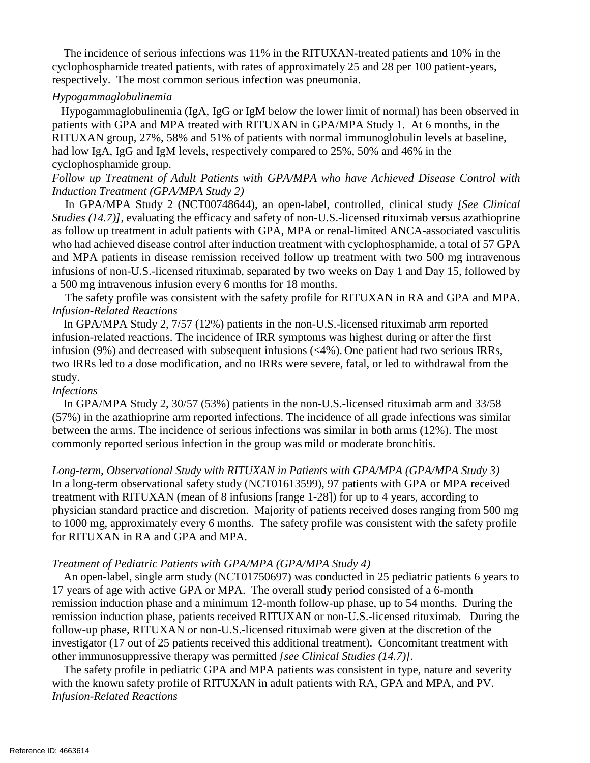The incidence of serious infections was 11% in the RITUXAN-treated patients and 10% in the cyclophosphamide treated patients, with rates of approximately 25 and 28 per 100 patient-years, respectively. The most common serious infection was pneumonia.

## *Hypogammaglobulinemia*

Hypogammaglobulinemia (IgA, IgG or IgM below the lower limit of normal) has been observed in patients with GPA and MPA treated with RITUXAN in GPA/MPA Study 1. At 6 months, in the RITUXAN group, 27%, 58% and 51% of patients with normal immunoglobulin levels at baseline, had low IgA, IgG and IgM levels, respectively compared to 25%, 50% and 46% in the cyclophosphamide group.

## *Follow up Treatment of Adult Patients with GPA/MPA who have Achieved Disease Control with Induction Treatment (GPA/MPA Study 2)*

In GPA/MPA Study 2 (NCT00748644), an open-label, controlled, clinical study *[See Clinical Studies (14.7)]*, evaluating the efficacy and safety of non-U.S.-licensed rituximab versus azathioprine as follow up treatment in adult patients with GPA, MPA or renal-limited ANCA-associated vasculitis who had achieved disease control after induction treatment with cyclophosphamide, a total of 57 GPA and MPA patients in disease remission received follow up treatment with two 500 mg intravenous infusions of non-U.S.-licensed rituximab, separated by two weeks on Day 1 and Day 15, followed by a 500 mg intravenous infusion every 6 months for 18 months.

The safety profile was consistent with the safety profile for RITUXAN in RA and GPA and MPA. *Infusion-Related Reactions*

In GPA/MPA Study 2, 7/57 (12%) patients in the non-U.S.-licensed rituximab arm reported infusion-related reactions. The incidence of IRR symptoms was highest during or after the first infusion (9%) and decreased with subsequent infusions (<4%). One patient had two serious IRRs, two IRRs led to a dose modification, and no IRRs were severe, fatal, or led to withdrawal from the study.

## *Infections*

In GPA/MPA Study 2, 30/57 (53%) patients in the non-U.S.-licensed rituximab arm and 33/58 (57%) in the azathioprine arm reported infections. The incidence of all grade infections was similar between the arms. The incidence of serious infections was similar in both arms (12%). The most commonly reported serious infection in the group was mild or moderate bronchitis.

*Long-term, Observational Study with RITUXAN in Patients with GPA/MPA (GPA/MPA Study 3)* In a long-term observational safety study (NCT01613599), 97 patients with GPA or MPA received treatment with RITUXAN (mean of 8 infusions [range 1-28]) for up to 4 years, according to physician standard practice and discretion. Majority of patients received doses ranging from 500 mg to 1000 mg, approximately every 6 months. The safety profile was consistent with the safety profile for RITUXAN in RA and GPA and MPA.

## *Treatment of Pediatric Patients with GPA/MPA (GPA/MPA Study 4)*

An open-label, single arm study (NCT01750697) was conducted in 25 pediatric patients 6 years to 17 years of age with active GPA or MPA. The overall study period consisted of a 6-month remission induction phase and a minimum 12-month follow-up phase, up to 54 months. During the remission induction phase, patients received RITUXAN or non-U.S.-licensed rituximab. During the follow-up phase, RITUXAN or non-U.S.-licensed rituximab were given at the discretion of the investigator (17 out of 25 patients received this additional treatment). Concomitant treatment with other immunosuppressive therapy was permitted *[see Clinical Studies (14.7)].*

The safety profile in pediatric GPA and MPA patients was consistent in type, nature and severity with the known safety profile of RITUXAN in adult patients with RA, GPA and MPA, and PV. *Infusion-Related Reactions*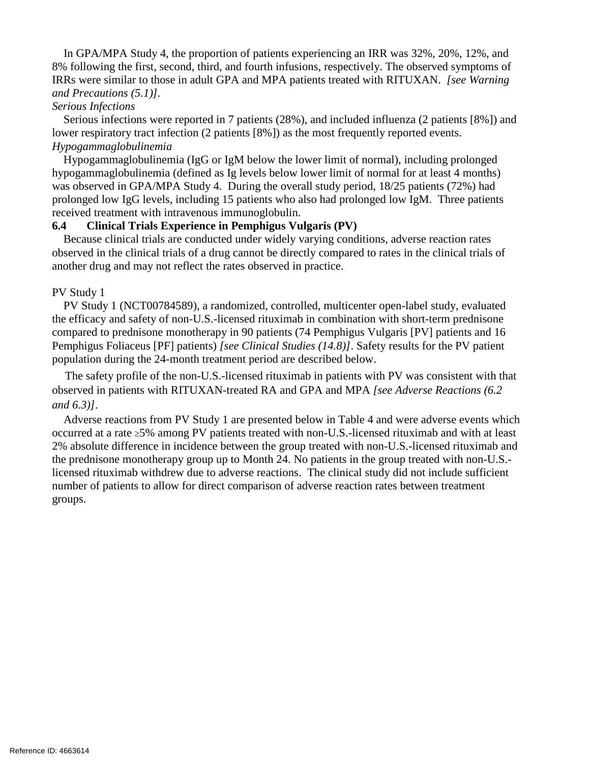In GPA/MPA Study 4, the proportion of patients experiencing an IRR was 32%, 20%, 12%, and 8% following the first, second, third, and fourth infusions, respectively. The observed symptoms of IRRs were similar to those in adult GPA and MPA patients treated with RITUXAN. *[see Warning and Precautions (5.1)].*

## *Serious Infections*

Serious infections were reported in 7 patients (28%), and included influenza (2 patients [8%]) and lower respiratory tract infection (2 patients [8%]) as the most frequently reported events. *Hypogammaglobulinemia*

Hypogammaglobulinemia (IgG or IgM below the lower limit of normal), including prolonged hypogammaglobulinemia (defined as Ig levels below lower limit of normal for at least 4 months) was observed in GPA/MPA Study 4. During the overall study period, 18/25 patients (72%) had prolonged low IgG levels, including 15 patients who also had prolonged low IgM. Three patients received treatment with intravenous immunoglobulin.

#### **6.4 Clinical Trials Experience in Pemphigus Vulgaris (PV)**

Because clinical trials are conducted under widely varying conditions, adverse reaction rates observed in the clinical trials of a drug cannot be directly compared to rates in the clinical trials of another drug and may not reflect the rates observed in practice.

#### PV Study 1

PV Study 1 (NCT00784589), a randomized, controlled, multicenter open-label study, evaluated the efficacy and safety of non-U.S.-licensed rituximab in combination with short-term prednisone compared to prednisone monotherapy in 90 patients (74 Pemphigus Vulgaris [PV] patients and 16 Pemphigus Foliaceus [PF] patients) *[see Clinical Studies (14.8)]*. Safety results for the PV patient population during the 24-month treatment period are described below.

The safety profile of the non-U.S.-licensed rituximab in patients with PV was consistent with that observed in patients with RITUXAN-treated RA and GPA and MPA *[see Adverse Reactions (6.2 and 6.3)]*.

Adverse reactions from PV Study 1 are presented below in Table 4 and were adverse events which occurred at a rate ≥5% among PV patients treated with non-U.S.-licensed rituximab and with at least 2% absolute difference in incidence between the group treated with non-U.S.-licensed rituximab and the prednisone monotherapy group up to Month 24. No patients in the group treated with non-U.S. licensed rituximab withdrew due to adverse reactions. The clinical study did not include sufficient number of patients to allow for direct comparison of adverse reaction rates between treatment groups.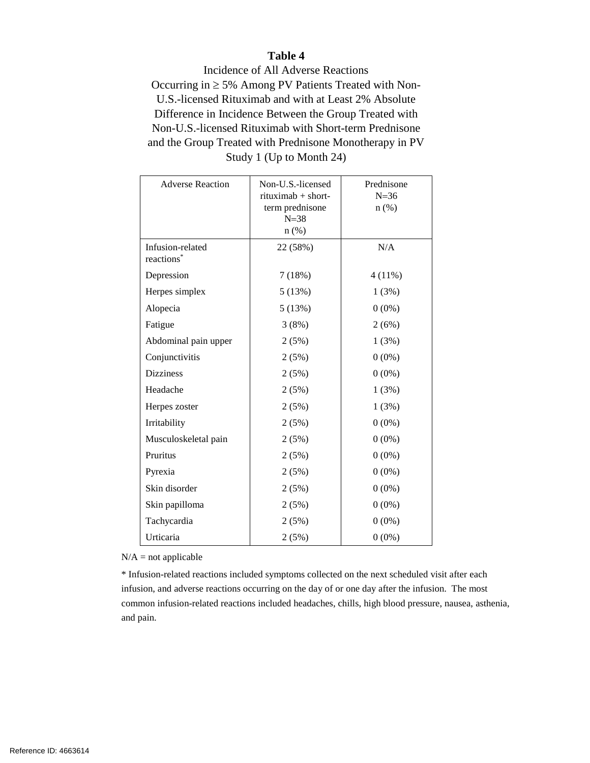#### **Table 4**

Incidence of All Adverse Reactions Occurring in  $\geq 5\%$  Among PV Patients Treated with Non-U.S.-licensed Rituximab and with at Least 2% Absolute Difference in Incidence Between the Group Treated with Non-U.S.-licensed Rituximab with Short-term Prednisone and the Group Treated with Prednisone Monotherapy in PV Study 1 (Up to Month 24)

| <b>Adverse Reaction</b>                    | Non-U.S.-licensed<br>$rituximab + short$<br>term prednisone<br>$N = 38$<br>$n$ (%) | Prednisone<br>$N = 36$<br>$n$ (%) |
|--------------------------------------------|------------------------------------------------------------------------------------|-----------------------------------|
| Infusion-related<br>reactions <sup>*</sup> | 22 (58%)                                                                           | N/A                               |
| Depression                                 | 7(18%)                                                                             | $4(11\%)$                         |
| Herpes simplex                             | 5(13%)                                                                             | 1(3%)                             |
| Alopecia                                   | 5(13%)                                                                             | $0(0\%)$                          |
| Fatigue                                    | 3(8%)                                                                              | 2(6%)                             |
| Abdominal pain upper                       | 2(5%)                                                                              | 1(3%)                             |
| Conjunctivitis                             | 2(5%)                                                                              | $0(0\%)$                          |
| <b>Dizziness</b>                           | 2(5%)                                                                              | $0(0\%)$                          |
| Headache                                   | 2(5%)                                                                              | 1(3%)                             |
| Herpes zoster                              | 2(5%)                                                                              | 1(3%)                             |
| Irritability                               | 2(5%)                                                                              | $0(0\%)$                          |
| Musculoskeletal pain                       | 2(5%)                                                                              | $0(0\%)$                          |
| Pruritus                                   | 2(5%)                                                                              | $0(0\%)$                          |
| Pyrexia                                    | 2(5%)                                                                              | $0(0\%)$                          |
| Skin disorder                              | 2(5%)                                                                              | $0(0\%)$                          |
| Skin papilloma                             | 2(5%)                                                                              | $0(0\%)$                          |
| Tachycardia                                | 2(5%)                                                                              | $0(0\%)$                          |
| Urticaria                                  | 2(5%)                                                                              | $0(0\%)$                          |

 $N/A$  = not applicable

\* Infusion-related reactions included symptoms collected on the next scheduled visit after each infusion, and adverse reactions occurring on the day of or one day after the infusion. The most common infusion-related reactions included headaches, chills, high blood pressure, nausea, asthenia, and pain.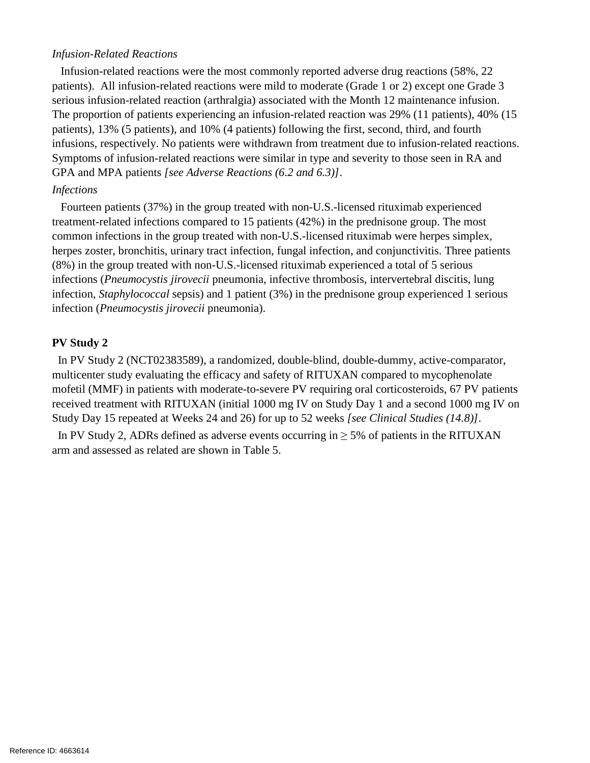## *Infusion-Related Reactions*

Infusion-related reactions were the most commonly reported adverse drug reactions (58%, 22 patients). All infusion-related reactions were mild to moderate (Grade 1 or 2) except one Grade 3 serious infusion-related reaction (arthralgia) associated with the Month 12 maintenance infusion. The proportion of patients experiencing an infusion-related reaction was 29% (11 patients), 40% (15 patients), 13% (5 patients), and 10% (4 patients) following the first, second, third, and fourth infusions, respectively. No patients were withdrawn from treatment due to infusion-related reactions. Symptoms of infusion-related reactions were similar in type and severity to those seen in RA and GPA and MPA patients *[see Adverse Reactions (6.2 and 6.3)]*.

## *Infections*

Fourteen patients (37%) in the group treated with non-U.S.-licensed rituximab experienced treatment-related infections compared to 15 patients (42%) in the prednisone group. The most common infections in the group treated with non-U.S.-licensed rituximab were herpes simplex, herpes zoster, bronchitis, urinary tract infection, fungal infection, and conjunctivitis. Three patients (8%) in the group treated with non-U.S.-licensed rituximab experienced a total of 5 serious infections (*Pneumocystis jirovecii* pneumonia, infective thrombosis, intervertebral discitis, lung infection, *Staphylococcal* sepsis) and 1 patient (3%) in the prednisone group experienced 1 serious infection (*Pneumocystis jirovecii* pneumonia).

## **PV Study 2**

 In PV Study 2 (NCT02383589), a randomized, double-blind, double-dummy, active-comparator, multicenter study evaluating the efficacy and safety of RITUXAN compared to mycophenolate mofetil (MMF) in patients with moderate-to-severe PV requiring oral corticosteroids, 67 PV patients received treatment with RITUXAN (initial 1000 mg IV on Study Day 1 and a second 1000 mg IV on Study Day 15 repeated at Weeks 24 and 26) for up to 52 weeks *[see Clinical Studies (14.8)]*.

In PV Study 2, ADRs defined as adverse events occurring in  $\geq$  5% of patients in the RITUXAN arm and assessed as related are shown in Table 5.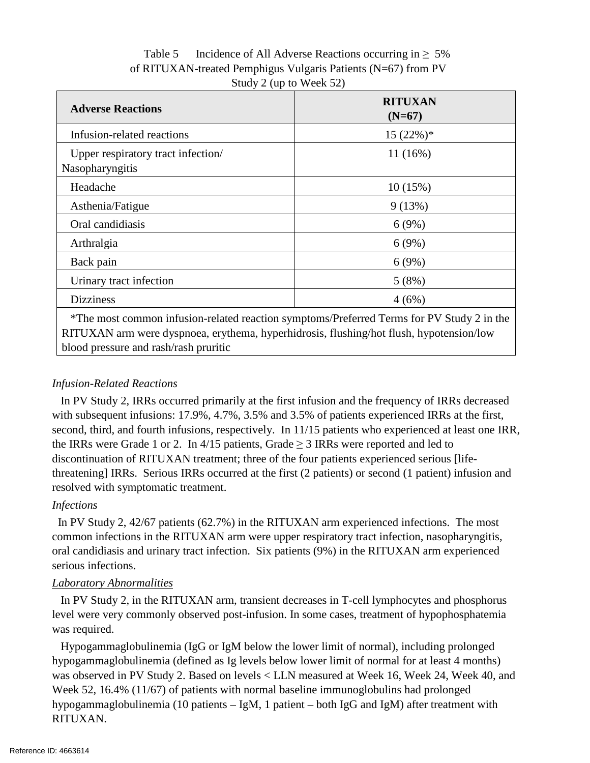| <b>Adverse Reactions</b>                              | <b>RITUXAN</b><br>$(N=67)$ |
|-------------------------------------------------------|----------------------------|
| Infusion-related reactions                            | $15(22\%)*$                |
| Upper respiratory tract infection/<br>Nasopharyngitis | $11(16\%)$                 |
| Headache                                              | 10(15%)                    |
| Asthenia/Fatigue                                      | 9(13%)                     |
| Oral candidiasis                                      | 6(9%)                      |
| Arthralgia                                            | 6(9%)                      |
| Back pain                                             | 6(9%)                      |
| Urinary tract infection                               | 5(8%)                      |
| <b>Dizziness</b>                                      | 4(6%)                      |

## Table 5 Incidence of All Adverse Reactions occurring in  $\geq 5\%$ of RITUXAN-treated Pemphigus Vulgaris Patients (N=67) from PV Study 2 (up to Week 52)

\*The most common infusion-related reaction symptoms/Preferred Terms for PV Study 2 in the RITUXAN arm were dyspnoea, erythema, hyperhidrosis, flushing/hot flush, hypotension/low blood pressure and rash/rash pruritic

## *Infusion-Related Reactions*

In PV Study 2, IRRs occurred primarily at the first infusion and the frequency of IRRs decreased with subsequent infusions: 17.9%, 4.7%, 3.5% and 3.5% of patients experienced IRRs at the first, second, third, and fourth infusions, respectively. In 11/15 patients who experienced at least one IRR, the IRRs were Grade 1 or 2. In 4/15 patients, Grade  $\geq$  3 IRRs were reported and led to discontinuation of RITUXAN treatment; three of the four patients experienced serious [lifethreatening] IRRs. Serious IRRs occurred at the first (2 patients) or second (1 patient) infusion and resolved with symptomatic treatment.

## *Infections*

 In PV Study 2, 42/67 patients (62.7%) in the RITUXAN arm experienced infections. The most common infections in the RITUXAN arm were upper respiratory tract infection, nasopharyngitis, oral candidiasis and urinary tract infection. Six patients (9%) in the RITUXAN arm experienced serious infections.

## *Laboratory Abnormalities*

In PV Study 2, in the RITUXAN arm, transient decreases in T-cell lymphocytes and phosphorus level were very commonly observed post-infusion. In some cases, treatment of hypophosphatemia was required.

 Hypogammaglobulinemia (IgG or IgM below the lower limit of normal), including prolonged hypogammaglobulinemia (defined as Ig levels below lower limit of normal for at least 4 months) was observed in PV Study 2. Based on levels < LLN measured at Week 16, Week 24, Week 40, and Week 52, 16.4% (11/67) of patients with normal baseline immunoglobulins had prolonged hypogammaglobulinemia (10 patients – IgM, 1 patient – both IgG and IgM) after treatment with RITUXAN.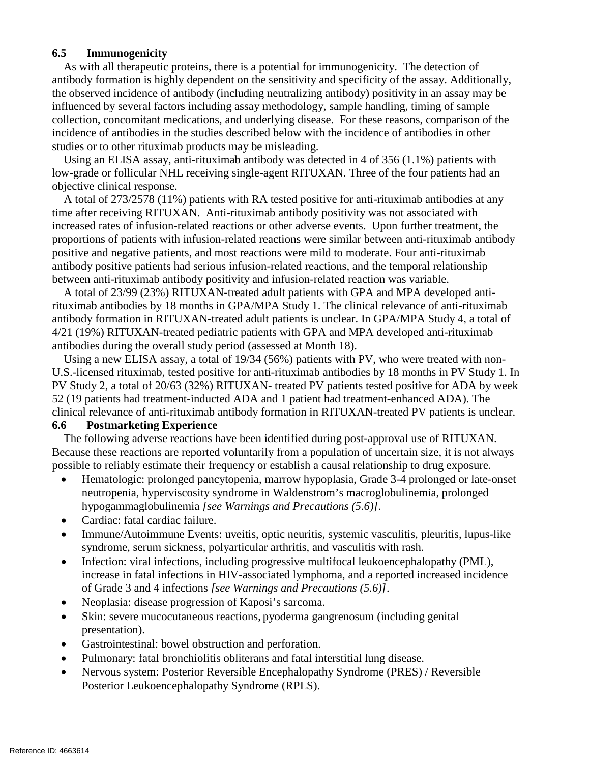## **6.5 Immunogenicity**

As with all therapeutic proteins, there is a potential for immunogenicity. The detection of antibody formation is highly dependent on the sensitivity and specificity of the assay. Additionally, the observed incidence of antibody (including neutralizing antibody) positivity in an assay may be influenced by several factors including assay methodology, sample handling, timing of sample collection, concomitant medications, and underlying disease. For these reasons, comparison of the incidence of antibodies in the studies described below with the incidence of antibodies in other studies or to other rituximab products may be misleading.

Using an ELISA assay, anti-rituximab antibody was detected in 4 of 356 (1.1%) patients with low-grade or follicular NHL receiving single-agent RITUXAN. Three of the four patients had an objective clinical response.

A total of 273/2578 (11%) patients with RA tested positive for anti-rituximab antibodies at any time after receiving RITUXAN. Anti-rituximab antibody positivity was not associated with increased rates of infusion-related reactions or other adverse events. Upon further treatment, the proportions of patients with infusion-related reactions were similar between anti-rituximab antibody positive and negative patients, and most reactions were mild to moderate. Four anti-rituximab antibody positive patients had serious infusion-related reactions, and the temporal relationship between anti-rituximab antibody positivity and infusion-related reaction was variable.

A total of 23/99 (23%) RITUXAN-treated adult patients with GPA and MPA developed antirituximab antibodies by 18 months in GPA/MPA Study 1. The clinical relevance of anti-rituximab antibody formation in RITUXAN-treated adult patients is unclear. In GPA/MPA Study 4, a total of 4/21 (19%) RITUXAN-treated pediatric patients with GPA and MPA developed anti-rituximab antibodies during the overall study period (assessed at Month 18).

Using a new ELISA assay, a total of 19/34 (56%) patients with PV, who were treated with non-U.S.-licensed rituximab, tested positive for anti-rituximab antibodies by 18 months in PV Study 1. In PV Study 2, a total of 20/63 (32%) RITUXAN- treated PV patients tested positive for ADA by week 52 (19 patients had treatment-inducted ADA and 1 patient had treatment-enhanced ADA). The clinical relevance of anti-rituximab antibody formation in RITUXAN-treated PV patients is unclear.

## **6.6 Postmarketing Experience**

The following adverse reactions have been identified during post-approval use of RITUXAN. Because these reactions are reported voluntarily from a population of uncertain size, it is not always possible to reliably estimate their frequency or establish a causal relationship to drug exposure.

- Hematologic: prolonged pancytopenia, marrow hypoplasia, Grade 3-4 prolonged or late-onset neutropenia, hyperviscosity syndrome in Waldenstrom's macroglobulinemia, prolonged hypogammaglobulinemia *[see Warnings and Precautions (5.6)]*.
- Cardiac: fatal cardiac failure.
- Immune/Autoimmune Events: uveitis, optic neuritis, systemic vasculitis, pleuritis, lupus-like syndrome, serum sickness, polyarticular arthritis, and vasculitis with rash.
- Infection: viral infections, including progressive multifocal leukoencephalopathy (PML), increase in fatal infections in HIV-associated lymphoma, and a reported increased incidence of Grade 3 and 4 infections *[see Warnings and Precautions (5.6)]*.
- Neoplasia: disease progression of Kaposi's sarcoma.
- Skin: severe mucocutaneous reactions, pyoderma gangrenosum (including genital presentation).
- Gastrointestinal: bowel obstruction and perforation.
- Pulmonary: fatal bronchiolitis obliterans and fatal interstitial lung disease.
- Nervous system: Posterior Reversible Encephalopathy Syndrome (PRES) / Reversible Posterior Leukoencephalopathy Syndrome (RPLS).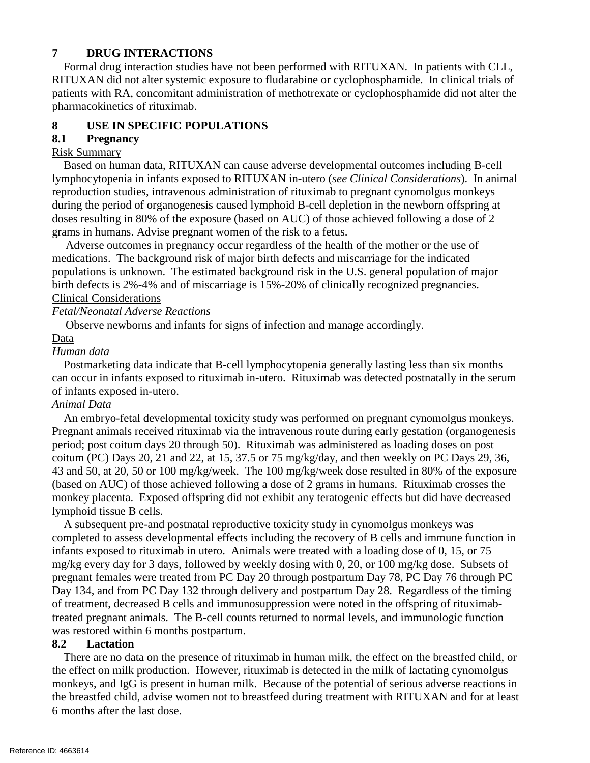## **7 DRUG INTERACTIONS**

Formal drug interaction studies have not been performed with RITUXAN. In patients with CLL, RITUXAN did not alter systemic exposure to fludarabine or cyclophosphamide. In clinical trials of patients with RA, concomitant administration of methotrexate or cyclophosphamide did not alter the pharmacokinetics of rituximab.

## **8 USE IN SPECIFIC POPULATIONS**

## **8.1 Pregnancy**

## Risk Summary

Based on human data, RITUXAN can cause adverse developmental outcomes including B-cell lymphocytopenia in infants exposed to RITUXAN in-utero (*see Clinical Considerations*). In animal reproduction studies, intravenous administration of rituximab to pregnant cynomolgus monkeys during the period of organogenesis caused lymphoid B-cell depletion in the newborn offspring at doses resulting in 80% of the exposure (based on AUC) of those achieved following a dose of 2 grams in humans. Advise pregnant women of the risk to a fetus.

Adverse outcomes in pregnancy occur regardless of the health of the mother or the use of medications. The background risk of major birth defects and miscarriage for the indicated populations is unknown. The estimated background risk in the U.S. general population of major birth defects is 2%-4% and of miscarriage is 15%-20% of clinically recognized pregnancies. Clinical Considerations

#### *Fetal/Neonatal Adverse Reactions*

Observe newborns and infants for signs of infection and manage accordingly.

#### Data

#### *Human data*

Postmarketing data indicate that B-cell lymphocytopenia generally lasting less than six months can occur in infants exposed to rituximab in-utero. Rituximab was detected postnatally in the serum of infants exposed in-utero.

## *Animal Data*

An embryo-fetal developmental toxicity study was performed on pregnant cynomolgus monkeys. Pregnant animals received rituximab via the intravenous route during early gestation (organogenesis period; post coitum days 20 through 50). Rituximab was administered as loading doses on post coitum (PC) Days 20, 21 and 22, at 15, 37.5 or 75 mg/kg/day, and then weekly on PC Days 29, 36, 43 and 50, at 20, 50 or 100 mg/kg/week. The 100 mg/kg/week dose resulted in 80% of the exposure (based on AUC) of those achieved following a dose of 2 grams in humans. Rituximab crosses the monkey placenta. Exposed offspring did not exhibit any teratogenic effects but did have decreased lymphoid tissue B cells.

A subsequent pre-and postnatal reproductive toxicity study in cynomolgus monkeys was completed to assess developmental effects including the recovery of B cells and immune function in infants exposed to rituximab in utero. Animals were treated with a loading dose of 0, 15, or 75 mg/kg every day for 3 days, followed by weekly dosing with 0, 20, or 100 mg/kg dose. Subsets of pregnant females were treated from PC Day 20 through postpartum Day 78, PC Day 76 through PC Day 134, and from PC Day 132 through delivery and postpartum Day 28. Regardless of the timing of treatment, decreased B cells and immunosuppression were noted in the offspring of rituximabtreated pregnant animals. The B-cell counts returned to normal levels, and immunologic function was restored within 6 months postpartum.

## **8.2 Lactation**

There are no data on the presence of rituximab in human milk, the effect on the breastfed child, or the effect on milk production. However, rituximab is detected in the milk of lactating cynomolgus monkeys, and IgG is present in human milk. Because of the potential of serious adverse reactions in the breastfed child, advise women not to breastfeed during treatment with RITUXAN and for at least 6 months after the last dose.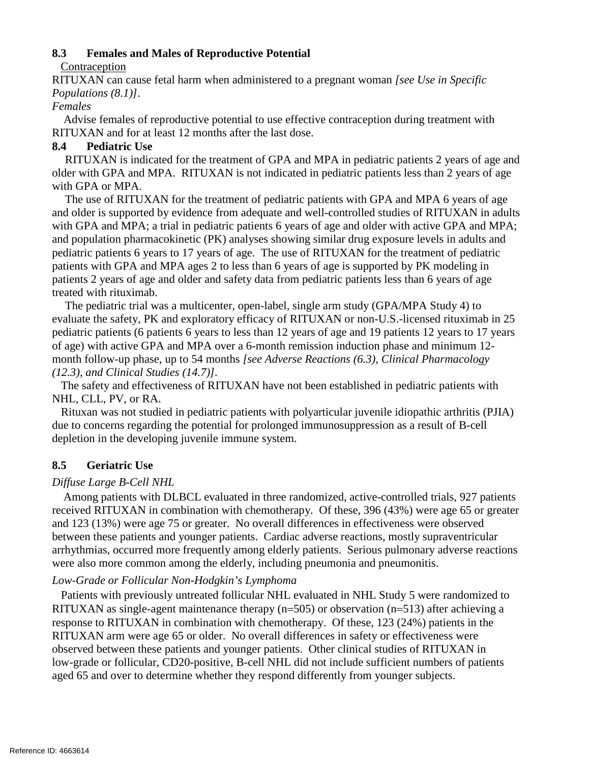## **8.3 Females and Males of Reproductive Potential**

## Contraception

RITUXAN can cause fetal harm when administered to a pregnant woman *[see Use in Specific Populations (8.1)]*.

## *Females*

Advise females of reproductive potential to use effective contraception during treatment with RITUXAN and for at least 12 months after the last dose.

## **8.4 Pediatric Use**

RITUXAN is indicated for the treatment of GPA and MPA in pediatric patients 2 years of age and older with GPA and MPA. RITUXAN is not indicated in pediatric patients less than 2 years of age with GPA or MPA.

The use of RITUXAN for the treatment of pediatric patients with GPA and MPA 6 years of age and older is supported by evidence from adequate and well-controlled studies of RITUXAN in adults with GPA and MPA; a trial in pediatric patients 6 years of age and older with active GPA and MPA; and population pharmacokinetic (PK) analyses showing similar drug exposure levels in adults and pediatric patients 6 years to 17 years of age. The use of RITUXAN for the treatment of pediatric patients with GPA and MPA ages 2 to less than 6 years of age is supported by PK modeling in patients 2 years of age and older and safety data from pediatric patients less than 6 years of age treated with rituximab.

The pediatric trial was a multicenter, open-label, single arm study (GPA/MPA Study 4) to evaluate the safety, PK and exploratory efficacy of RITUXAN or non-U.S.-licensed rituximab in 25 pediatric patients (6 patients 6 years to less than 12 years of age and 19 patients 12 years to 17 years of age) with active GPA and MPA over a 6-month remission induction phase and minimum 12 month follow-up phase, up to 54 months *[see Adverse Reactions (6.3), Clinical Pharmacology (12.3), and Clinical Studies (14.7)].*

The safety and effectiveness of RITUXAN have not been established in pediatric patients with NHL, CLL, PV, or RA.

Rituxan was not studied in pediatric patients with polyarticular juvenile idiopathic arthritis (PJIA) due to concerns regarding the potential for prolonged immunosuppression as a result of B-cell depletion in the developing juvenile immune system.

# **8.5 Geriatric Use**

# *Diffuse Large B-Cell NHL*

Among patients with DLBCL evaluated in three randomized, active-controlled trials, 927 patients received RITUXAN in combination with chemotherapy. Of these, 396 (43%) were age 65 or greater and 123 (13%) were age 75 or greater. No overall differences in effectiveness were observed between these patients and younger patients. Cardiac adverse reactions, mostly supraventricular arrhythmias, occurred more frequently among elderly patients. Serious pulmonary adverse reactions were also more common among the elderly, including pneumonia and pneumonitis.

## *Low-Grade or Follicular Non-Hodgkin's Lymphoma*

Patients with previously untreated follicular NHL evaluated in NHL Study 5 were randomized to RITUXAN as single-agent maintenance therapy (n=505) or observation (n=513) after achieving a response to RITUXAN in combination with chemotherapy. Of these, 123 (24%) patients in the RITUXAN arm were age 65 or older. No overall differences in safety or effectiveness were observed between these patients and younger patients. Other clinical studies of RITUXAN in low-grade or follicular, CD20-positive, B-cell NHL did not include sufficient numbers of patients aged 65 and over to determine whether they respond differently from younger subjects.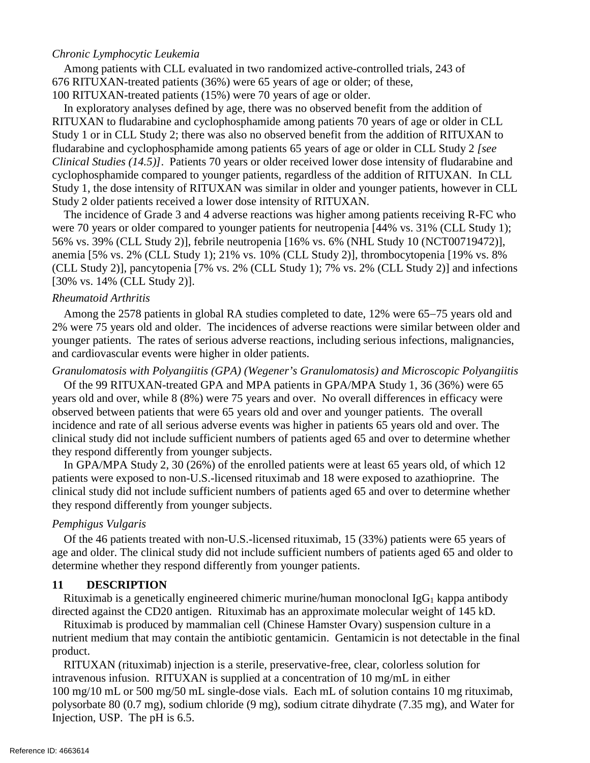#### *Chronic Lymphocytic Leukemia*

Among patients with CLL evaluated in two randomized active-controlled trials, 243 of 676 RITUXAN-treated patients (36%) were 65 years of age or older; of these, 100 RITUXAN-treated patients (15%) were 70 years of age or older.

In exploratory analyses defined by age, there was no observed benefit from the addition of RITUXAN to fludarabine and cyclophosphamide among patients 70 years of age or older in CLL Study 1 or in CLL Study 2; there was also no observed benefit from the addition of RITUXAN to fludarabine and cyclophosphamide among patients 65 years of age or older in CLL Study 2 *[see Clinical Studies (14.5)]*. Patients 70 years or older received lower dose intensity of fludarabine and cyclophosphamide compared to younger patients, regardless of the addition of RITUXAN. In CLL Study 1, the dose intensity of RITUXAN was similar in older and younger patients, however in CLL Study 2 older patients received a lower dose intensity of RITUXAN.

The incidence of Grade 3 and 4 adverse reactions was higher among patients receiving R-FC who were 70 years or older compared to younger patients for neutropenia [44% vs. 31% (CLL Study 1); 56% vs. 39% (CLL Study 2)], febrile neutropenia [16% vs. 6% (NHL Study 10 (NCT00719472)], anemia [5% vs. 2% (CLL Study 1); 21% vs. 10% (CLL Study 2)], thrombocytopenia [19% vs. 8% (CLL Study 2)], pancytopenia [7% vs. 2% (CLL Study 1); 7% vs. 2% (CLL Study 2)] and infections [30% vs. 14% (CLL Study 2)].

#### *Rheumatoid Arthritis*

Among the 2578 patients in global RA studies completed to date, 12% were 65−75 years old and 2% were 75 years old and older. The incidences of adverse reactions were similar between older and younger patients. The rates of serious adverse reactions, including serious infections, malignancies, and cardiovascular events were higher in older patients.

*Granulomatosis with Polyangiitis (GPA) (Wegener's Granulomatosis) and Microscopic Polyangiitis*

Of the 99 RITUXAN-treated GPA and MPA patients in GPA/MPA Study 1, 36 (36%) were 65 years old and over, while 8 (8%) were 75 years and over. No overall differences in efficacy were observed between patients that were 65 years old and over and younger patients. The overall incidence and rate of all serious adverse events was higher in patients 65 years old and over. The clinical study did not include sufficient numbers of patients aged 65 and over to determine whether they respond differently from younger subjects.

In GPA/MPA Study 2, 30 (26%) of the enrolled patients were at least 65 years old, of which 12 patients were exposed to non-U.S.-licensed rituximab and 18 were exposed to azathioprine. The clinical study did not include sufficient numbers of patients aged 65 and over to determine whether they respond differently from younger subjects.

## *Pemphigus Vulgaris*

Of the 46 patients treated with non-U.S.-licensed rituximab, 15 (33%) patients were 65 years of age and older. The clinical study did not include sufficient numbers of patients aged 65 and older to determine whether they respond differently from younger patients.

#### **11 DESCRIPTION**

Rituximab is a genetically engineered chimeric murine/human monoclonal  $\lg G_1$  kappa antibody directed against the CD20 antigen. Rituximab has an approximate molecular weight of 145 kD.

Rituximab is produced by mammalian cell (Chinese Hamster Ovary) suspension culture in a nutrient medium that may contain the antibiotic gentamicin. Gentamicin is not detectable in the final product.

RITUXAN (rituximab) injection is a sterile, preservative-free, clear, colorless solution for intravenous infusion. RITUXAN is supplied at a concentration of 10 mg/mL in either 100 mg/10 mL or 500 mg/50 mL single-dose vials. Each mL of solution contains 10 mg rituximab, polysorbate 80 (0.7 mg), sodium chloride (9 mg), sodium citrate dihydrate (7.35 mg), and Water for Injection, USP. The pH is 6.5.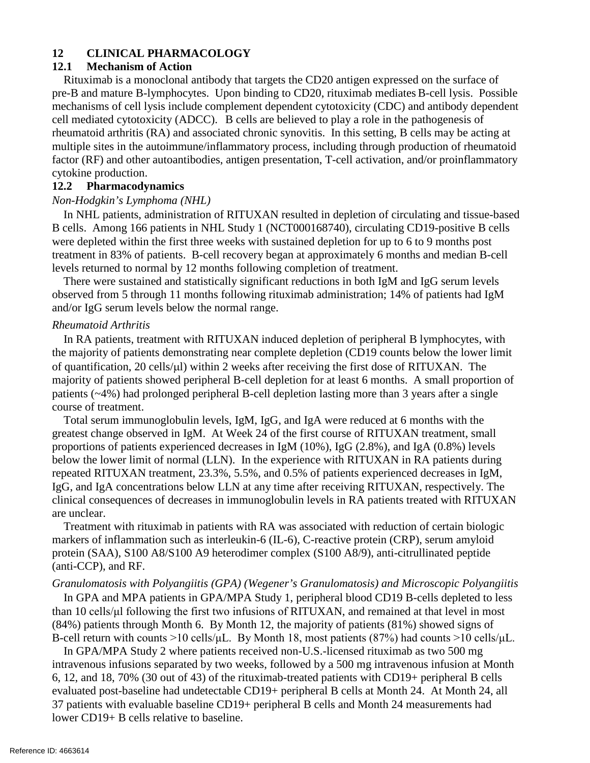## **12 CLINICAL PHARMACOLOGY**

#### **12.1 Mechanism of Action**

Rituximab is a monoclonal antibody that targets the CD20 antigen expressed on the surface of pre-B and mature B-lymphocytes. Upon binding to CD20, rituximab mediates B-cell lysis. Possible mechanisms of cell lysis include complement dependent cytotoxicity (CDC) and antibody dependent cell mediated cytotoxicity (ADCC). B cells are believed to play a role in the pathogenesis of rheumatoid arthritis (RA) and associated chronic synovitis. In this setting, B cells may be acting at multiple sites in the autoimmune/inflammatory process, including through production of rheumatoid factor (RF) and other autoantibodies, antigen presentation, T-cell activation, and/or proinflammatory cytokine production.

#### **12.2 Pharmacodynamics**

#### *Non-Hodgkin's Lymphoma (NHL)*

In NHL patients, administration of RITUXAN resulted in depletion of circulating and tissue-based B cells. Among 166 patients in NHL Study 1 (NCT000168740), circulating CD19-positive B cells were depleted within the first three weeks with sustained depletion for up to 6 to 9 months post treatment in 83% of patients. B-cell recovery began at approximately 6 months and median B-cell levels returned to normal by 12 months following completion of treatment.

There were sustained and statistically significant reductions in both IgM and IgG serum levels observed from 5 through 11 months following rituximab administration; 14% of patients had IgM and/or IgG serum levels below the normal range.

#### *Rheumatoid Arthritis*

In RA patients, treatment with RITUXAN induced depletion of peripheral B lymphocytes, with the majority of patients demonstrating near complete depletion (CD19 counts below the lower limit of quantification, 20 cells/µl) within 2 weeks after receiving the first dose of RITUXAN. The majority of patients showed peripheral B-cell depletion for at least 6 months. A small proportion of patients (~4%) had prolonged peripheral B-cell depletion lasting more than 3 years after a single course of treatment.

Total serum immunoglobulin levels, IgM, IgG, and IgA were reduced at 6 months with the greatest change observed in IgM. At Week 24 of the first course of RITUXAN treatment, small proportions of patients experienced decreases in IgM (10%), IgG (2.8%), and IgA (0.8%) levels below the lower limit of normal (LLN). In the experience with RITUXAN in RA patients during repeated RITUXAN treatment, 23.3%, 5.5%, and 0.5% of patients experienced decreases in IgM, IgG, and IgA concentrations below LLN at any time after receiving RITUXAN, respectively. The clinical consequences of decreases in immunoglobulin levels in RA patients treated with RITUXAN are unclear.

Treatment with rituximab in patients with RA was associated with reduction of certain biologic markers of inflammation such as interleukin-6 (IL-6), C-reactive protein (CRP), serum amyloid protein (SAA), S100 A8/S100 A9 heterodimer complex (S100 A8/9), anti-citrullinated peptide (anti-CCP), and RF.

#### *Granulomatosis with Polyangiitis (GPA) (Wegener's Granulomatosis) and Microscopic Polyangiitis*

In GPA and MPA patients in GPA/MPA Study 1, peripheral blood CD19 B-cells depleted to less than 10 cells/μl following the first two infusions of RITUXAN, and remained at that level in most (84%) patients through Month 6. By Month 12, the majority of patients (81%) showed signs of B-cell return with counts  $>10$  cells/ $\mu$ L. By Month 18, most patients (87%) had counts  $>10$  cells/ $\mu$ L.

In GPA/MPA Study 2 where patients received non-U.S.-licensed rituximab as two 500 mg intravenous infusions separated by two weeks, followed by a 500 mg intravenous infusion at Month 6, 12, and 18, 70% (30 out of 43) of the rituximab-treated patients with CD19+ peripheral B cells evaluated post-baseline had undetectable CD19+ peripheral B cells at Month 24. At Month 24, all 37 patients with evaluable baseline CD19+ peripheral B cells and Month 24 measurements had lower CD19+ B cells relative to baseline.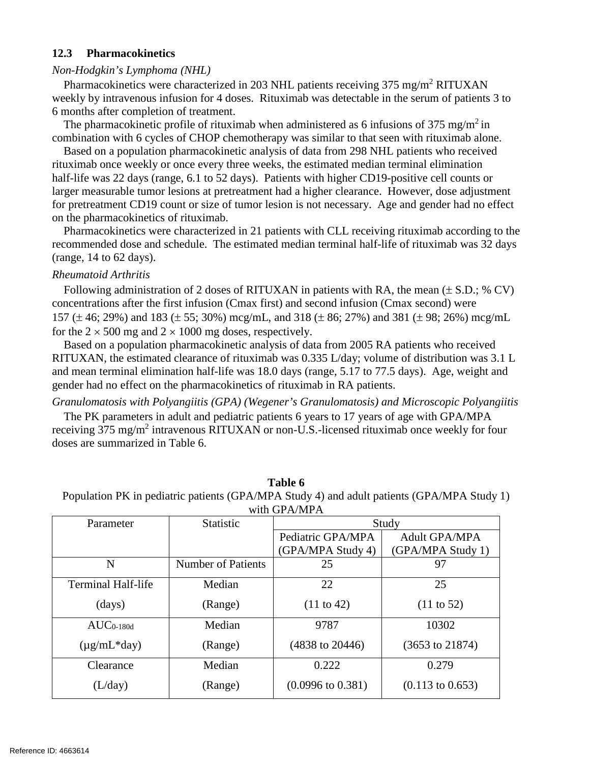## **12.3 Pharmacokinetics**

#### *Non-Hodgkin's Lymphoma (NHL)*

Pharmacokinetics were characterized in 203 NHL patients receiving 375 mg/m<sup>2</sup> RITUXAN weekly by intravenous infusion for 4 doses. Rituximab was detectable in the serum of patients 3 to 6 months after completion of treatment.

The pharmacokinetic profile of rituximab when administered as 6 infusions of 375 mg/m<sup>2</sup> in combination with 6 cycles of CHOP chemotherapy was similar to that seen with rituximab alone.

Based on a population pharmacokinetic analysis of data from 298 NHL patients who received rituximab once weekly or once every three weeks, the estimated median terminal elimination half-life was 22 days (range, 6.1 to 52 days). Patients with higher CD19-positive cell counts or larger measurable tumor lesions at pretreatment had a higher clearance. However, dose adjustment for pretreatment CD19 count or size of tumor lesion is not necessary. Age and gender had no effect on the pharmacokinetics of rituximab.

Pharmacokinetics were characterized in 21 patients with CLL receiving rituximab according to the recommended dose and schedule. The estimated median terminal half-life of rituximab was 32 days (range, 14 to 62 days).

#### *Rheumatoid Arthritis*

Following administration of 2 doses of RITUXAN in patients with RA, the mean (± S.D.; % CV) concentrations after the first infusion (Cmax first) and second infusion (Cmax second) were 157 ( $\pm$  46; 29%) and 183 ( $\pm$  55; 30%) mcg/mL, and 318 ( $\pm$  86; 27%) and 381 ( $\pm$  98; 26%) mcg/mL for the  $2 \times 500$  mg and  $2 \times 1000$  mg doses, respectively.

Based on a population pharmacokinetic analysis of data from 2005 RA patients who received RITUXAN, the estimated clearance of rituximab was 0.335 L/day; volume of distribution was 3.1 L and mean terminal elimination half-life was 18.0 days (range, 5.17 to 77.5 days). Age, weight and gender had no effect on the pharmacokinetics of rituximab in RA patients.

*Granulomatosis with Polyangiitis (GPA) (Wegener's Granulomatosis) and Microscopic Polyangiitis*

The PK parameters in adult and pediatric patients 6 years to 17 years of age with GPA/MPA receiving 375 mg/m<sup>2</sup> intravenous RITUXAN or non-U.S.-licensed rituximab once weekly for four doses are summarized in Table 6.

| with GPA/MPA              |                           |                              |                             |
|---------------------------|---------------------------|------------------------------|-----------------------------|
| Parameter                 | <b>Statistic</b>          | Study                        |                             |
|                           |                           | Pediatric GPA/MPA            | <b>Adult GPA/MPA</b>        |
|                           |                           | (GPA/MPA Study 4)            | (GPA/MPA Study 1)           |
| N                         | <b>Number of Patients</b> | 25                           | 97                          |
| <b>Terminal Half-life</b> | Median                    | 22                           | 25                          |
| $\frac{days}{9}$          | (Range)                   | $(11 \text{ to } 42)$        | $(11 \text{ to } 52)$       |
| $AUC_{0-180d}$            | Median                    | 9787                         | 10302                       |
| $(\mu g/mL*day)$          | (Range)                   | (4838 to 20446)              | $(3653 \text{ to } 21874)$  |
| Clearance                 | Median                    | 0.222                        | 0.279                       |
| (L/day)                   | (Range)                   | $(0.0996 \text{ to } 0.381)$ | $(0.113 \text{ to } 0.653)$ |

**Table 6** Population PK in pediatric patients (GPA/MPA Study 4) and adult patients (GPA/MPA Study 1)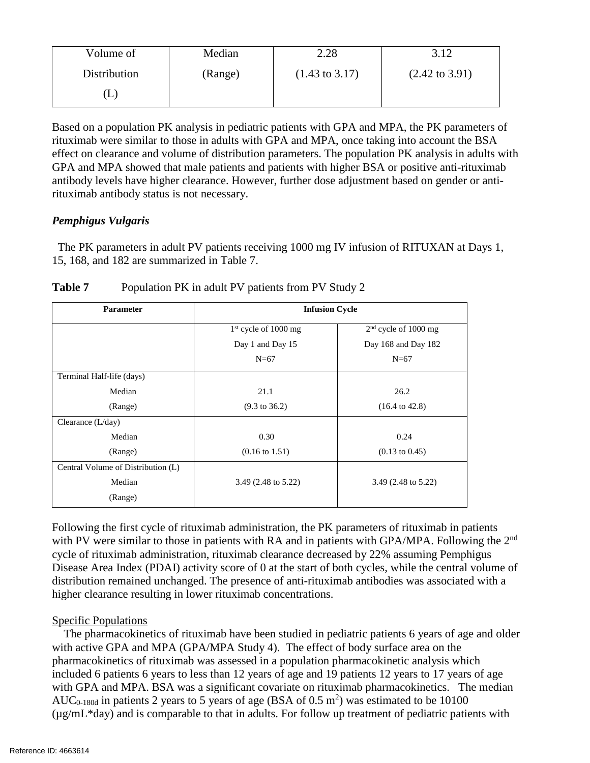| Volume of    | Median  | 2.28                      | 312                       |
|--------------|---------|---------------------------|---------------------------|
| Distribution | (Range) | $(1.43 \text{ to } 3.17)$ | $(2.42 \text{ to } 3.91)$ |
| $\lfloor$    |         |                           |                           |

Based on a population PK analysis in pediatric patients with GPA and MPA, the PK parameters of rituximab were similar to those in adults with GPA and MPA, once taking into account the BSA effect on clearance and volume of distribution parameters. The population PK analysis in adults with GPA and MPA showed that male patients and patients with higher BSA or positive anti-rituximab antibody levels have higher clearance. However, further dose adjustment based on gender or antirituximab antibody status is not necessary.

## *Pemphigus Vulgaris*

 The PK parameters in adult PV patients receiving 1000 mg IV infusion of RITUXAN at Days 1, 15, 168, and 182 are summarized in Table 7.

| <b>Parameter</b>                   | <b>Infusion Cycle</b>          |                                |
|------------------------------------|--------------------------------|--------------------------------|
|                                    | $1st$ cycle of 1000 mg         | $2nd$ cycle of 1000 mg         |
|                                    | Day 1 and Day 15               | Day 168 and Day 182            |
|                                    | $N=67$                         | $N=67$                         |
| Terminal Half-life (days)          |                                |                                |
| Median                             | 21.1                           | 26.2                           |
| (Range)                            | $(9.3 \text{ to } 36.2)$       | $(16.4 \text{ to } 42.8)$      |
| Clearance $(L/day)$                |                                |                                |
| Median                             | 0.30                           | 0.24                           |
| (Range)                            | $(0.16 \text{ to } 1.51)$      | $(0.13 \text{ to } 0.45)$      |
| Central Volume of Distribution (L) |                                |                                |
| Median                             | 3.49 $(2.48 \text{ to } 5.22)$ | 3.49 $(2.48 \text{ to } 5.22)$ |
| (Range)                            |                                |                                |

Table 7 Population PK in adult PV patients from PV Study 2

Following the first cycle of rituximab administration, the PK parameters of rituximab in patients with PV were similar to those in patients with RA and in patients with GPA/MPA. Following the 2<sup>nd</sup> cycle of rituximab administration, rituximab clearance decreased by 22% assuming Pemphigus Disease Area Index (PDAI) activity score of 0 at the start of both cycles, while the central volume of distribution remained unchanged. The presence of anti-rituximab antibodies was associated with a higher clearance resulting in lower rituximab concentrations.

## Specific Populations

The pharmacokinetics of rituximab have been studied in pediatric patients 6 years of age and older with active GPA and MPA (GPA/MPA Study 4). The effect of body surface area on the pharmacokinetics of rituximab was assessed in a population pharmacokinetic analysis which included 6 patients 6 years to less than 12 years of age and 19 patients 12 years to 17 years of age with GPA and MPA. BSA was a significant covariate on rituximab pharmacokinetics. The median AUC<sub>0-180d</sub> in patients 2 years to 5 years of age (BSA of 0.5 m<sup>2</sup>) was estimated to be 10100  $(\mu g/mL*day)$  and is comparable to that in adults. For follow up treatment of pediatric patients with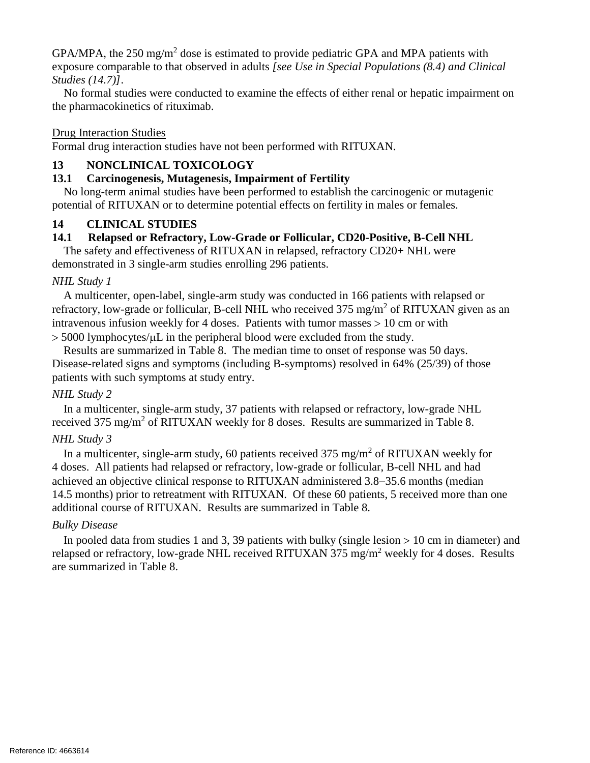$GPA/MPA$ , the 250 mg/m<sup>2</sup> dose is estimated to provide pediatric  $GPA$  and MPA patients with exposure comparable to that observed in adults *[see Use in Special Populations (8.4) and Clinical Studies (14.7)]*.

No formal studies were conducted to examine the effects of either renal or hepatic impairment on the pharmacokinetics of rituximab.

## Drug Interaction Studies

Formal drug interaction studies have not been performed with RITUXAN.

## **13 NONCLINICAL TOXICOLOGY**

## **13.1 Carcinogenesis, Mutagenesis, Impairment of Fertility**

No long-term animal studies have been performed to establish the carcinogenic or mutagenic potential of RITUXAN or to determine potential effects on fertility in males or females.

## **14 CLINICAL STUDIES**

## **14.1 Relapsed or Refractory, Low-Grade or Follicular, CD20-Positive, B-Cell NHL**

The safety and effectiveness of RITUXAN in relapsed, refractory CD20+ NHL were demonstrated in 3 single-arm studies enrolling 296 patients.

## *NHL Study 1*

A multicenter, open-label, single-arm study was conducted in 166 patients with relapsed or refractory, low-grade or follicular, B-cell NHL who received 375 mg/m<sup>2</sup> of RITUXAN given as an intravenous infusion weekly for 4 doses. Patients with tumor masses > 10 cm or with  $> 5000$  lymphocytes/ $\mu$ L in the peripheral blood were excluded from the study.

Results are summarized in Table 8. The median time to onset of response was 50 days. Disease-related signs and symptoms (including B-symptoms) resolved in 64% (25/39) of those patients with such symptoms at study entry.

## *NHL Study 2*

In a multicenter, single-arm study, 37 patients with relapsed or refractory, low-grade NHL received 375 mg/m<sup>2</sup> of RITUXAN weekly for 8 doses. Results are summarized in Table 8.

## *NHL Study 3*

In a multicenter, single-arm study, 60 patients received  $375 \text{ mg/m}^2$  of RITUXAN weekly for 4 doses. All patients had relapsed or refractory, low-grade or follicular, B-cell NHL and had achieved an objective clinical response to RITUXAN administered 3.8−35.6 months (median 14.5 months) prior to retreatment with RITUXAN. Of these 60 patients, 5 received more than one additional course of RITUXAN. Results are summarized in Table 8.

## *Bulky Disease*

In pooled data from studies 1 and 3, 39 patients with bulky (single lesion > 10 cm in diameter) and relapsed or refractory, low-grade NHL received RITUXAN 375 mg/m<sup>2</sup> weekly for 4 doses. Results are summarized in Table 8.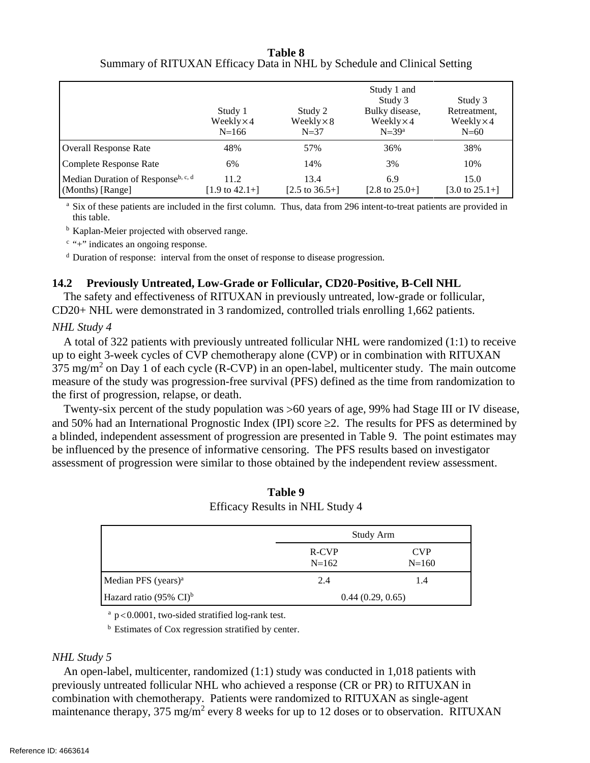#### **Table 8** Summary of RITUXAN Efficacy Data in NHL by Schedule and Clinical Setting

|                                                                    | Study 1<br>Weekly $\times$ 4<br>$N = 166$ | Study 2<br>Weekly $\times 8$<br>$N = 37$ | Study 1 and<br>Study 3<br>Bulky disease,<br>Weekly $\times$ 4<br>$N=39a$ | Study 3<br>Retreatment.<br>Weekly $\times$ 4<br>$N=60$ |
|--------------------------------------------------------------------|-------------------------------------------|------------------------------------------|--------------------------------------------------------------------------|--------------------------------------------------------|
| <b>Overall Response Rate</b>                                       | 48%                                       | 57%                                      | 36%                                                                      | 38%                                                    |
| Complete Response Rate                                             | 6%                                        | 14%                                      | 3%                                                                       | 10%                                                    |
| Median Duration of Response <sup>b, c, d</sup><br>(Months) [Range] | 11.2<br>$[1.9 \text{ to } 42.1+]$         | 13.4<br>[2.5 to $36.5+$ ]                | 6.9<br>[2.8 to $25.0+$ ]                                                 | 15.0<br>[3.0 to $25.1+$ ]                              |

<sup>a</sup> Six of these patients are included in the first column. Thus, data from 296 intent-to-treat patients are provided in this table.

<sup>b</sup> Kaplan-Meier projected with observed range.

<sup>c</sup> "+" indicates an ongoing response.

<sup>d</sup> Duration of response: interval from the onset of response to disease progression.

# **14.2 Previously Untreated, Low-Grade or Follicular, CD20-Positive, B-Cell NHL**

The safety and effectiveness of RITUXAN in previously untreated, low-grade or follicular, CD20+ NHL were demonstrated in 3 randomized, controlled trials enrolling 1,662 patients.

## *NHL Study 4*

A total of 322 patients with previously untreated follicular NHL were randomized (1:1) to receive up to eight 3-week cycles of CVP chemotherapy alone (CVP) or in combination with RITUXAN  $375 \text{ mg/m}^2$  on Day 1 of each cycle (R-CVP) in an open-label, multicenter study. The main outcome measure of the study was progression-free survival (PFS) defined as the time from randomization to the first of progression, relapse, or death.

Twenty-six percent of the study population was >60 years of age, 99% had Stage III or IV disease, and 50% had an International Prognostic Index (IPI) score  $\geq$  2. The results for PFS as determined by a blinded, independent assessment of progression are presented in Table 9. The point estimates may be influenced by the presence of informative censoring. The PFS results based on investigator assessment of progression were similar to those obtained by the independent review assessment.

| Table 9                         |
|---------------------------------|
| Efficacy Results in NHL Study 4 |

|                                       | Study Arm          |                         |  |
|---------------------------------------|--------------------|-------------------------|--|
|                                       | R-CVP<br>$N = 162$ | <b>CVP</b><br>$N = 160$ |  |
| Median PFS (years) <sup>a</sup>       | 2.4                | 1.4                     |  |
| Hazard ratio (95% $CI$ ) <sup>b</sup> | 0.44(0.29, 0.65)   |                         |  |

 $a$  p <0.0001, two-sided stratified log-rank test.

**b** Estimates of Cox regression stratified by center.

## *NHL Study 5*

An open-label, multicenter, randomized (1:1) study was conducted in 1,018 patients with previously untreated follicular NHL who achieved a response (CR or PR) to RITUXAN in combination with chemotherapy. Patients were randomized to RITUXAN as single-agent maintenance therapy,  $375 \text{ mg/m}^2$  every 8 weeks for up to 12 doses or to observation. RITUXAN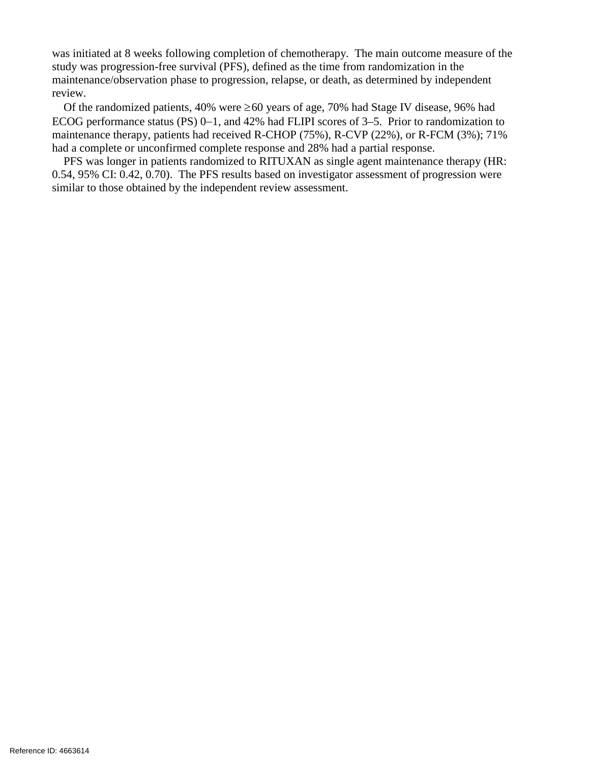was initiated at 8 weeks following completion of chemotherapy. The main outcome measure of the study was progression-free survival (PFS), defined as the time from randomization in the maintenance/observation phase to progression, relapse, or death, as determined by independent review.

Of the randomized patients,  $40\%$  were  $\geq 60$  years of age, 70% had Stage IV disease, 96% had ECOG performance status (PS) 0−1, and 42% had FLIPI scores of 3–5. Prior to randomization to maintenance therapy, patients had received R-CHOP (75%), R-CVP (22%), or R-FCM (3%); 71% had a complete or unconfirmed complete response and 28% had a partial response.

PFS was longer in patients randomized to RITUXAN as single agent maintenance therapy (HR: 0.54, 95% CI: 0.42, 0.70). The PFS results based on investigator assessment of progression were similar to those obtained by the independent review assessment.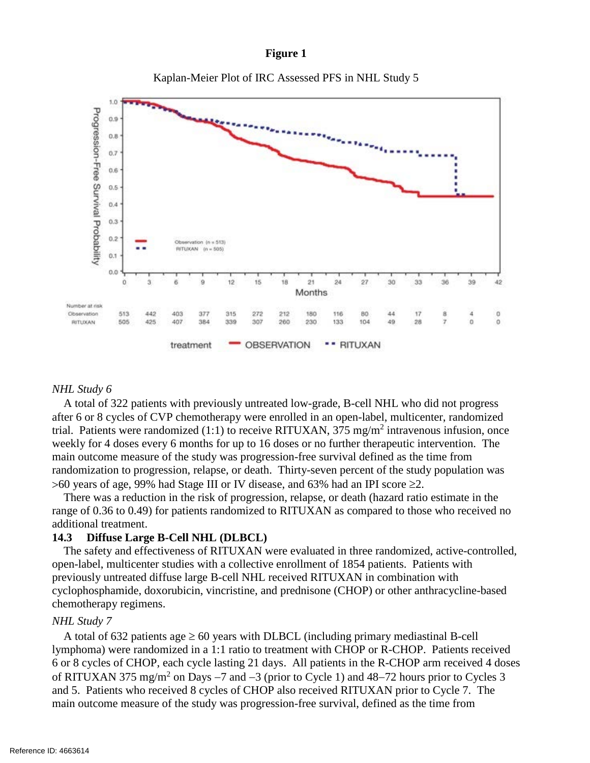#### **Figure 1**



Kaplan-Meier Plot of IRC Assessed PFS in NHL Study 5

#### *NHL Study 6*

A total of 322 patients with previously untreated low-grade, B-cell NHL who did not progress after 6 or 8 cycles of CVP chemotherapy were enrolled in an open-label, multicenter, randomized trial. Patients were randomized  $(1:1)$  to receive RITUXAN, 375 mg/m<sup>2</sup> intravenous infusion, once weekly for 4 doses every 6 months for up to 16 doses or no further therapeutic intervention. The main outcome measure of the study was progression-free survival defined as the time from randomization to progression, relapse, or death. Thirty-seven percent of the study population was  $>60$  years of age, 99% had Stage III or IV disease, and 63% had an IPI score  $\geq 2$ .

There was a reduction in the risk of progression, relapse, or death (hazard ratio estimate in the range of 0.36 to 0.49) for patients randomized to RITUXAN as compared to those who received no additional treatment.

#### **14.3 Diffuse Large B-Cell NHL (DLBCL)**

The safety and effectiveness of RITUXAN were evaluated in three randomized, active-controlled, open-label, multicenter studies with a collective enrollment of 1854 patients. Patients with previously untreated diffuse large B-cell NHL received RITUXAN in combination with cyclophosphamide, doxorubicin, vincristine, and prednisone (CHOP) or other anthracycline-based chemotherapy regimens.

#### *NHL Study 7*

A total of 632 patients age  $\geq 60$  years with DLBCL (including primary mediastinal B-cell lymphoma) were randomized in a 1:1 ratio to treatment with CHOP or R-CHOP. Patients received 6 or 8 cycles of CHOP, each cycle lasting 21 days. All patients in the R-CHOP arm received 4 doses of RITUXAN 375 mg/m<sup>2</sup> on Days −7 and −3 (prior to Cycle 1) and 48−72 hours prior to Cycles 3 and 5. Patients who received 8 cycles of CHOP also received RITUXAN prior to Cycle 7. The main outcome measure of the study was progression-free survival, defined as the time from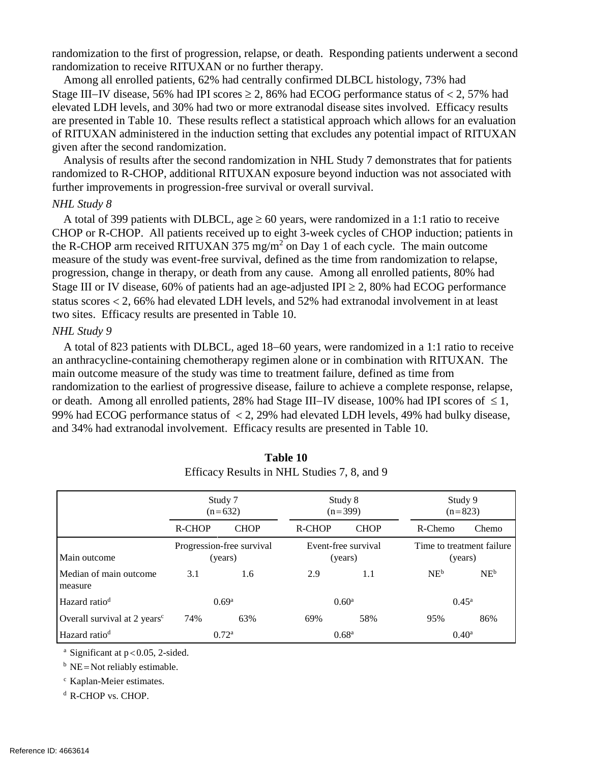randomization to the first of progression, relapse, or death. Responding patients underwent a second randomization to receive RITUXAN or no further therapy.

Among all enrolled patients, 62% had centrally confirmed DLBCL histology, 73% had Stage III−IV disease, 56% had IPI scores ≥ 2, 86% had ECOG performance status of < 2, 57% had elevated LDH levels, and 30% had two or more extranodal disease sites involved. Efficacy results are presented in Table 10. These results reflect a statistical approach which allows for an evaluation of RITUXAN administered in the induction setting that excludes any potential impact of RITUXAN given after the second randomization.

Analysis of results after the second randomization in NHL Study 7 demonstrates that for patients randomized to R-CHOP, additional RITUXAN exposure beyond induction was not associated with further improvements in progression-free survival or overall survival.

#### *NHL Study 8*

A total of 399 patients with DLBCL, age  $\geq 60$  years, were randomized in a 1:1 ratio to receive CHOP or R-CHOP. All patients received up to eight 3-week cycles of CHOP induction; patients in the R-CHOP arm received RITUXAN 375 mg/m<sup>2</sup> on Day 1 of each cycle. The main outcome measure of the study was event-free survival, defined as the time from randomization to relapse, progression, change in therapy, or death from any cause. Among all enrolled patients, 80% had Stage III or IV disease, 60% of patients had an age-adjusted IPI  $\geq$  2, 80% had ECOG performance status scores < 2, 66% had elevated LDH levels, and 52% had extranodal involvement in at least two sites. Efficacy results are presented in Table 10.

#### *NHL Study 9*

A total of 823 patients with DLBCL, aged 18−60 years, were randomized in a 1:1 ratio to receive an anthracycline-containing chemotherapy regimen alone or in combination with RITUXAN. The main outcome measure of the study was time to treatment failure, defined as time from randomization to the earliest of progressive disease, failure to achieve a complete response, relapse, or death. Among all enrolled patients, 28% had Stage III−IV disease, 100% had IPI scores of ≤ 1, 99% had ECOG performance status of < 2, 29% had elevated LDH levels, 49% had bulky disease, and 34% had extranodal involvement. Efficacy results are presented in Table 10.

|                                          | Study 7<br>$(n=632)$ |                                      |        | Study 8<br>$(n=399)$           |                                      | Study 9<br>$(n=823)$ |  |
|------------------------------------------|----------------------|--------------------------------------|--------|--------------------------------|--------------------------------------|----------------------|--|
|                                          | R-CHOP               | <b>CHOP</b>                          | R-CHOP | <b>CHOP</b>                    | R-Chemo                              | Chemo                |  |
| Main outcome                             |                      | Progression-free survival<br>(years) |        | Event-free survival<br>(years) | Time to treatment failure<br>(years) |                      |  |
| Median of main outcome<br>measure        | 3.1                  | 1.6                                  | 2.9    | 1.1                            | NE <sup>b</sup>                      | NE <sup>b</sup>      |  |
| Hazard ratio <sup>d</sup>                |                      | 0.69 <sup>a</sup>                    |        | 0.60 <sup>a</sup>              | $0.45^{\rm a}$                       |                      |  |
| Overall survival at 2 years <sup>c</sup> | 74%                  | 63%                                  | 69%    | 58%                            | 95%                                  | 86%                  |  |
| Hazard ratio <sup>d</sup>                |                      | $0.72^{\rm a}$                       |        | $0.68^{\rm a}$                 | $0.40^{\rm a}$                       |                      |  |

| Table 10                                    |  |
|---------------------------------------------|--|
| Efficacy Results in NHL Studies 7, 8, and 9 |  |

<sup>a</sup> Significant at  $p < 0.05$ , 2-sided.

 $<sup>b</sup>$  NE = Not reliably estimable.</sup>

<sup>c</sup> Kaplan-Meier estimates.

<sup>d</sup> R-CHOP vs. CHOP.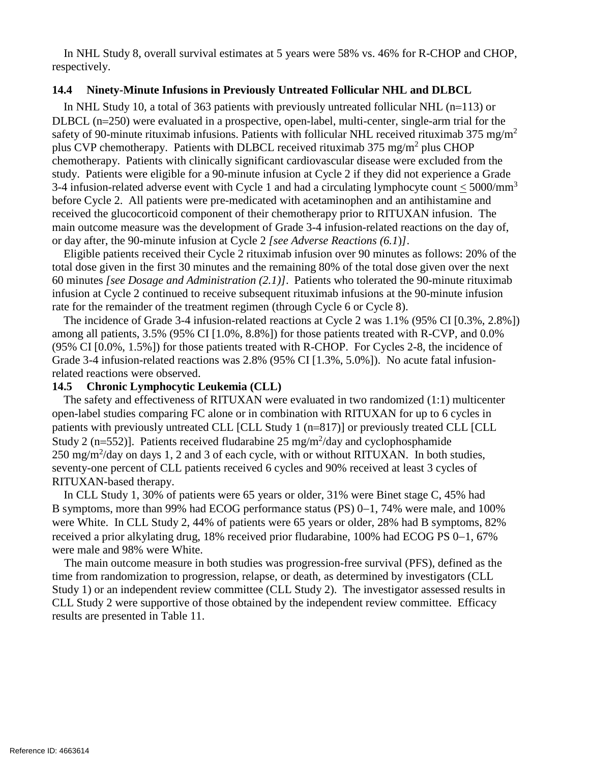In NHL Study 8, overall survival estimates at 5 years were 58% vs. 46% for R-CHOP and CHOP, respectively.

## **14.4 Ninety-Minute Infusions in Previously Untreated Follicular NHL and DLBCL**

In NHL Study 10, a total of 363 patients with previously untreated follicular NHL (n=113) or DLBCL (n=250) were evaluated in a prospective, open-label, multi-center, single-arm trial for the safety of 90-minute rituximab infusions. Patients with follicular NHL received rituximab 375 mg/m<sup>2</sup> plus CVP chemotherapy. Patients with DLBCL received rituximab 375 mg/m<sup>2</sup> plus CHOP chemotherapy. Patients with clinically significant cardiovascular disease were excluded from the study. Patients were eligible for a 90-minute infusion at Cycle 2 if they did not experience a Grade 3-4 infusion-related adverse event with Cycle 1 and had a circulating lymphocyte count  $<$  5000/mm<sup>3</sup> before Cycle 2. All patients were pre-medicated with acetaminophen and an antihistamine and received the glucocorticoid component of their chemotherapy prior to RITUXAN infusion. The main outcome measure was the development of Grade 3-4 infusion-related reactions on the day of, or day after, the 90-minute infusion at Cycle 2 *[see Adverse Reactions (6.1*)*]*.

Eligible patients received their Cycle 2 rituximab infusion over 90 minutes as follows: 20% of the total dose given in the first 30 minutes and the remaining 80% of the total dose given over the next 60 minutes *[see Dosage and Administration (2.1)]*. Patients who tolerated the 90-minute rituximab infusion at Cycle 2 continued to receive subsequent rituximab infusions at the 90-minute infusion rate for the remainder of the treatment regimen (through Cycle 6 or Cycle 8).

The incidence of Grade 3-4 infusion-related reactions at Cycle 2 was 1.1% (95% CI [0.3%, 2.8%]) among all patients, 3.5% (95% CI [1.0%, 8.8%]) for those patients treated with R-CVP, and 0.0% (95% CI [0.0%, 1.5%]) for those patients treated with R-CHOP. For Cycles 2-8, the incidence of Grade 3-4 infusion-related reactions was 2.8% (95% CI [1.3%, 5.0%]). No acute fatal infusionrelated reactions were observed.

#### **14.5 Chronic Lymphocytic Leukemia (CLL)**

The safety and effectiveness of RITUXAN were evaluated in two randomized (1:1) multicenter open-label studies comparing FC alone or in combination with RITUXAN for up to 6 cycles in patients with previously untreated CLL [CLL Study 1 (n=817)] or previously treated CLL [CLL Study 2 (n=552)]. Patients received fludarabine 25 mg/m<sup>2</sup>/day and cyclophosphamide  $250 \text{ mg/m}^2/\text{day}$  on days 1, 2 and 3 of each cycle, with or without RITUXAN. In both studies, seventy-one percent of CLL patients received 6 cycles and 90% received at least 3 cycles of RITUXAN-based therapy.

In CLL Study 1, 30% of patients were 65 years or older, 31% were Binet stage C, 45% had B symptoms, more than 99% had ECOG performance status (PS) 0−1, 74% were male, and 100% were White. In CLL Study 2, 44% of patients were 65 years or older, 28% had B symptoms, 82% received a prior alkylating drug, 18% received prior fludarabine, 100% had ECOG PS 0−1, 67% were male and 98% were White.

The main outcome measure in both studies was progression-free survival (PFS), defined as the time from randomization to progression, relapse, or death, as determined by investigators (CLL Study 1) or an independent review committee (CLL Study 2). The investigator assessed results in CLL Study 2 were supportive of those obtained by the independent review committee. Efficacy results are presented in Table 11.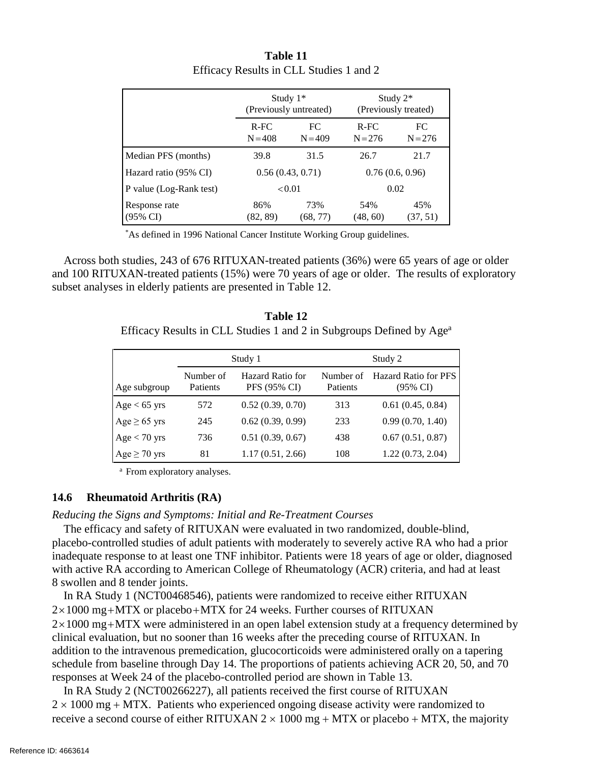|                                      | Study $1*$<br>(Previously untreated) |                  | Study $2^*$<br>(Previously treated) |                 |
|--------------------------------------|--------------------------------------|------------------|-------------------------------------|-----------------|
|                                      | $R-FC$<br>$N = 408$                  | FC.<br>$N = 409$ | $R-FC$<br>$N = 276$                 | FC<br>$N = 276$ |
| Median PFS (months)                  | 39.8                                 | 31.5             | 26.7                                | 21.7            |
| Hazard ratio (95% CI)                |                                      | 0.56(0.43, 0.71) |                                     | 0.76(0.6, 0.96) |
| P value (Log-Rank test)              |                                      | < 0.01           |                                     | 0.02            |
| Response rate<br>$(95\% \text{ CI})$ | 86%<br>(82, 89)                      | 73%<br>(68, 77)  | 54%<br>(48, 60)                     | 45%<br>(37, 51) |

**Table 11** Efficacy Results in CLL Studies 1 and 2

\* As defined in 1996 National Cancer Institute Working Group guidelines.

Across both studies, 243 of 676 RITUXAN-treated patients (36%) were 65 years of age or older and 100 RITUXAN-treated patients (15%) were 70 years of age or older. The results of exploratory subset analyses in elderly patients are presented in Table 12.

| Table 12                                                                         |
|----------------------------------------------------------------------------------|
| Efficacy Results in CLL Studies 1 and 2 in Subgroups Defined by Age <sup>a</sup> |

|                   |                       | Study 1                          | Study 2  |                                                       |  |
|-------------------|-----------------------|----------------------------------|----------|-------------------------------------------------------|--|
| Age subgroup      | Number of<br>Patients | Hazard Ratio for<br>PFS (95% CI) | Patients | Number of Hazard Ratio for PFS<br>$(95\% \text{ CI})$ |  |
| Age $< 65$ yrs    | 572                   | 0.52(0.39, 0.70)                 | 313      | 0.61(0.45, 0.84)                                      |  |
| Age $\geq 65$ yrs | 245                   | 0.62(0.39, 0.99)                 | 233      | 0.99(0.70, 1.40)                                      |  |
| $Age < 70$ yrs    | 736                   | 0.51(0.39, 0.67)                 | 438      | 0.67(0.51, 0.87)                                      |  |
| Age $\geq 70$ yrs | 81                    | 1.17(0.51, 2.66)                 | 108      | 1.22(0.73, 2.04)                                      |  |

<sup>a</sup> From exploratory analyses.

#### **14.6 Rheumatoid Arthritis (RA)**

*Reducing the Signs and Symptoms: Initial and Re-Treatment Courses*

The efficacy and safety of RITUXAN were evaluated in two randomized, double-blind, placebo-controlled studies of adult patients with moderately to severely active RA who had a prior inadequate response to at least one TNF inhibitor. Patients were 18 years of age or older, diagnosed with active RA according to American College of Rheumatology (ACR) criteria, and had at least 8 swollen and 8 tender joints.

In RA Study 1 (NCT00468546), patients were randomized to receive either RITUXAN  $2\times1000$  mg+MTX or placebo+MTX for 24 weeks. Further courses of RITUXAN  $2\times1000$  mg+MTX were administered in an open label extension study at a frequency determined by clinical evaluation, but no sooner than 16 weeks after the preceding course of RITUXAN. In addition to the intravenous premedication, glucocorticoids were administered orally on a tapering schedule from baseline through Day 14. The proportions of patients achieving ACR 20, 50, and 70 responses at Week 24 of the placebo-controlled period are shown in Table 13.

In RA Study 2 (NCT00266227), all patients received the first course of RITUXAN  $2 \times 1000$  mg + MTX. Patients who experienced ongoing disease activity were randomized to receive a second course of either RITUXAN  $2 \times 1000$  mg + MTX or placebo + MTX, the majority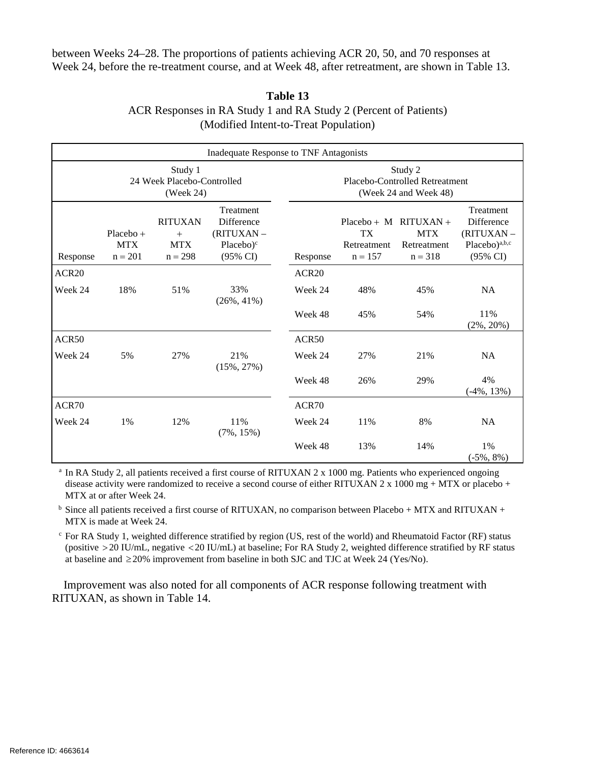between Weeks 24–28. The proportions of patients achieving ACR 20, 50, and 70 responses at Week 24, before the re-treatment course, and at Week 48, after retreatment, are shown in Table 13.

## **Table 13** ACR Responses in RA Study 1 and RA Study 2 (Percent of Patients) (Modified Intent-to-Treat Population)

| Inadequate Response to TNF Antagonists |                                                    |                                                  |                                                                              |                   |                                                                    |                                                                 |                                                                                           |  |
|----------------------------------------|----------------------------------------------------|--------------------------------------------------|------------------------------------------------------------------------------|-------------------|--------------------------------------------------------------------|-----------------------------------------------------------------|-------------------------------------------------------------------------------------------|--|
|                                        | Study 1<br>24 Week Placebo-Controlled<br>(Week 24) |                                                  |                                                                              |                   | Study 2<br>Placebo-Controlled Retreatment<br>(Week 24 and Week 48) |                                                                 |                                                                                           |  |
| Response                               | Placebo +<br><b>MTX</b><br>$n = 201$               | <b>RITUXAN</b><br>$+$<br><b>MTX</b><br>$n = 298$ | Treatment<br>Difference<br>(RITUXAN -<br>$Placebo)$ <sup>c</sup><br>(95% CI) | Response          | <b>TX</b><br>Retreatment<br>$n = 157$                              | Placebo + M RITUXAN +<br><b>MTX</b><br>Retreatment<br>$n = 318$ | Treatment<br>Difference<br>(RITUXAN -<br>Placebo) <sup>a,b,c</sup><br>$(95\% \text{ CI})$ |  |
| ACR <sub>20</sub>                      |                                                    |                                                  |                                                                              | ACR <sub>20</sub> |                                                                    |                                                                 |                                                                                           |  |
| Week 24                                | 18%                                                | 51%                                              | 33%<br>$(26\%, 41\%)$                                                        | Week 24           | 48%                                                                | 45%                                                             | <b>NA</b>                                                                                 |  |
|                                        |                                                    |                                                  |                                                                              | Week 48           | 45%                                                                | 54%                                                             | 11%<br>$(2\%, 20\%)$                                                                      |  |
| ACR50                                  |                                                    |                                                  |                                                                              | ACR50             |                                                                    |                                                                 |                                                                                           |  |
| Week 24                                | 5%                                                 | 27%                                              | 21%<br>$(15\%, 27\%)$                                                        | Week 24           | 27%                                                                | 21%                                                             | <b>NA</b>                                                                                 |  |
|                                        |                                                    |                                                  |                                                                              | Week 48           | 26%                                                                | 29%                                                             | 4%<br>$(-4\%, 13\%)$                                                                      |  |
| ACR70                                  |                                                    |                                                  |                                                                              | ACR70             |                                                                    |                                                                 |                                                                                           |  |
| Week 24                                | 1%                                                 | 12%                                              | 11%<br>$(7\%, 15\%)$                                                         | Week 24           | 11%                                                                | 8%                                                              | <b>NA</b>                                                                                 |  |
|                                        |                                                    |                                                  |                                                                              | Week 48           | 13%                                                                | 14%                                                             | $1\%$<br>$(-5\%, 8\%)$                                                                    |  |

<sup>a</sup> In RA Study 2, all patients received a first course of RITUXAN 2 x 1000 mg. Patients who experienced ongoing disease activity were randomized to receive a second course of either RITUXAN 2 x 1000 mg + MTX or placebo + MTX at or after Week 24.

<sup>b</sup> Since all patients received a first course of RITUXAN, no comparison between Placebo + MTX and RITUXAN + MTX is made at Week 24.

<sup>c</sup> For RA Study 1, weighted difference stratified by region (US, rest of the world) and Rheumatoid Factor (RF) status (positive > 20 IU/mL, negative <20 IU/mL) at baseline; For RA Study 2, weighted difference stratified by RF status at baseline and  $\geq$  20% improvement from baseline in both SJC and TJC at Week 24 (Yes/No).

Improvement was also noted for all components of ACR response following treatment with RITUXAN, as shown in Table 14.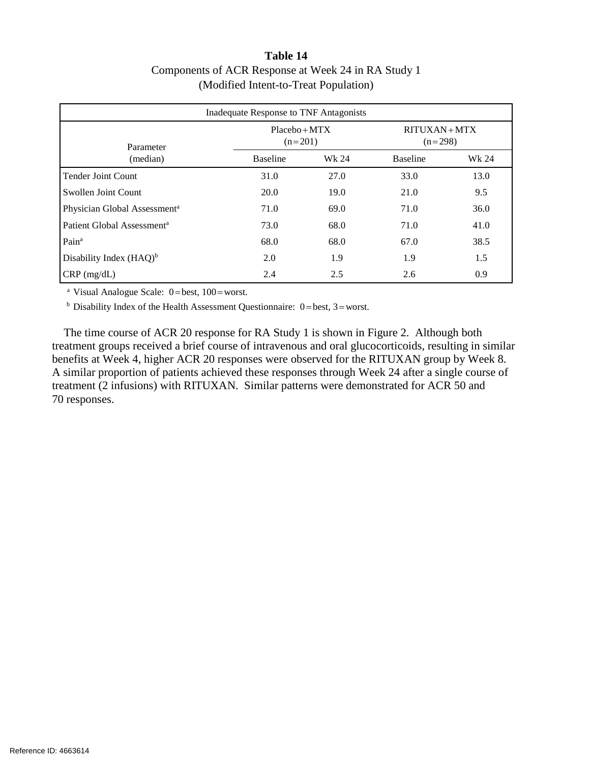## **Table 14**

## Components of ACR Response at Week 24 in RA Study 1 (Modified Intent-to-Treat Population)

| <b>Inadequate Response to TNF Antagonists</b> |                              |       |                            |       |  |
|-----------------------------------------------|------------------------------|-------|----------------------------|-------|--|
| Parameter                                     | $Placebo + MTX$<br>$(n=201)$ |       | $RITUXAN+MTX$<br>$(n=298)$ |       |  |
| (median)                                      | <b>Baseline</b>              | Wk 24 | <b>Baseline</b>            | Wk 24 |  |
| <b>Tender Joint Count</b>                     | 31.0                         | 27.0  | 33.0                       | 13.0  |  |
| Swollen Joint Count                           | 20.0                         | 19.0  | 21.0                       | 9.5   |  |
| Physician Global Assessment <sup>a</sup>      | 71.0                         | 69.0  | 71.0                       | 36.0  |  |
| Patient Global Assessment <sup>a</sup>        | 73.0                         | 68.0  | 71.0                       | 41.0  |  |
| Pain <sup>a</sup>                             | 68.0                         | 68.0  | 67.0                       | 38.5  |  |
| Disability Index $(HAQ)^b$                    | 2.0                          | 1.9   | 1.9                        | 1.5   |  |
| $CRP$ (mg/dL)                                 | 2.4                          | 2.5   | 2.6                        | 0.9   |  |

<sup>a</sup> Visual Analogue Scale:  $0 = best$ ,  $100 = worst$ .

 $<sup>b</sup>$  Disability Index of the Health Assessment Questionnaire: 0=best, 3=worst.</sup>

The time course of ACR 20 response for RA Study 1 is shown in Figure 2. Although both treatment groups received a brief course of intravenous and oral glucocorticoids, resulting in similar benefits at Week 4, higher ACR 20 responses were observed for the RITUXAN group by Week 8. A similar proportion of patients achieved these responses through Week 24 after a single course of treatment (2 infusions) with RITUXAN. Similar patterns were demonstrated for ACR 50 and 70 responses.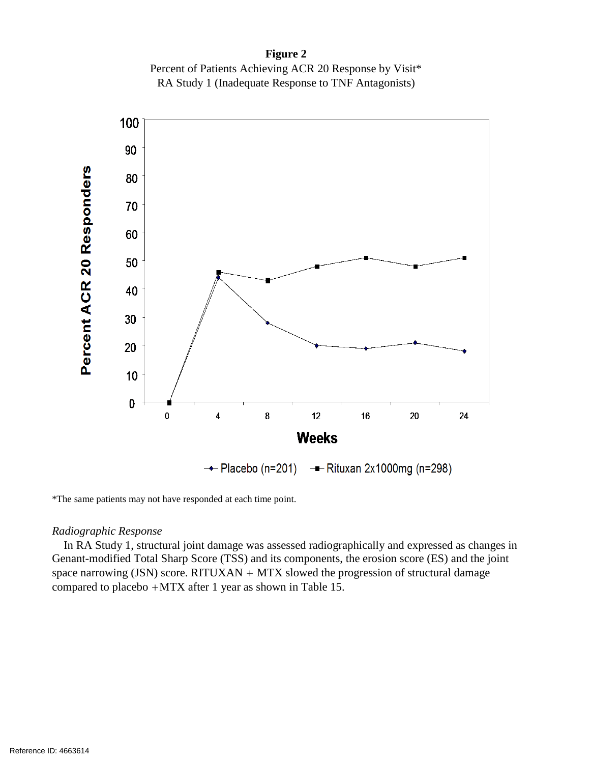**Figure 2** Percent of Patients Achieving ACR 20 Response by Visit\* RA Study 1 (Inadequate Response to TNF Antagonists)



\*The same patients may not have responded at each time point.

#### *Radiographic Response*

In RA Study 1, structural joint damage was assessed radiographically and expressed as changes in Genant-modified Total Sharp Score (TSS) and its components, the erosion score (ES) and the joint space narrowing (JSN) score.  $RITUXAN + MTX$  slowed the progression of structural damage compared to placebo +MTX after 1 year as shown in Table 15.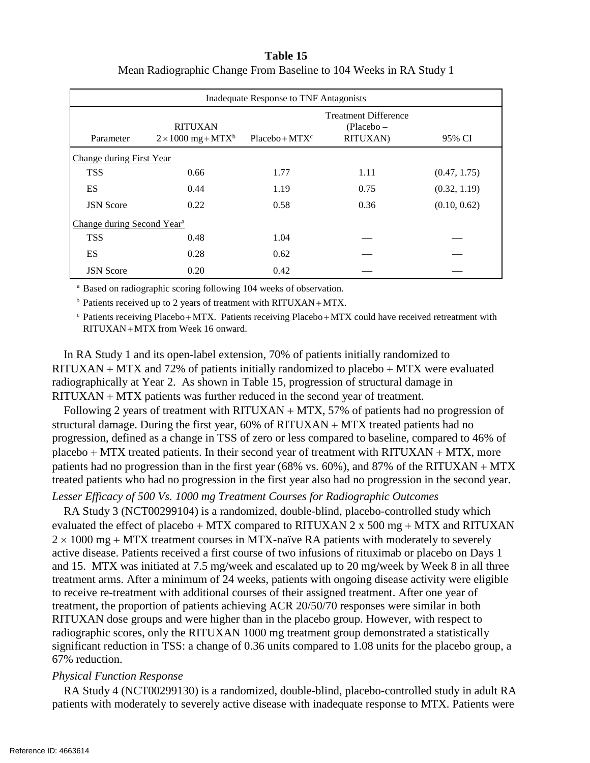## **Table 15** Mean Radiographic Change From Baseline to 104 Weeks in RA Study 1

| Inadequate Response to TNF Antagonists |                                                         |                  |                                                       |              |  |
|----------------------------------------|---------------------------------------------------------|------------------|-------------------------------------------------------|--------------|--|
| Parameter                              | <b>RITUXAN</b><br>$2 \times 1000$ mg + MTX <sup>b</sup> | $Placebo + MTXc$ | <b>Treatment Difference</b><br>(Placebo –<br>RITUXAN) | 95% CI       |  |
| Change during First Year               |                                                         |                  |                                                       |              |  |
| <b>TSS</b>                             | 0.66                                                    | 1.77             | 1.11                                                  | (0.47, 1.75) |  |
| <b>ES</b>                              | 0.44                                                    | 1.19             | 0.75                                                  | (0.32, 1.19) |  |
| <b>JSN</b> Score                       | 0.22                                                    | 0.58             | 0.36                                                  | (0.10, 0.62) |  |
| Change during Second Year <sup>a</sup> |                                                         |                  |                                                       |              |  |
| <b>TSS</b>                             | 0.48                                                    | 1.04             |                                                       |              |  |
| <b>ES</b>                              | 0.28                                                    | 0.62             |                                                       |              |  |
| <b>JSN</b> Score                       | 0.20                                                    | 0.42             |                                                       |              |  |

<sup>a</sup> Based on radiographic scoring following 104 weeks of observation.

<sup>b</sup> Patients received up to 2 years of treatment with RITUXAN+MTX.

<sup>c</sup> Patients receiving Placebo+MTX. Patients receiving Placebo+MTX could have received retreatment with RITUXAN+MTX from Week 16 onward.

In RA Study 1 and its open-label extension, 70% of patients initially randomized to RITUXAN + MTX and 72% of patients initially randomized to placebo + MTX were evaluated radiographically at Year 2. As shown in Table 15, progression of structural damage in RITUXAN + MTX patients was further reduced in the second year of treatment.

Following 2 years of treatment with RITUXAN + MTX, 57% of patients had no progression of structural damage. During the first year, 60% of RITUXAN + MTX treated patients had no progression, defined as a change in TSS of zero or less compared to baseline, compared to 46% of placebo + MTX treated patients. In their second year of treatment with RITUXAN + MTX, more patients had no progression than in the first year (68% vs. 60%), and 87% of the RITUXAN + MTX treated patients who had no progression in the first year also had no progression in the second year.

*Lesser Efficacy of 500 Vs. 1000 mg Treatment Courses for Radiographic Outcomes*

RA Study 3 (NCT00299104) is a randomized, double-blind, placebo-controlled study which evaluated the effect of placebo + MTX compared to RITUXAN  $2 \times 500$  mg + MTX and RITUXAN  $2 \times 1000$  mg + MTX treatment courses in MTX-naïve RA patients with moderately to severely active disease. Patients received a first course of two infusions of rituximab or placebo on Days 1 and 15. MTX was initiated at 7.5 mg/week and escalated up to 20 mg/week by Week 8 in all three treatment arms. After a minimum of 24 weeks, patients with ongoing disease activity were eligible to receive re-treatment with additional courses of their assigned treatment. After one year of treatment, the proportion of patients achieving ACR 20/50/70 responses were similar in both RITUXAN dose groups and were higher than in the placebo group. However, with respect to radiographic scores, only the RITUXAN 1000 mg treatment group demonstrated a statistically significant reduction in TSS: a change of 0.36 units compared to 1.08 units for the placebo group, a 67% reduction.

## *Physical Function Response*

RA Study 4 (NCT00299130) is a randomized, double-blind, placebo-controlled study in adult RA patients with moderately to severely active disease with inadequate response to MTX. Patients were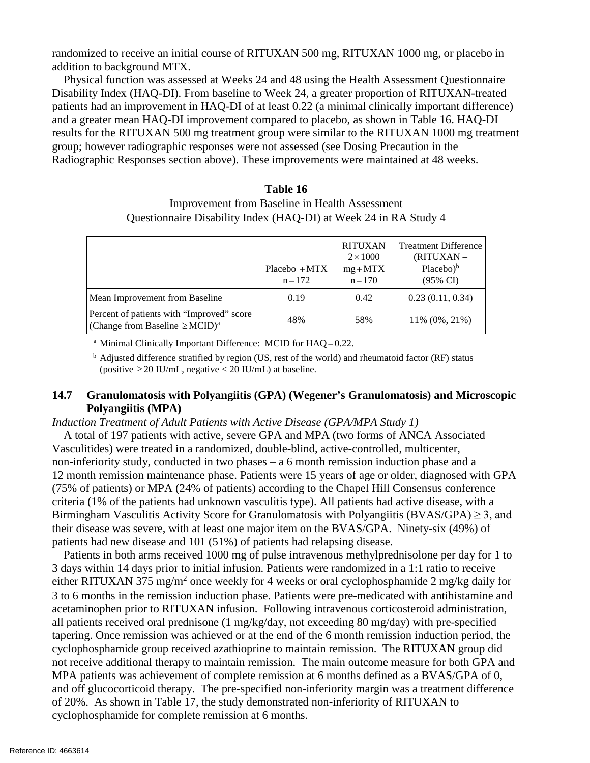randomized to receive an initial course of RITUXAN 500 mg, RITUXAN 1000 mg, or placebo in addition to background MTX.

Physical function was assessed at Weeks 24 and 48 using the Health Assessment Questionnaire Disability Index (HAQ-DI). From baseline to Week 24, a greater proportion of RITUXAN-treated patients had an improvement in HAQ-DI of at least 0.22 (a minimal clinically important difference) and a greater mean HAQ-DI improvement compared to placebo, as shown in Table 16. HAQ-DI results for the RITUXAN 500 mg treatment group were similar to the RITUXAN 1000 mg treatment group; however radiographic responses were not assessed (see Dosing Precaution in the Radiographic Responses section above). These improvements were maintained at 48 weeks.

## **Table 16**

Improvement from Baseline in Health Assessment Questionnaire Disability Index (HAQ-DI) at Week 24 in RA Study 4

|                                                                                             | $Placebo + MTX$<br>$n = 172$ | <b>RITUXAN</b><br>$2 \times 1000$<br>$mg+MTX$<br>$n = 170$ | <b>Treatment Difference</b><br>(RITUXAN –<br>$Placebo)^b$<br>$(95\% \text{ CI})$ |
|---------------------------------------------------------------------------------------------|------------------------------|------------------------------------------------------------|----------------------------------------------------------------------------------|
| Mean Improvement from Baseline                                                              | 0.19                         | 0.42                                                       | 0.23(0.11, 0.34)                                                                 |
| Percent of patients with "Improved" score<br>(Change from Baseline $\geq MCID$ <sup>a</sup> | 48%                          | 58%                                                        | $11\%$ (0%, 21%)                                                                 |

<sup>a</sup> Minimal Clinically Important Difference: MCID for HAQ=0.22.

 $<sup>b</sup>$  Adjusted difference stratified by region (US, rest of the world) and rheumatoid factor (RF) status</sup> (positive  $\geq$  20 IU/mL, negative < 20 IU/mL) at baseline.

## **14.7 Granulomatosis with Polyangiitis (GPA) (Wegener's Granulomatosis) and Microscopic Polyangiitis (MPA)**

*Induction Treatment of Adult Patients with Active Disease (GPA/MPA Study 1)*

A total of 197 patients with active, severe GPA and MPA (two forms of ANCA Associated Vasculitides) were treated in a randomized, double-blind, active-controlled, multicenter, non-inferiority study, conducted in two phases  $-$  a 6 month remission induction phase and a 12 month remission maintenance phase. Patients were 15 years of age or older, diagnosed with GPA (75% of patients) or MPA (24% of patients) according to the Chapel Hill Consensus conference criteria (1% of the patients had unknown vasculitis type). All patients had active disease, with a Birmingham Vasculitis Activity Score for Granulomatosis with Polyangiitis (BVAS/GPA)  $\geq$  3, and their disease was severe, with at least one major item on the BVAS/GPA. Ninety-six (49%) of patients had new disease and 101 (51%) of patients had relapsing disease.

Patients in both arms received 1000 mg of pulse intravenous methylprednisolone per day for 1 to 3 days within 14 days prior to initial infusion. Patients were randomized in a 1:1 ratio to receive either RITUXAN 375 mg/m<sup>2</sup> once weekly for 4 weeks or oral cyclophosphamide 2 mg/kg daily for 3 to 6 months in the remission induction phase. Patients were pre-medicated with antihistamine and acetaminophen prior to RITUXAN infusion. Following intravenous corticosteroid administration, all patients received oral prednisone  $(1 \text{ mg/kg/day})$ , not exceeding 80 mg/day) with pre-specified tapering. Once remission was achieved or at the end of the 6 month remission induction period, the cyclophosphamide group received azathioprine to maintain remission. The RITUXAN group did not receive additional therapy to maintain remission. The main outcome measure for both GPA and MPA patients was achievement of complete remission at 6 months defined as a BVAS/GPA of 0, and off glucocorticoid therapy. The pre-specified non-inferiority margin was a treatment difference of 20%. As shown in Table 17, the study demonstrated non-inferiority of RITUXAN to cyclophosphamide for complete remission at 6 months.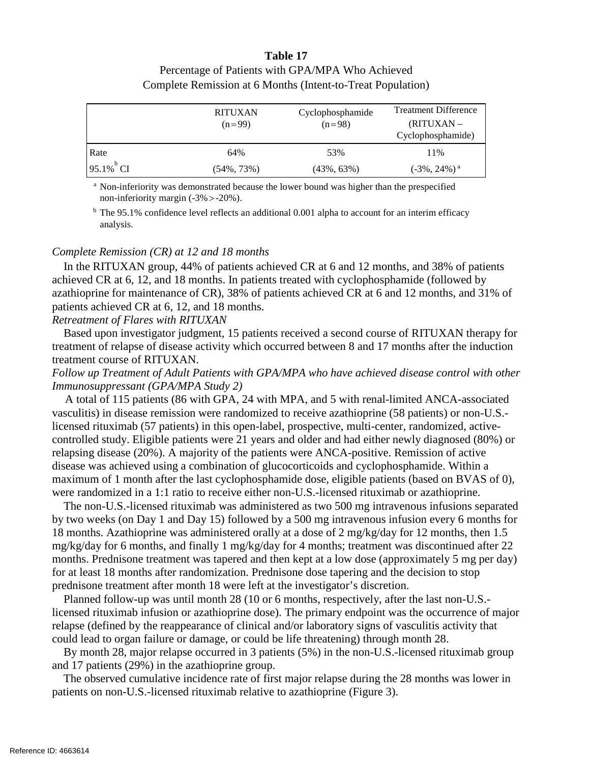#### **Table 17**

# Percentage of Patients with GPA/MPA Who Achieved Complete Remission at 6 Months (Intent-to-Treat Population)

|                          | <b>RITUXAN</b><br>$(n=99)$ | Cyclophosphamide<br>$(n=98)$ | <b>Treatment Difference</b><br>$(RITUXAN -$<br>Cyclophosphamide) |
|--------------------------|----------------------------|------------------------------|------------------------------------------------------------------|
| Rate                     | 64%                        | 53%                          | 11%                                                              |
| $95.1\%$ <sup>b</sup> CI | (54%, 73%)                 | $(43\%, 63\%)$               | $(-3\%, 24\%)$ <sup>a</sup>                                      |

<sup>a</sup> Non-inferiority was demonstrated because the lower bound was higher than the prespecified non-inferiority margin  $(-3\% > -20\%)$ .

<sup>b</sup> The 95.1% confidence level reflects an additional 0.001 alpha to account for an interim efficacy analysis.

#### *Complete Remission (CR) at 12 and 18 months*

In the RITUXAN group, 44% of patients achieved CR at 6 and 12 months, and 38% of patients achieved CR at 6, 12, and 18 months. In patients treated with cyclophosphamide (followed by azathioprine for maintenance of CR), 38% of patients achieved CR at 6 and 12 months, and 31% of patients achieved CR at 6, 12, and 18 months.

#### *Retreatment of Flares with RITUXAN*

Based upon investigator judgment, 15 patients received a second course of RITUXAN therapy for treatment of relapse of disease activity which occurred between 8 and 17 months after the induction treatment course of RITUXAN.

## *Follow up Treatment of Adult Patients with GPA/MPA who have achieved disease control with other Immunosuppressant (GPA/MPA Study 2)*

A total of 115 patients (86 with GPA, 24 with MPA, and 5 with renal-limited ANCA-associated vasculitis) in disease remission were randomized to receive azathioprine (58 patients) or non-U.S. licensed rituximab (57 patients) in this open-label, prospective, multi-center, randomized, activecontrolled study. Eligible patients were 21 years and older and had either newly diagnosed (80%) or relapsing disease (20%). A majority of the patients were ANCA-positive. Remission of active disease was achieved using a combination of glucocorticoids and cyclophosphamide. Within a maximum of 1 month after the last cyclophosphamide dose, eligible patients (based on BVAS of 0), were randomized in a 1:1 ratio to receive either non-U.S.-licensed rituximab or azathioprine.

The non-U.S.-licensed rituximab was administered as two 500 mg intravenous infusions separated by two weeks (on Day 1 and Day 15) followed by a 500 mg intravenous infusion every 6 months for 18 months. Azathioprine was administered orally at a dose of 2 mg/kg/day for 12 months, then 1.5 mg/kg/day for 6 months, and finally 1 mg/kg/day for 4 months; treatment was discontinued after 22 months. Prednisone treatment was tapered and then kept at a low dose (approximately 5 mg per day) for at least 18 months after randomization. Prednisone dose tapering and the decision to stop prednisone treatment after month 18 were left at the investigator's discretion.

Planned follow-up was until month 28 (10 or 6 months, respectively, after the last non-U.S. licensed rituximab infusion or azathioprine dose). The primary endpoint was the occurrence of major relapse (defined by the reappearance of clinical and/or laboratory signs of vasculitis activity that could lead to organ failure or damage, or could be life threatening) through month 28.

By month 28, major relapse occurred in 3 patients (5%) in the non-U.S.-licensed rituximab group and 17 patients (29%) in the azathioprine group.

The observed cumulative incidence rate of first major relapse during the 28 months was lower in patients on non-U.S.-licensed rituximab relative to azathioprine (Figure 3).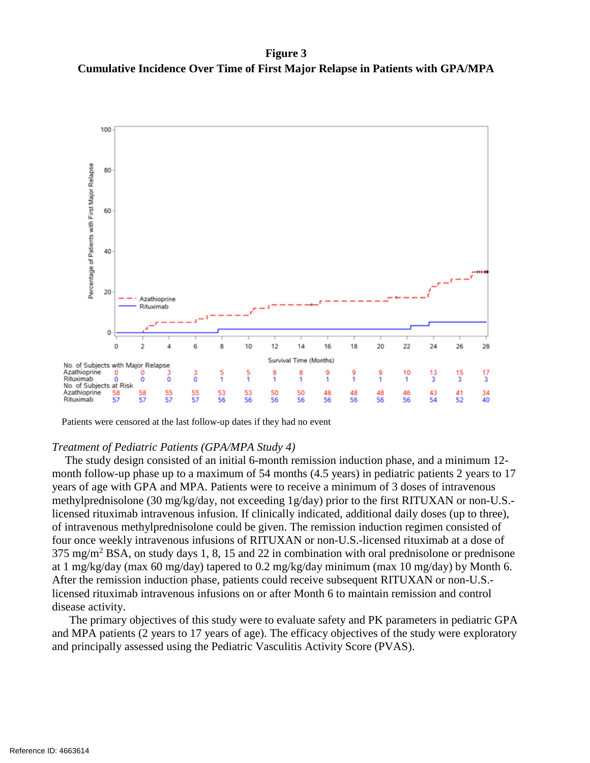**Figure 3 Cumulative Incidence Over Time of First Major Relapse in Patients with GPA/MPA**



Patients were censored at the last follow-up dates if they had no event

#### *Treatment of Pediatric Patients (GPA/MPA Study 4)*

The study design consisted of an initial 6-month remission induction phase, and a minimum 12 month follow-up phase up to a maximum of 54 months (4.5 years) in pediatric patients 2 years to 17 years of age with GPA and MPA. Patients were to receive a minimum of 3 doses of intravenous methylprednisolone (30 mg/kg/day, not exceeding 1g/day) prior to the first RITUXAN or non-U.S. licensed rituximab intravenous infusion. If clinically indicated, additional daily doses (up to three), of intravenous methylprednisolone could be given. The remission induction regimen consisted of four once weekly intravenous infusions of RITUXAN or non-U.S.-licensed rituximab at a dose of 375 mg/m<sup>2</sup> BSA, on study days 1, 8, 15 and 22 in combination with oral prednisolone or prednisone at 1 mg/kg/day (max 60 mg/day) tapered to 0.2 mg/kg/day minimum (max 10 mg/day) by Month 6. After the remission induction phase, patients could receive subsequent RITUXAN or non-U.S. licensed rituximab intravenous infusions on or after Month 6 to maintain remission and control disease activity.

The primary objectives of this study were to evaluate safety and PK parameters in pediatric GPA and MPA patients (2 years to 17 years of age). The efficacy objectives of the study were exploratory and principally assessed using the Pediatric Vasculitis Activity Score (PVAS).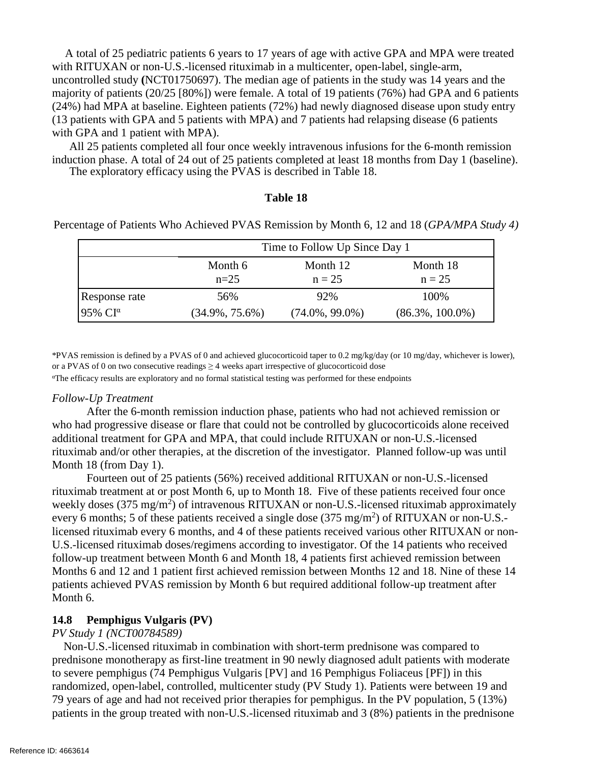A total of 25 pediatric patients 6 years to 17 years of age with active GPA and MPA were treated with RITUXAN or non-U.S.-licensed rituximab in a multicenter, open-label, single-arm, uncontrolled study **(**NCT01750697). The median age of patients in the study was 14 years and the majority of patients (20/25 [80%]) were female. A total of 19 patients (76%) had GPA and 6 patients (24%) had MPA at baseline. Eighteen patients (72%) had newly diagnosed disease upon study entry (13 patients with GPA and 5 patients with MPA) and 7 patients had relapsing disease (6 patients with GPA and 1 patient with MPA).

All 25 patients completed all four once weekly intravenous infusions for the 6-month remission induction phase. A total of 24 out of 25 patients completed at least 18 months from Day 1 (baseline). The exploratory efficacy using the PVAS is described in Table 18.

#### **Table 18**

Percentage of Patients Who Achieved PVAS Remission by Month 6, 12 and 18 (*GPA/MPA Study 4)*

|                   | Time to Follow Up Since Day 1 |                      |                      |
|-------------------|-------------------------------|----------------------|----------------------|
|                   | Month 6<br>$n=25$             | Month 12<br>$n = 25$ | Month 18<br>$n = 25$ |
| Response rate     | 56%                           | 92%                  | 100%                 |
| 95% $CI^{\alpha}$ | $(34.9\%, 75.6\%)$            | $(74.0\%, 99.0\%)$   | $(86.3\%, 100.0\%)$  |

\*PVAS remission is defined by a PVAS of 0 and achieved glucocorticoid taper to 0.2 mg/kg/day (or 10 mg/day, whichever is lower), or a PVAS of 0 on two consecutive readings  $\geq$  4 weeks apart irrespective of glucocorticoid dose

<sup>α</sup>The efficacy results are exploratory and no formal statistical testing was performed for these endpoints

#### *Follow-Up Treatment*

After the 6-month remission induction phase, patients who had not achieved remission or who had progressive disease or flare that could not be controlled by glucocorticoids alone received additional treatment for GPA and MPA, that could include RITUXAN or non-U.S.-licensed rituximab and/or other therapies, at the discretion of the investigator. Planned follow-up was until Month 18 (from Day 1).

Fourteen out of 25 patients (56%) received additional RITUXAN or non-U.S.-licensed rituximab treatment at or post Month 6, up to Month 18. Five of these patients received four once weekly doses  $(375 \text{ mg/m}^2)$  of intravenous RITUXAN or non-U.S.-licensed rituximab approximately every 6 months; 5 of these patients received a single dose  $(375 \text{ mg/m}^2)$  of RITUXAN or non-U.S.licensed rituximab every 6 months, and 4 of these patients received various other RITUXAN or non-U.S.-licensed rituximab doses/regimens according to investigator. Of the 14 patients who received follow-up treatment between Month 6 and Month 18, 4 patients first achieved remission between Months 6 and 12 and 1 patient first achieved remission between Months 12 and 18. Nine of these 14 patients achieved PVAS remission by Month 6 but required additional follow-up treatment after Month 6.

#### **14.8 Pemphigus Vulgaris (PV)**

#### *PV Study 1 (NCT00784589)*

Non-U.S.-licensed rituximab in combination with short-term prednisone was compared to prednisone monotherapy as first-line treatment in 90 newly diagnosed adult patients with moderate to severe pemphigus (74 Pemphigus Vulgaris [PV] and 16 Pemphigus Foliaceus [PF]) in this randomized, open-label, controlled, multicenter study (PV Study 1). Patients were between 19 and 79 years of age and had not received prior therapies for pemphigus. In the PV population, 5 (13%) patients in the group treated with non-U.S.-licensed rituximab and 3 (8%) patients in the prednisone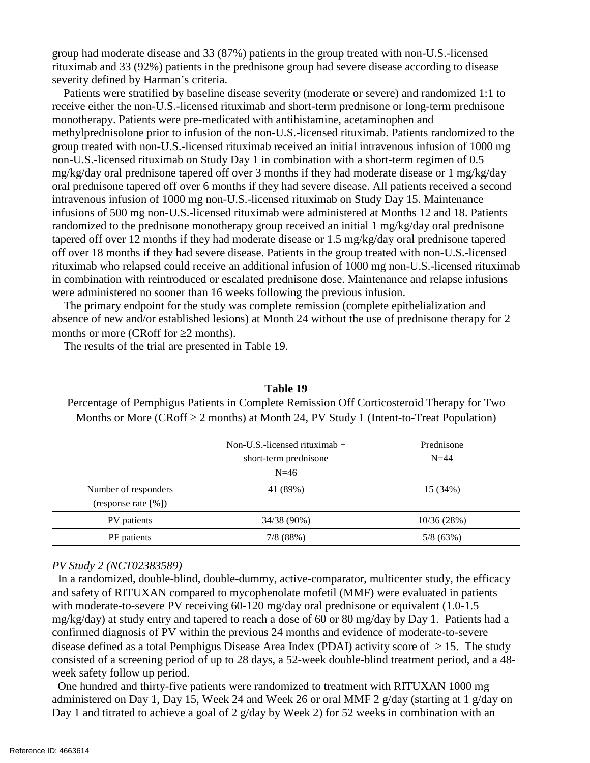group had moderate disease and 33 (87%) patients in the group treated with non-U.S.-licensed rituximab and 33 (92%) patients in the prednisone group had severe disease according to disease severity defined by Harman's criteria.

 Patients were stratified by baseline disease severity (moderate or severe) and randomized 1:1 to receive either the non-U.S.-licensed rituximab and short-term prednisone or long-term prednisone monotherapy. Patients were pre-medicated with antihistamine, acetaminophen and methylprednisolone prior to infusion of the non-U.S.-licensed rituximab. Patients randomized to the group treated with non-U.S.-licensed rituximab received an initial intravenous infusion of 1000 mg non-U.S.-licensed rituximab on Study Day 1 in combination with a short-term regimen of 0.5 mg/kg/day oral prednisone tapered off over 3 months if they had moderate disease or 1 mg/kg/day oral prednisone tapered off over 6 months if they had severe disease. All patients received a second intravenous infusion of 1000 mg non-U.S.-licensed rituximab on Study Day 15. Maintenance infusions of 500 mg non-U.S.-licensed rituximab were administered at Months 12 and 18. Patients randomized to the prednisone monotherapy group received an initial 1 mg/kg/day oral prednisone tapered off over 12 months if they had moderate disease or 1.5 mg/kg/day oral prednisone tapered off over 18 months if they had severe disease. Patients in the group treated with non-U.S.-licensed rituximab who relapsed could receive an additional infusion of 1000 mg non-U.S.-licensed rituximab in combination with reintroduced or escalated prednisone dose. Maintenance and relapse infusions were administered no sooner than 16 weeks following the previous infusion.

 The primary endpoint for the study was complete remission (complete epithelialization and absence of new and/or established lesions) at Month 24 without the use of prednisone therapy for 2 months or more (CRoff for  $\geq 2$  months).

The results of the trial are presented in Table 19.

**Table 19** Percentage of Pemphigus Patients in Complete Remission Off Corticosteroid Therapy for Two Months or More (CRoff  $\geq 2$  months) at Month 24, PV Study 1 (Intent-to-Treat Population)

|                                             | Non-U.S.-licensed rituximab $+$<br>short-term prednisone<br>$N=46$ | Prednisone<br>$N=44$ |
|---------------------------------------------|--------------------------------------------------------------------|----------------------|
| Number of responders<br>(response rate [%]) | 41 (89%)                                                           | 15 (34%)             |
| PV patients                                 | 34/38 (90%)                                                        | 10/36(28%)           |
| PF patients                                 | 7/8(88%)                                                           | 5/8(63%)             |

#### *PV Study 2 (NCT02383589)*

 In a randomized, double-blind, double-dummy, active-comparator, multicenter study, the efficacy and safety of RITUXAN compared to mycophenolate mofetil (MMF) were evaluated in patients with moderate-to-severe PV receiving 60-120 mg/day oral prednisone or equivalent (1.0-1.5) mg/kg/day) at study entry and tapered to reach a dose of 60 or 80 mg/day by Day 1. Patients had a confirmed diagnosis of PV within the previous 24 months and evidence of moderate-to-severe disease defined as a total Pemphigus Disease Area Index (PDAI) activity score of  $\geq 15$ . The study consisted of a screening period of up to 28 days, a 52-week double-blind treatment period, and a 48 week safety follow up period.

 One hundred and thirty-five patients were randomized to treatment with RITUXAN 1000 mg administered on Day 1, Day 15, Week 24 and Week 26 or oral MMF 2 g/day (starting at 1 g/day on Day 1 and titrated to achieve a goal of 2 g/day by Week 2) for 52 weeks in combination with an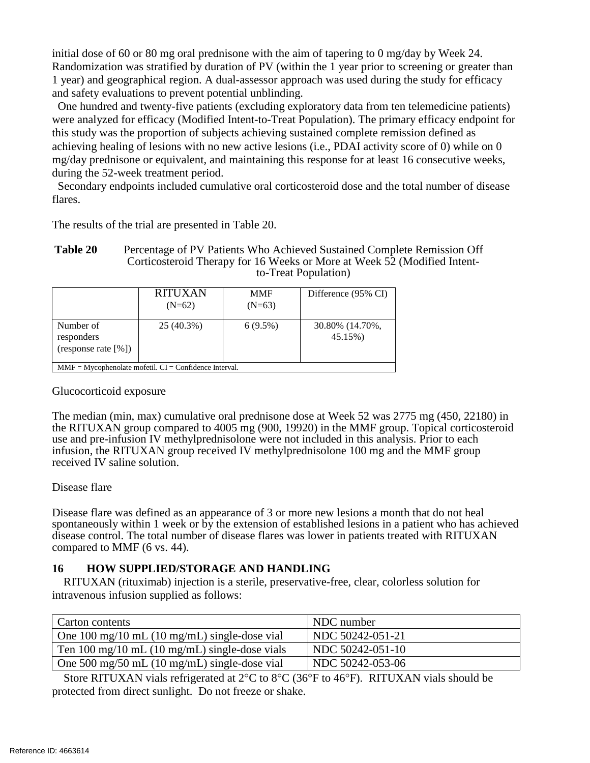initial dose of 60 or 80 mg oral prednisone with the aim of tapering to 0 mg/day by Week 24. Randomization was stratified by duration of PV (within the 1 year prior to screening or greater than 1 year) and geographical region. A dual-assessor approach was used during the study for efficacy and safety evaluations to prevent potential unblinding.

 One hundred and twenty-five patients (excluding exploratory data from ten telemedicine patients) were analyzed for efficacy (Modified Intent-to-Treat Population). The primary efficacy endpoint for this study was the proportion of subjects achieving sustained complete remission defined as achieving healing of lesions with no new active lesions (i.e., PDAI activity score of 0) while on 0 mg/day prednisone or equivalent, and maintaining this response for at least 16 consecutive weeks, during the 52-week treatment period.

 Secondary endpoints included cumulative oral corticosteroid dose and the total number of disease flares.

The results of the trial are presented in Table 20.

**Table 20** Percentage of PV Patients Who Achieved Sustained Complete Remission Off Corticosteroid Therapy for 16 Weeks or More at Week 52 (Modified Intent- to-Treat Population)

|                                                    | <b>RITUXAN</b><br>$(N=62)$                                 | <b>MMF</b><br>$(N=63)$ | Difference (95% CI)        |
|----------------------------------------------------|------------------------------------------------------------|------------------------|----------------------------|
| Number of<br>responders<br>(response rate $[\%]$ ) | 25 (40.3%)                                                 | $6(9.5\%)$             | 30.80% (14.70%,<br>45.15%) |
|                                                    | $MMF = Mycophenolate$ mofetil. $CI = Confidence$ Interval. |                        |                            |

## Glucocorticoid exposure

The median (min, max) cumulative oral prednisone dose at Week 52 was 2775 mg (450, 22180) in the RITUXAN group compared to 4005 mg (900, 19920) in the MMF group. Topical corticosteroid use and pre-infusion IV methylprednisolone were not included in this analysis. Prior to each infusion, the RITUXAN group received IV methylprednisolone 100 mg and the MMF group received IV saline solution.

## Disease flare

Disease flare was defined as an appearance of 3 or more new lesions a month that do not heal spontaneously within 1 week or by the extension of established lesions in a patient who has achieved disease control. The total number of disease flares was lower in patients treated with RITUXAN compared to MMF (6 vs. 44).

## **16 HOW SUPPLIED/STORAGE AND HANDLING**

RITUXAN (rituximab) injection is a sterile, preservative-free, clear, colorless solution for intravenous infusion supplied as follows:

| Carton contents                                                 | NDC number       |
|-----------------------------------------------------------------|------------------|
| One $100 \text{ mg}/10 \text{ mL}$ (10 mg/mL) single-dose vial  | NDC 50242-051-21 |
| Ten $100 \text{ mg}/10 \text{ mL}$ (10 mg/mL) single-dose vials | NDC 50242-051-10 |
| One 500 mg/50 mL $(10 \text{ mg/mL})$ single-dose vial          | NDC 50242-053-06 |

Store RITUXAN vials refrigerated at 2°C to 8°C (36°F to 46°F). RITUXAN vials should be protected from direct sunlight. Do not freeze or shake.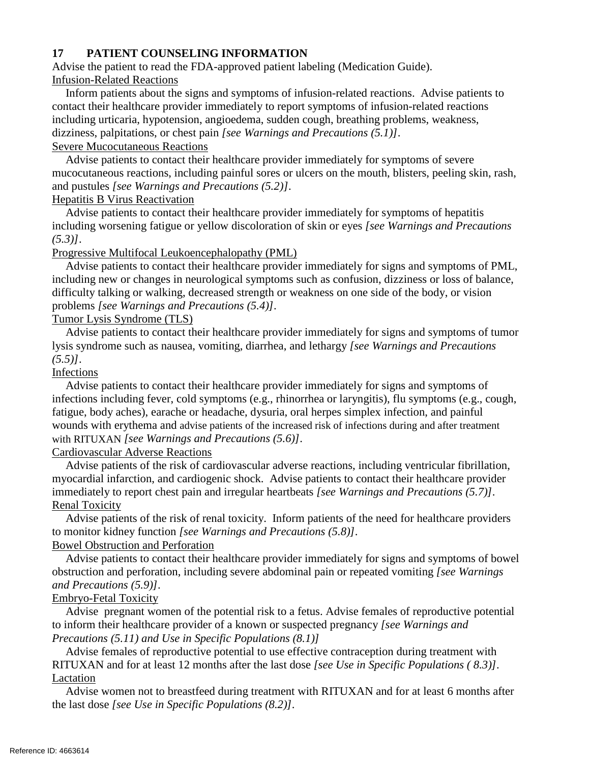## **17 PATIENT COUNSELING INFORMATION**

Advise the patient to read the FDA-approved patient labeling (Medication Guide). Infusion-Related Reactions

Inform patients about the signs and symptoms of infusion-related reactions. Advise patients to contact their healthcare provider immediately to report symptoms of infusion-related reactions including urticaria, hypotension, angioedema, sudden cough, breathing problems, weakness, dizziness, palpitations, or chest pain *[see Warnings and Precautions (5.1)]*.

#### Severe Mucocutaneous Reactions

Advise patients to contact their healthcare provider immediately for symptoms of severe mucocutaneous reactions, including painful sores or ulcers on the mouth, blisters, peeling skin, rash, and pustules *[see Warnings and Precautions (5.2)]*.

## Hepatitis B Virus Reactivation

Advise patients to contact their healthcare provider immediately for symptoms of hepatitis including worsening fatigue or yellow discoloration of skin or eyes *[see Warnings and Precautions (5.3)]*.

## Progressive Multifocal Leukoencephalopathy (PML)

Advise patients to contact their healthcare provider immediately for signs and symptoms of PML, including new or changes in neurological symptoms such as confusion, dizziness or loss of balance, difficulty talking or walking, decreased strength or weakness on one side of the body, or vision problems *[see Warnings and Precautions (5.4)]*.

## Tumor Lysis Syndrome (TLS)

Advise patients to contact their healthcare provider immediately for signs and symptoms of tumor lysis syndrome such as nausea, vomiting, diarrhea, and lethargy *[see Warnings and Precautions (5.5)]*.

## Infections

Advise patients to contact their healthcare provider immediately for signs and symptoms of infections including fever, cold symptoms (e.g., rhinorrhea or laryngitis), flu symptoms (e.g., cough, fatigue, body aches), earache or headache, dysuria, oral herpes simplex infection, and painful wounds with erythema and advise patients of the increased risk of infections during and after treatment with RITUXAN *[see Warnings and Precautions (5.6)]*.

## Cardiovascular Adverse Reactions

Advise patients of the risk of cardiovascular adverse reactions, including ventricular fibrillation, myocardial infarction, and cardiogenic shock. Advise patients to contact their healthcare provider immediately to report chest pain and irregular heartbeats *[see Warnings and Precautions (5.7)]*. Renal Toxicity

Advise patients of the risk of renal toxicity. Inform patients of the need for healthcare providers to monitor kidney function *[see Warnings and Precautions (5.8)]*.

## Bowel Obstruction and Perforation

Advise patients to contact their healthcare provider immediately for signs and symptoms of bowel obstruction and perforation, including severe abdominal pain or repeated vomiting *[see Warnings and Precautions (5.9)]*.

## Embryo-Fetal Toxicity

Advise pregnant women of the potential risk to a fetus. Advise females of reproductive potential to inform their healthcare provider of a known or suspected pregnancy *[see Warnings and Precautions (5.11) and Use in Specific Populations (8.1)]*

Advise females of reproductive potential to use effective contraception during treatment with RITUXAN and for at least 12 months after the last dose *[see Use in Specific Populations ( 8.3)]*. Lactation

Advise women not to breastfeed during treatment with RITUXAN and for at least 6 months after the last dose *[see Use in Specific Populations (8.2)]*.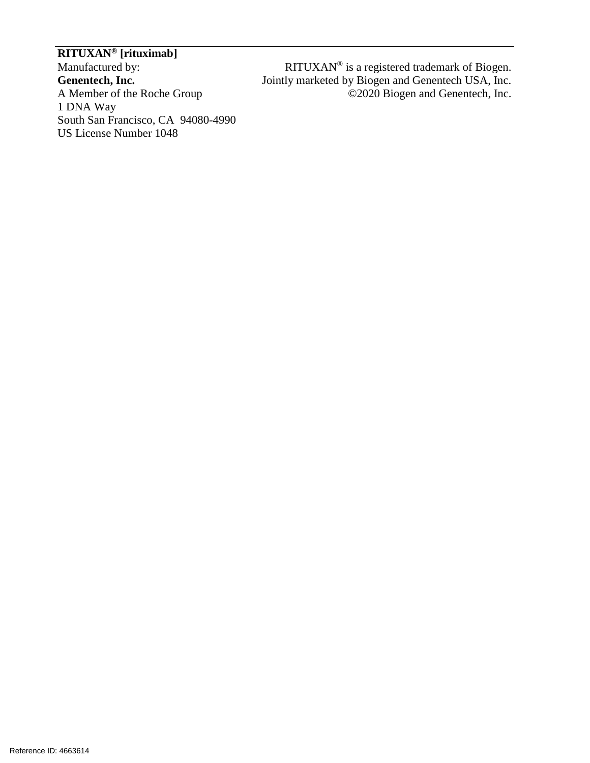**RITUXAN® [rituximab]** Manufactured by: **Genentech, Inc.** A Member of the Roche Group 1 DNA Way South San Francisco, CA 94080-4990 US License Number 1048

RITUXAN® is a registered trademark of Biogen. Jointly marketed by Biogen and Genentech USA, Inc. ©2020 Biogen and Genentech, Inc.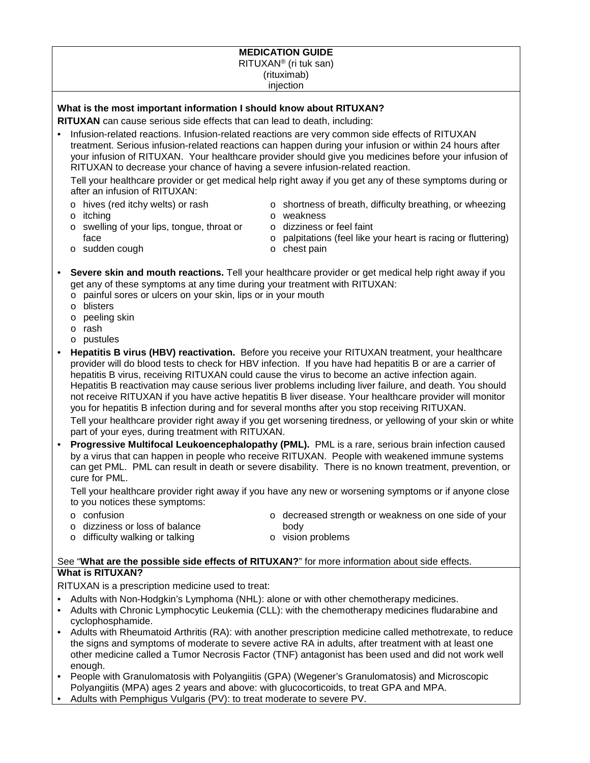#### **MEDICATION GUIDE** RITUXAN® (ri tuk san)

# (rituximab)

## injection

#### **What is the most important information I should know about RITUXAN?**

**RITUXAN** can cause serious side effects that can lead to death, including:

• Infusion-related reactions. Infusion-related reactions are very common side effects of RITUXAN treatment. Serious infusion-related reactions can happen during your infusion or within 24 hours after your infusion of RITUXAN. Your healthcare provider should give you medicines before your infusion of RITUXAN to decrease your chance of having a severe infusion-related reaction.

Tell your healthcare provider or get medical help right away if you get any of these symptoms during or after an infusion of RITUXAN:

- o hives (red itchy welts) or rash
- o itching

face

- o shortness of breath, difficulty breathing, or wheezing o weakness
- o swelling of your lips, tongue, throat or
- o dizziness or feel faint
- o palpitations (feel like your heart is racing or fluttering)

o sudden cough

- o chest pain
- **Severe skin and mouth reactions.** Tell your healthcare provider or get medical help right away if you get any of these symptoms at any time during your treatment with RITUXAN:
	- o painful sores or ulcers on your skin, lips or in your mouth
	- o blisters
	- o peeling skin
	- o rash
	- o pustules
- **Hepatitis B virus (HBV) reactivation.** Before you receive your RITUXAN treatment, your healthcare provider will do blood tests to check for HBV infection. If you have had hepatitis B or are a carrier of hepatitis B virus, receiving RITUXAN could cause the virus to become an active infection again. Hepatitis B reactivation may cause serious liver problems including liver failure, and death. You should not receive RITUXAN if you have active hepatitis B liver disease. Your healthcare provider will monitor you for hepatitis B infection during and for several months after you stop receiving RITUXAN.

Tell your healthcare provider right away if you get worsening tiredness, or yellowing of your skin or white part of your eyes, during treatment with RITUXAN.

• **Progressive Multifocal Leukoencephalopathy (PML).** PML is a rare, serious brain infection caused by a virus that can happen in people who receive RITUXAN. People with weakened immune systems can get PML. PML can result in death or severe disability. There is no known treatment, prevention, or cure for PML.

Tell your healthcare provider right away if you have any new or worsening symptoms or if anyone close to you notices these symptoms:

o confusion

- o decreased strength or weakness on one side of your body
- o dizziness or loss of balance o difficulty walking or talking
- o vision problems

#### See "**What are the possible side effects of RITUXAN?**" for more information about side effects. **What is RITUXAN?**

RITUXAN is a prescription medicine used to treat:

- Adults with Non-Hodgkin's Lymphoma (NHL): alone or with other chemotherapy medicines.
- Adults with Chronic Lymphocytic Leukemia (CLL): with the chemotherapy medicines fludarabine and cyclophosphamide.
- Adults with Rheumatoid Arthritis (RA): with another prescription medicine called methotrexate, to reduce the signs and symptoms of moderate to severe active RA in adults, after treatment with at least one other medicine called a Tumor Necrosis Factor (TNF) antagonist has been used and did not work well enough.
- People with Granulomatosis with Polyangiitis (GPA) (Wegener's Granulomatosis) and Microscopic Polyangiitis (MPA) ages 2 years and above: with glucocorticoids, to treat GPA and MPA.
- Adults with Pemphigus Vulgaris (PV): to treat moderate to severe PV.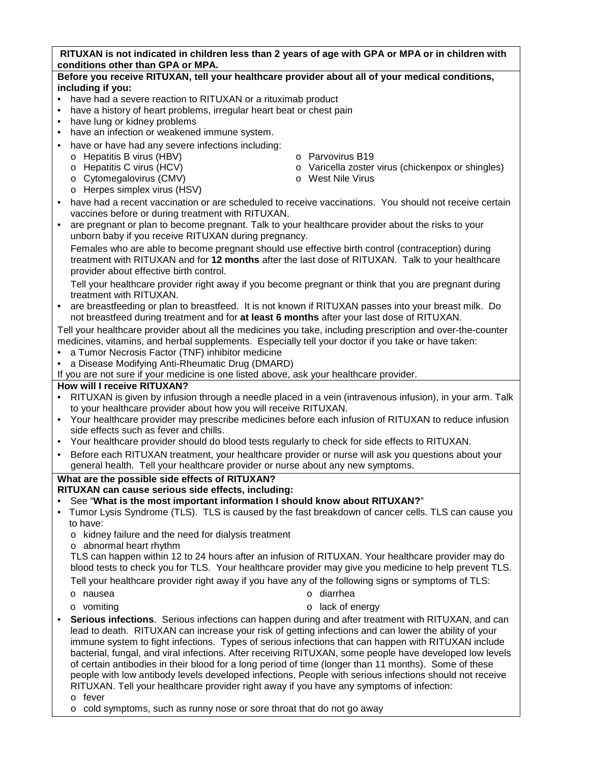**RITUXAN is not indicated in children less than 2 years of age with GPA or MPA or in children with conditions other than GPA or MPA.**

#### **Before you receive RITUXAN, tell your healthcare provider about all of your medical conditions, including if you:**

- have had a severe reaction to RITUXAN or a rituximab product
- have a history of heart problems, irregular heart beat or chest pain
- have lung or kidney problems
- have an infection or weakened immune system.
- have or have had any severe infections including:
	- o Hepatitis B virus (HBV)
	- o Hepatitis C virus (HCV)
	- o Cytomegalovirus (CMV)
	- o Herpes simplex virus (HSV)
- o Parvovirus B19
- o Varicella zoster virus (chickenpox or shingles)
- o West Nile Virus
- have had a recent vaccination or are scheduled to receive vaccinations. You should not receive certain vaccines before or during treatment with RITUXAN.
- are pregnant or plan to become pregnant. Talk to your healthcare provider about the risks to your unborn baby if you receive RITUXAN during pregnancy.

Females who are able to become pregnant should use effective birth control (contraception) during treatment with RITUXAN and for **12 months** after the last dose of RITUXAN. Talk to your healthcare provider about effective birth control.

Tell your healthcare provider right away if you become pregnant or think that you are pregnant during treatment with RITUXAN.

• are breastfeeding or plan to breastfeed. It is not known if RITUXAN passes into your breast milk. Do not breastfeed during treatment and for **at least 6 months** after your last dose of RITUXAN.

Tell your healthcare provider about all the medicines you take, including prescription and over-the-counter medicines, vitamins, and herbal supplements. Especially tell your doctor if you take or have taken:

- a Tumor Necrosis Factor (TNF) inhibitor medicine
- a Disease Modifying Anti-Rheumatic Drug (DMARD)
- If you are not sure if your medicine is one listed above, ask your healthcare provider.

#### **How will I receive RITUXAN?**

- RITUXAN is given by infusion through a needle placed in a vein (intravenous infusion), in your arm. Talk to your healthcare provider about how you will receive RITUXAN.
- Your healthcare provider may prescribe medicines before each infusion of RITUXAN to reduce infusion side effects such as fever and chills.
- Your healthcare provider should do blood tests regularly to check for side effects to RITUXAN.
- Before each RITUXAN treatment, your healthcare provider or nurse will ask you questions about your general health. Tell your healthcare provider or nurse about any new symptoms.

## **What are the possible side effects of RITUXAN?**

- **RITUXAN can cause serious side effects, including:**
- See "**What is the most important information I should know about RITUXAN?**"
- Tumor Lysis Syndrome (TLS). TLS is caused by the fast breakdown of cancer cells. TLS can cause you to have:
	- o kidney failure and the need for dialysis treatment
	- o abnormal heart rhythm

TLS can happen within 12 to 24 hours after an infusion of RITUXAN. Your healthcare provider may do blood tests to check you for TLS. Your healthcare provider may give you medicine to help prevent TLS. Tell your healthcare provider right away if you have any of the following signs or symptoms of TLS:

o nausea

o diarrhea

o vomiting

- o lack of energy
- **Serious infections**. Serious infections can happen during and after treatment with RITUXAN, and can lead to death. RITUXAN can increase your risk of getting infections and can lower the ability of your immune system to fight infections. Types of serious infections that can happen with RITUXAN include bacterial, fungal, and viral infections. After receiving RITUXAN, some people have developed low levels of certain antibodies in their blood for a long period of time (longer than 11 months). Some of these people with low antibody levels developed infections. People with serious infections should not receive RITUXAN. Tell your healthcare provider right away if you have any symptoms of infection:
	- o fever
	- $\circ$  cold symptoms, such as runny nose or sore throat that do not go away